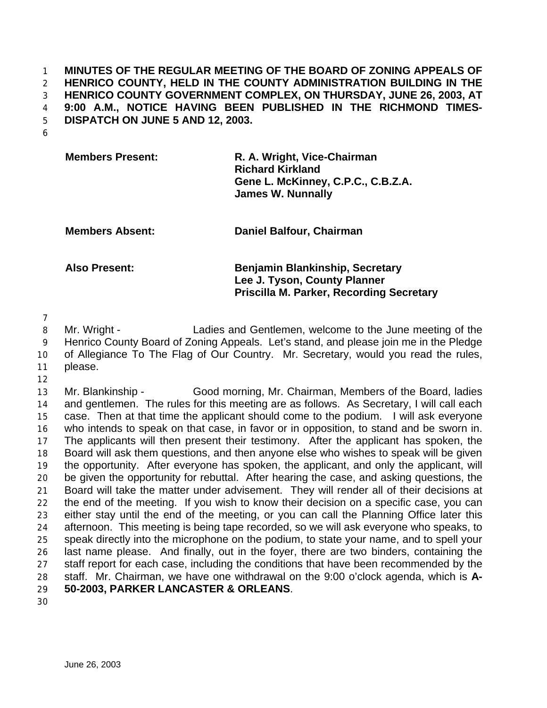## **MINUTES OF THE REGULAR MEETING OF THE BOARD OF ZONING APPEALS OF HENRICO COUNTY, HELD IN THE COUNTY ADMINISTRATION BUILDING IN THE HENRICO COUNTY GOVERNMENT COMPLEX, ON THURSDAY, JUNE 26, 2003, AT 9:00 A.M., NOTICE HAVING BEEN PUBLISHED IN THE RICHMOND TIMES-DISPATCH ON JUNE 5 AND 12, 2003.**

| <b>Members Present:</b> | R. A. Wright, Vice-Chairman        |
|-------------------------|------------------------------------|
|                         | <b>Richard Kirkland</b>            |
|                         | Gene L. McKinney, C.P.C., C.B.Z.A. |
|                         | <b>James W. Nunnally</b>           |

**Members Absent: Daniel Balfour, Chairman**

**Also Present: Benjamin Blankinship, Secretary Lee J. Tyson, County Planner Priscilla M. Parker, Recording Secretary**

 Mr. Wright - Ladies and Gentlemen, welcome to the June meeting of the Henrico County Board of Zoning Appeals. Let's stand, and please join me in the Pledge of Allegiance To The Flag of Our Country. Mr. Secretary, would you read the rules, please.

 Mr. Blankinship - Good morning, Mr. Chairman, Members of the Board, ladies and gentlemen. The rules for this meeting are as follows. As Secretary, I will call each case. Then at that time the applicant should come to the podium. I will ask everyone who intends to speak on that case, in favor or in opposition, to stand and be sworn in. The applicants will then present their testimony. After the applicant has spoken, the Board will ask them questions, and then anyone else who wishes to speak will be given the opportunity. After everyone has spoken, the applicant, and only the applicant, will be given the opportunity for rebuttal. After hearing the case, and asking questions, the Board will take the matter under advisement. They will render all of their decisions at the end of the meeting. If you wish to know their decision on a specific case, you can either stay until the end of the meeting, or you can call the Planning Office later this afternoon. This meeting is being tape recorded, so we will ask everyone who speaks, to speak directly into the microphone on the podium, to state your name, and to spell your last name please. And finally, out in the foyer, there are two binders, containing the staff report for each case, including the conditions that have been recommended by the staff. Mr. Chairman, we have one withdrawal on the 9:00 o'clock agenda, which is **A-50-2003, PARKER LANCASTER & ORLEANS**.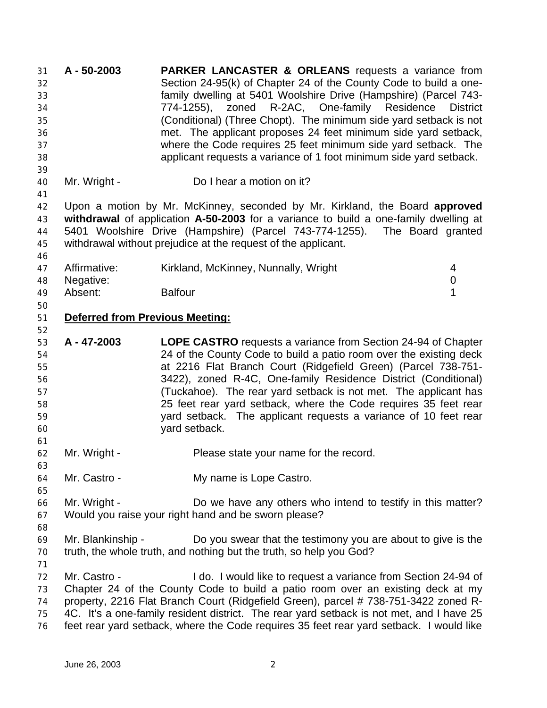**A - 50-2003 PARKER LANCASTER & ORLEANS** requests a variance from Section 24-95(k) of Chapter 24 of the County Code to build a one- family dwelling at 5401 Woolshire Drive (Hampshire) (Parcel 743- 774-1255), zoned R-2AC, One-family Residence District (Conditional) (Three Chopt). The minimum side yard setback is not met. The applicant proposes 24 feet minimum side yard setback, where the Code requires 25 feet minimum side yard setback. The applicant requests a variance of 1 foot minimum side yard setback. 40 Mr. Wright - Do I hear a motion on it? Upon a motion by Mr. McKinney, seconded by Mr. Kirkland, the Board **approved withdrawal** of application **A-50-2003** for a variance to build a one-family dwelling at 5401 Woolshire Drive (Hampshire) (Parcel 743-774-1255). The Board granted withdrawal without prejudice at the request of the applicant. 47 Affirmative: Kirkland, McKinney, Nunnally, Wright 4 Negative: 0 Absent: Balfour 1 **Deferred from Previous Meeting: A - 47-2003 LOPE CASTRO** requests a variance from Section 24-94 of Chapter 24 of the County Code to build a patio room over the existing deck at 2216 Flat Branch Court (Ridgefield Green) (Parcel 738-751- 3422), zoned R-4C, One-family Residence District (Conditional) (Tuckahoe). The rear yard setback is not met. The applicant has 25 feet rear yard setback, where the Code requires 35 feet rear yard setback. The applicant requests a variance of 10 feet rear yard setback. Mr. Wright - Please state your name for the record. Mr. Castro - My name is Lope Castro. Mr. Wright - Do we have any others who intend to testify in this matter? Would you raise your right hand and be sworn please? Mr. Blankinship - Do you swear that the testimony you are about to give is the truth, the whole truth, and nothing but the truth, so help you God? Mr. Castro - I do. I would like to request a variance from Section 24-94 of Chapter 24 of the County Code to build a patio room over an existing deck at my property, 2216 Flat Branch Court (Ridgefield Green), parcel # 738-751-3422 zoned R- 4C. It's a one-family resident district. The rear yard setback is not met, and I have 25 feet rear yard setback, where the Code requires 35 feet rear yard setback. I would like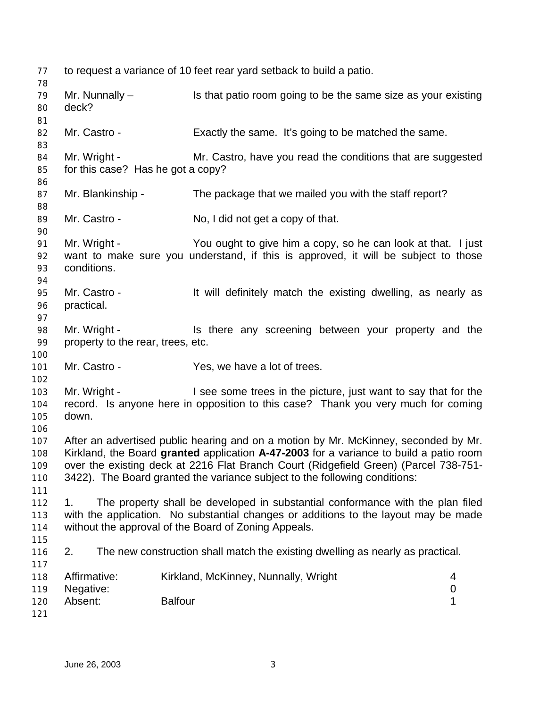to request a variance of 10 feet rear yard setback to build a patio. Mr. Nunnally – Is that patio room going to be the same size as your existing deck? 82 Mr. Castro - Exactly the same. It's going to be matched the same. 84 Mr. Wright - Mr. Castro, have you read the conditions that are suggested for this case? Has he got a copy? Mr. Blankinship - The package that we mailed you with the staff report? 89 Mr. Castro - No, I did not get a copy of that. 91 Mr. Wright - You ought to give him a copy, so he can look at that. I just want to make sure you understand, if this is approved, it will be subject to those conditions. Mr. Castro - It will definitely match the existing dwelling, as nearly as practical. 98 Mr. Wright - Is there any screening between your property and the property to the rear, trees, etc. 101 Mr. Castro - Yes, we have a lot of trees. Mr. Wright - I see some trees in the picture, just want to say that for the record. Is anyone here in opposition to this case? Thank you very much for coming down. After an advertised public hearing and on a motion by Mr. McKinney, seconded by Mr. Kirkland, the Board **granted** application **A-47-2003** for a variance to build a patio room over the existing deck at 2216 Flat Branch Court (Ridgefield Green) (Parcel 738-751- 3422). The Board granted the variance subject to the following conditions: 1. The property shall be developed in substantial conformance with the plan filed with the application. No substantial changes or additions to the layout may be made without the approval of the Board of Zoning Appeals. 2. The new construction shall match the existing dwelling as nearly as practical. Affirmative: Kirkland, McKinney, Nunnally, Wright 4 Negative: 0 Absent: Balfour 1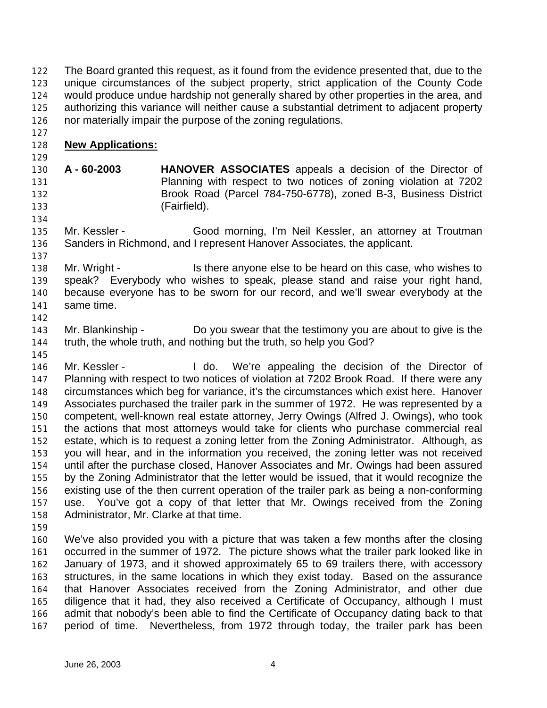The Board granted this request, as it found from the evidence presented that, due to the unique circumstances of the subject property, strict application of the County Code would produce undue hardship not generally shared by other properties in the area, and authorizing this variance will neither cause a substantial detriment to adjacent property nor materially impair the purpose of the zoning regulations.

- **New Applications:**
- 

 **A - 60-2003 HANOVER ASSOCIATES** appeals a decision of the Director of Planning with respect to two notices of zoning violation at 7202 Brook Road (Parcel 784-750-6778), zoned B-3, Business District (Fairfield).

- 135 Mr. Kessler Good morning, I'm Neil Kessler, an attorney at Troutman Sanders in Richmond, and I represent Hanover Associates, the applicant.
- Mr. Wright Is there anyone else to be heard on this case, who wishes to speak? Everybody who wishes to speak, please stand and raise your right hand, because everyone has to be sworn for our record, and we'll swear everybody at the same time.
- 

 Mr. Blankinship - Do you swear that the testimony you are about to give is the truth, the whole truth, and nothing but the truth, so help you God?

- 146 Mr. Kessler I do. We're appealing the decision of the Director of Planning with respect to two notices of violation at 7202 Brook Road. If there were any circumstances which beg for variance, it's the circumstances which exist here. Hanover Associates purchased the trailer park in the summer of 1972. He was represented by a competent, well-known real estate attorney, Jerry Owings (Alfred J. Owings), who took the actions that most attorneys would take for clients who purchase commercial real estate, which is to request a zoning letter from the Zoning Administrator. Although, as you will hear, and in the information you received, the zoning letter was not received until after the purchase closed, Hanover Associates and Mr. Owings had been assured by the Zoning Administrator that the letter would be issued, that it would recognize the existing use of the then current operation of the trailer park as being a non-conforming use. You've got a copy of that letter that Mr. Owings received from the Zoning Administrator, Mr. Clarke at that time.
- 

 We've also provided you with a picture that was taken a few months after the closing occurred in the summer of 1972. The picture shows what the trailer park looked like in January of 1973, and it showed approximately 65 to 69 trailers there, with accessory structures, in the same locations in which they exist today. Based on the assurance that Hanover Associates received from the Zoning Administrator, and other due diligence that it had, they also received a Certificate of Occupancy, although I must admit that nobody's been able to find the Certificate of Occupancy dating back to that period of time. Nevertheless, from 1972 through today, the trailer park has been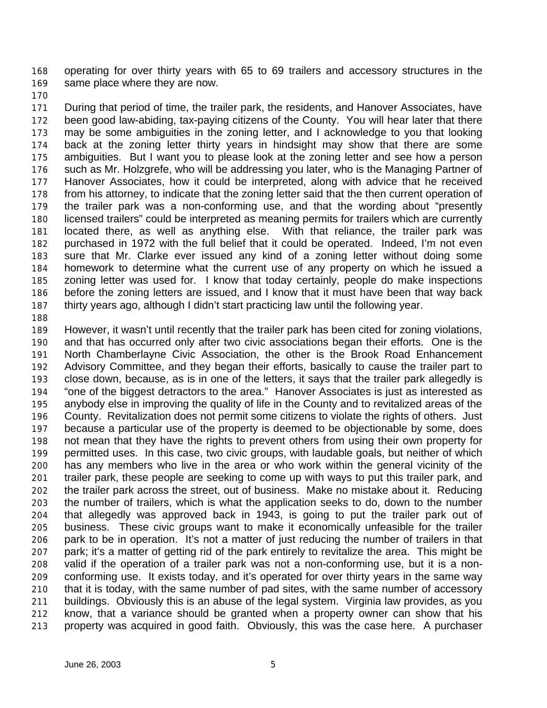operating for over thirty years with 65 to 69 trailers and accessory structures in the same place where they are now.

 During that period of time, the trailer park, the residents, and Hanover Associates, have been good law-abiding, tax-paying citizens of the County. You will hear later that there may be some ambiguities in the zoning letter, and I acknowledge to you that looking back at the zoning letter thirty years in hindsight may show that there are some ambiguities. But I want you to please look at the zoning letter and see how a person such as Mr. Holzgrefe, who will be addressing you later, who is the Managing Partner of Hanover Associates, how it could be interpreted, along with advice that he received from his attorney, to indicate that the zoning letter said that the then current operation of the trailer park was a non-conforming use, and that the wording about "presently licensed trailers" could be interpreted as meaning permits for trailers which are currently located there, as well as anything else. With that reliance, the trailer park was purchased in 1972 with the full belief that it could be operated. Indeed, I'm not even sure that Mr. Clarke ever issued any kind of a zoning letter without doing some homework to determine what the current use of any property on which he issued a zoning letter was used for. I know that today certainly, people do make inspections before the zoning letters are issued, and I know that it must have been that way back thirty years ago, although I didn't start practicing law until the following year.

 However, it wasn't until recently that the trailer park has been cited for zoning violations, and that has occurred only after two civic associations began their efforts. One is the North Chamberlayne Civic Association, the other is the Brook Road Enhancement Advisory Committee, and they began their efforts, basically to cause the trailer part to close down, because, as is in one of the letters, it says that the trailer park allegedly is "one of the biggest detractors to the area." Hanover Associates is just as interested as anybody else in improving the quality of life in the County and to revitalized areas of the County. Revitalization does not permit some citizens to violate the rights of others. Just because a particular use of the property is deemed to be objectionable by some, does not mean that they have the rights to prevent others from using their own property for permitted uses. In this case, two civic groups, with laudable goals, but neither of which has any members who live in the area or who work within the general vicinity of the trailer park, these people are seeking to come up with ways to put this trailer park, and the trailer park across the street, out of business. Make no mistake about it. Reducing the number of trailers, which is what the application seeks to do, down to the number that allegedly was approved back in 1943, is going to put the trailer park out of business. These civic groups want to make it economically unfeasible for the trailer park to be in operation. It's not a matter of just reducing the number of trailers in that park; it's a matter of getting rid of the park entirely to revitalize the area. This might be valid if the operation of a trailer park was not a non-conforming use, but it is a non- conforming use. It exists today, and it's operated for over thirty years in the same way that it is today, with the same number of pad sites, with the same number of accessory buildings. Obviously this is an abuse of the legal system. Virginia law provides, as you know, that a variance should be granted when a property owner can show that his property was acquired in good faith. Obviously, this was the case here. A purchaser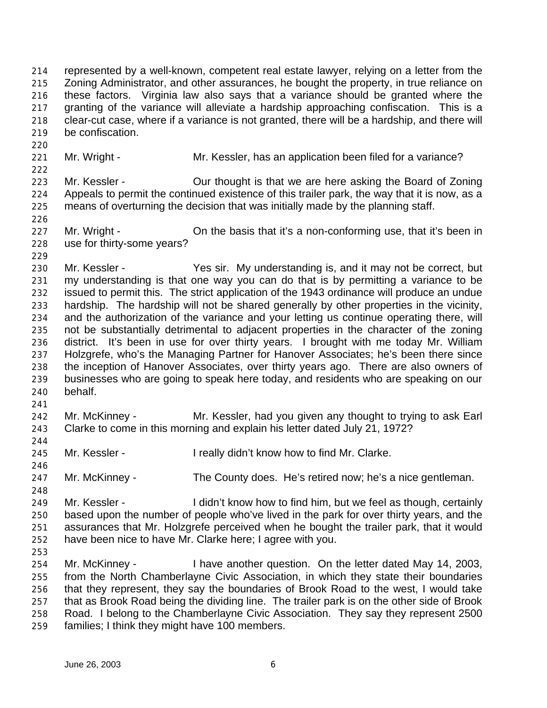represented by a well-known, competent real estate lawyer, relying on a letter from the Zoning Administrator, and other assurances, he bought the property, in true reliance on these factors. Virginia law also says that a variance should be granted where the granting of the variance will alleviate a hardship approaching confiscation. This is a clear-cut case, where if a variance is not granted, there will be a hardship, and there will be confiscation.

221 Mr. Wright - Mr. Kessler, has an application been filed for a variance?

 Mr. Kessler - Our thought is that we are here asking the Board of Zoning Appeals to permit the continued existence of this trailer park, the way that it is now, as a means of overturning the decision that was initially made by the planning staff.

- 227 Mr. Wright **On the basis that it's a non-conforming use**, that it's been in use for thirty-some years?
- Mr. Kessler - Yes sir. My understanding is, and it may not be correct, but my understanding is that one way you can do that is by permitting a variance to be issued to permit this. The strict application of the 1943 ordinance will produce an undue hardship. The hardship will not be shared generally by other properties in the vicinity, and the authorization of the variance and your letting us continue operating there, will not be substantially detrimental to adjacent properties in the character of the zoning district. It's been in use for over thirty years. I brought with me today Mr. William Holzgrefe, who's the Managing Partner for Hanover Associates; he's been there since the inception of Hanover Associates, over thirty years ago. There are also owners of businesses who are going to speak here today, and residents who are speaking on our behalf.
- Mr. McKinney - Mr. Kessler, had you given any thought to trying to ask Earl Clarke to come in this morning and explain his letter dated July 21, 1972?
- Mr. Kessler - I really didn't know how to find Mr. Clarke.
- Mr. McKinney - The County does. He's retired now; he's a nice gentleman.
- 249 Mr. Kessler - I didn't know how to find him, but we feel as though, certainly based upon the number of people who've lived in the park for over thirty years, and the assurances that Mr. Holzgrefe perceived when he bought the trailer park, that it would have been nice to have Mr. Clarke here; I agree with you.
- 

 Mr. McKinney - I have another question. On the letter dated May 14, 2003, from the North Chamberlayne Civic Association, in which they state their boundaries that they represent, they say the boundaries of Brook Road to the west, I would take that as Brook Road being the dividing line. The trailer park is on the other side of Brook Road. I belong to the Chamberlayne Civic Association. They say they represent 2500 families; I think they might have 100 members.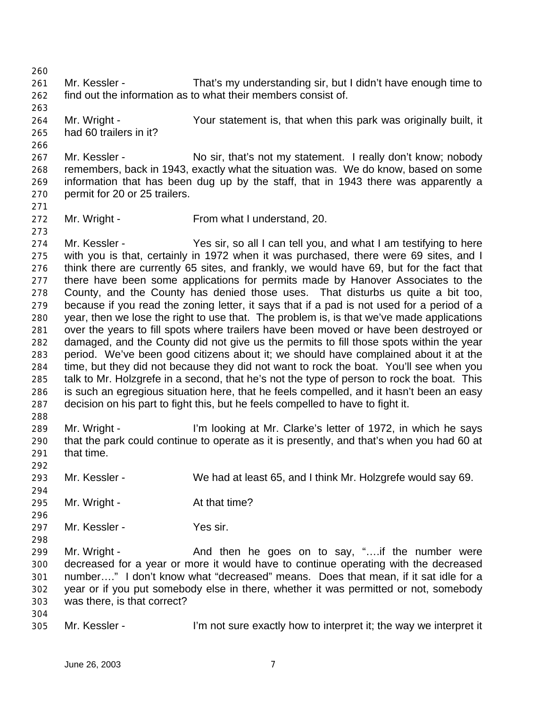Mr. Kessler - That's my understanding sir, but I didn't have enough time to find out the information as to what their members consist of.

 Mr. Wright - Your statement is, that when this park was originally built, it had 60 trailers in it?

267 Mr. Kessler - No sir, that's not my statement. I really don't know; nobody remembers, back in 1943, exactly what the situation was. We do know, based on some information that has been dug up by the staff, that in 1943 there was apparently a permit for 20 or 25 trailers.

Mr. Wright - From what I understand, 20.

 Mr. Kessler - Yes sir, so all I can tell you, and what I am testifying to here with you is that, certainly in 1972 when it was purchased, there were 69 sites, and I think there are currently 65 sites, and frankly, we would have 69, but for the fact that there have been some applications for permits made by Hanover Associates to the County, and the County has denied those uses. That disturbs us quite a bit too, because if you read the zoning letter, it says that if a pad is not used for a period of a year, then we lose the right to use that. The problem is, is that we've made applications over the years to fill spots where trailers have been moved or have been destroyed or damaged, and the County did not give us the permits to fill those spots within the year period. We've been good citizens about it; we should have complained about it at the time, but they did not because they did not want to rock the boat. You'll see when you talk to Mr. Holzgrefe in a second, that he's not the type of person to rock the boat. This is such an egregious situation here, that he feels compelled, and it hasn't been an easy decision on his part to fight this, but he feels compelled to have to fight it.

 Mr. Wright - I'm looking at Mr. Clarke's letter of 1972, in which he says that the park could continue to operate as it is presently, and that's when you had 60 at that time.

Mr. Kessler - We had at least 65, and I think Mr. Holzgrefe would say 69.

- 295 Mr. Wright At that time?
- 297 Mr. Kessler Yes sir.
- 

299 Mr. Wright - And then he goes on to say, "....if the number were decreased for a year or more it would have to continue operating with the decreased number…." I don't know what "decreased" means. Does that mean, if it sat idle for a year or if you put somebody else in there, whether it was permitted or not, somebody was there, is that correct?

Mr. Kessler - I'm not sure exactly how to interpret it; the way we interpret it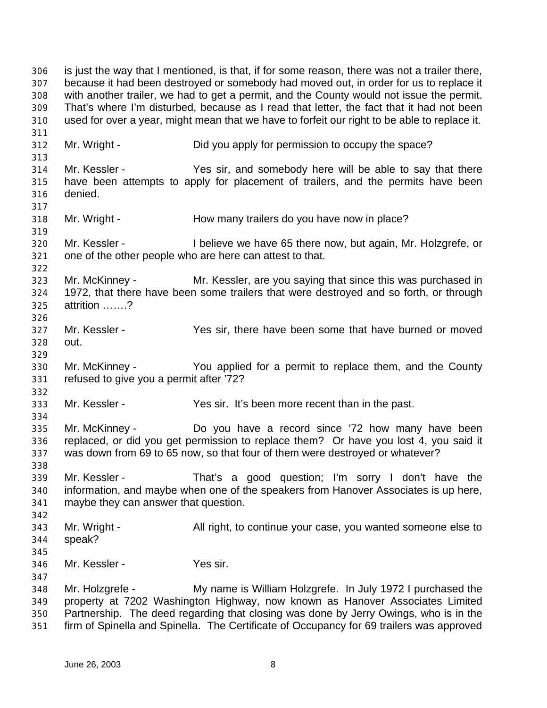is just the way that I mentioned, is that, if for some reason, there was not a trailer there, because it had been destroyed or somebody had moved out, in order for us to replace it with another trailer, we had to get a permit, and the County would not issue the permit. That's where I'm disturbed, because as I read that letter, the fact that it had not been used for over a year, might mean that we have to forfeit our right to be able to replace it. Mr. Wright - Did you apply for permission to occupy the space? Mr. Kessler - Yes sir, and somebody here will be able to say that there have been attempts to apply for placement of trailers, and the permits have been denied. Mr. Wright - How many trailers do you have now in place? Mr. Kessler - I believe we have 65 there now, but again, Mr. Holzgrefe, or one of the other people who are here can attest to that. Mr. McKinney - Mr. Kessler, are you saying that since this was purchased in 1972, that there have been some trailers that were destroyed and so forth, or through attrition …….? Mr. Kessler - Yes sir, there have been some that have burned or moved out. Mr. McKinney - You applied for a permit to replace them, and the County refused to give you a permit after '72? Mr. Kessler - Yes sir. It's been more recent than in the past. Mr. McKinney - Do you have a record since '72 how many have been replaced, or did you get permission to replace them? Or have you lost 4, you said it was down from 69 to 65 now, so that four of them were destroyed or whatever? Mr. Kessler - That's a good question; I'm sorry I don't have the information, and maybe when one of the speakers from Hanover Associates is up here, maybe they can answer that question. Mr. Wright - All right, to continue your case, you wanted someone else to speak? Mr. Kessler - Yes sir. Mr. Holzgrefe - My name is William Holzgrefe. In July 1972 I purchased the property at 7202 Washington Highway, now known as Hanover Associates Limited Partnership. The deed regarding that closing was done by Jerry Owings, who is in the firm of Spinella and Spinella. The Certificate of Occupancy for 69 trailers was approved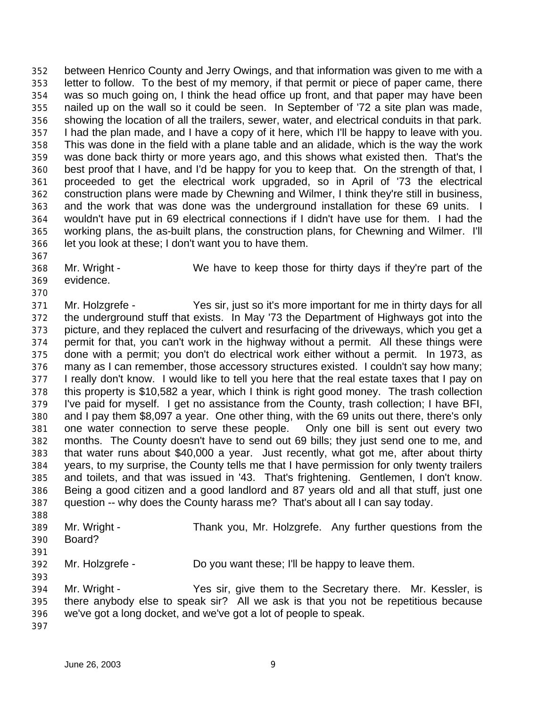between Henrico County and Jerry Owings, and that information was given to me with a letter to follow. To the best of my memory, if that permit or piece of paper came, there was so much going on, I think the head office up front, and that paper may have been nailed up on the wall so it could be seen. In September of '72 a site plan was made, showing the location of all the trailers, sewer, water, and electrical conduits in that park. I had the plan made, and I have a copy of it here, which I'll be happy to leave with you. This was done in the field with a plane table and an alidade, which is the way the work was done back thirty or more years ago, and this shows what existed then. That's the best proof that I have, and I'd be happy for you to keep that. On the strength of that, I proceeded to get the electrical work upgraded, so in April of '73 the electrical construction plans were made by Chewning and Wilmer, I think they're still in business, and the work that was done was the underground installation for these 69 units. I wouldn't have put in 69 electrical connections if I didn't have use for them. I had the working plans, the as-built plans, the construction plans, for Chewning and Wilmer. I'll let you look at these; I don't want you to have them.

Mr. Wright - We have to keep those for thirty days if they're part of the

 evidence. 

 Mr. Holzgrefe - Yes sir, just so it's more important for me in thirty days for all the underground stuff that exists. In May '73 the Department of Highways got into the picture, and they replaced the culvert and resurfacing of the driveways, which you get a permit for that, you can't work in the highway without a permit. All these things were done with a permit; you don't do electrical work either without a permit. In 1973, as many as I can remember, those accessory structures existed. I couldn't say how many; I really don't know. I would like to tell you here that the real estate taxes that I pay on this property is \$10,582 a year, which I think is right good money. The trash collection I've paid for myself. I get no assistance from the County, trash collection; I have BFI, and I pay them \$8,097 a year. One other thing, with the 69 units out there, there's only one water connection to serve these people. Only one bill is sent out every two months. The County doesn't have to send out 69 bills; they just send one to me, and that water runs about \$40,000 a year. Just recently, what got me, after about thirty years, to my surprise, the County tells me that I have permission for only twenty trailers and toilets, and that was issued in '43. That's frightening. Gentlemen, I don't know. Being a good citizen and a good landlord and 87 years old and all that stuff, just one question -- why does the County harass me? That's about all I can say today. 

- Mr. Wright Thank you, Mr. Holzgrefe. Any further questions from the Board?
- 

Mr. Holzgrefe - Do you want these; I'll be happy to leave them.

 Mr. Wright - Yes sir, give them to the Secretary there. Mr. Kessler, is there anybody else to speak sir? All we ask is that you not be repetitious because we've got a long docket, and we've got a lot of people to speak.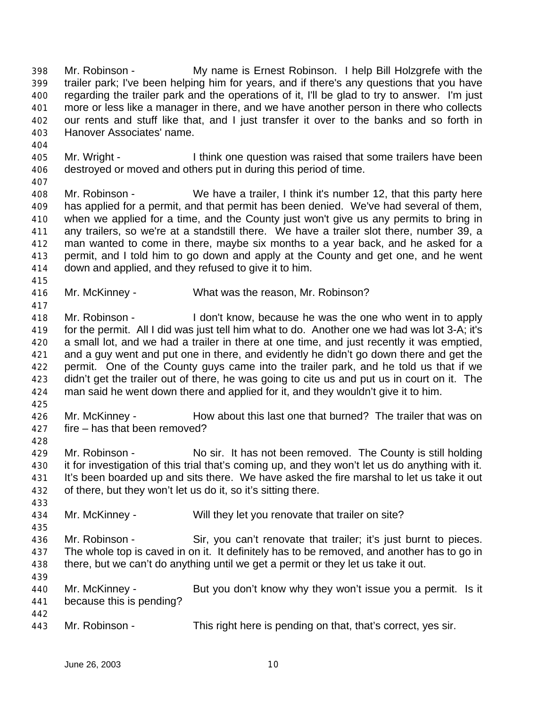Mr. Robinson - My name is Ernest Robinson. I help Bill Holzgrefe with the trailer park; I've been helping him for years, and if there's any questions that you have regarding the trailer park and the operations of it, I'll be glad to try to answer. I'm just more or less like a manager in there, and we have another person in there who collects our rents and stuff like that, and I just transfer it over to the banks and so forth in Hanover Associates' name.

- Mr. Wright I think one question was raised that some trailers have been destroyed or moved and others put in during this period of time.
- 

 Mr. Robinson - We have a trailer, I think it's number 12, that this party here has applied for a permit, and that permit has been denied. We've had several of them, when we applied for a time, and the County just won't give us any permits to bring in any trailers, so we're at a standstill there. We have a trailer slot there, number 39, a man wanted to come in there, maybe six months to a year back, and he asked for a permit, and I told him to go down and apply at the County and get one, and he went down and applied, and they refused to give it to him.

- Mr. McKinney What was the reason, Mr. Robinson?
- 

- Mr. Robinson I don't know, because he was the one who went in to apply for the permit. All I did was just tell him what to do. Another one we had was lot 3-A; it's a small lot, and we had a trailer in there at one time, and just recently it was emptied, and a guy went and put one in there, and evidently he didn't go down there and get the permit. One of the County guys came into the trailer park, and he told us that if we didn't get the trailer out of there, he was going to cite us and put us in court on it. The man said he went down there and applied for it, and they wouldn't give it to him.
- 

 Mr. McKinney - How about this last one that burned? The trailer that was on fire – has that been removed?

429 Mr. Robinson - No sir. It has not been removed. The County is still holding it for investigation of this trial that's coming up, and they won't let us do anything with it. It's been boarded up and sits there. We have asked the fire marshal to let us take it out of there, but they won't let us do it, so it's sitting there.

- Mr. McKinney Will they let you renovate that trailer on site?
- Mr. Robinson Sir, you can't renovate that trailer; it's just burnt to pieces. The whole top is caved in on it. It definitely has to be removed, and another has to go in there, but we can't do anything until we get a permit or they let us take it out.
- Mr. McKinney But you don't know why they won't issue you a permit. Is it because this is pending?
- Mr. Robinson This right here is pending on that, that's correct, yes sir.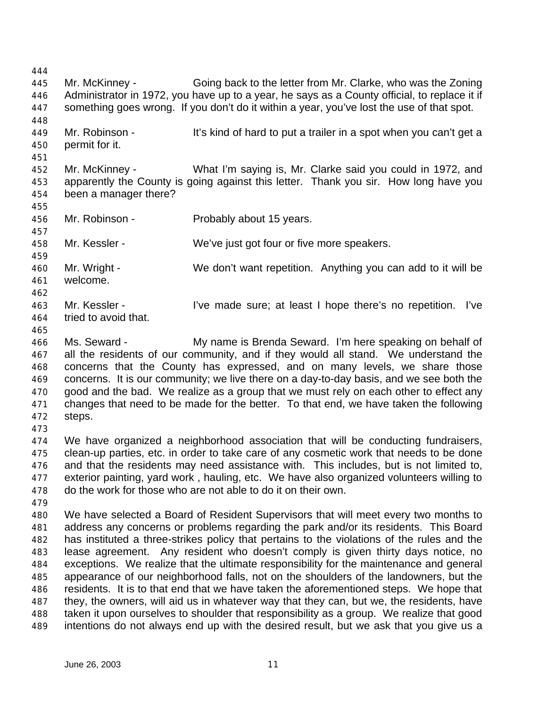Mr. McKinney - Going back to the letter from Mr. Clarke, who was the Zoning Administrator in 1972, you have up to a year, he says as a County official, to replace it if something goes wrong. If you don't do it within a year, you've lost the use of that spot. 449 Mr. Robinson - It's kind of hard to put a trailer in a spot when you can't get a permit for it. Mr. McKinney - What I'm saying is, Mr. Clarke said you could in 1972, and apparently the County is going against this letter. Thank you sir. How long have you been a manager there? Mr. Robinson - Probably about 15 years. Mr. Kessler - We've just got four or five more speakers. Mr. Wright - We don't want repetition. Anything you can add to it will be welcome. Mr. Kessler - I've made sure; at least I hope there's no repetition. I've tried to avoid that. Ms. Seward - My name is Brenda Seward. I'm here speaking on behalf of all the residents of our community, and if they would all stand. We understand the concerns that the County has expressed, and on many levels, we share those concerns. It is our community; we live there on a day-to-day basis, and we see both the good and the bad. We realize as a group that we must rely on each other to effect any changes that need to be made for the better. To that end, we have taken the following steps. We have organized a neighborhood association that will be conducting fundraisers, clean-up parties, etc. in order to take care of any cosmetic work that needs to be done and that the residents may need assistance with. This includes, but is not limited to, exterior painting, yard work , hauling, etc. We have also organized volunteers willing to do the work for those who are not able to do it on their own. We have selected a Board of Resident Supervisors that will meet every two months to address any concerns or problems regarding the park and/or its residents. This Board has instituted a three-strikes policy that pertains to the violations of the rules and the lease agreement. Any resident who doesn't comply is given thirty days notice, no exceptions. We realize that the ultimate responsibility for the maintenance and general appearance of our neighborhood falls, not on the shoulders of the landowners, but the residents. It is to that end that we have taken the aforementioned steps. We hope that they, the owners, will aid us in whatever way that they can, but we, the residents, have taken it upon ourselves to shoulder that responsibility as a group. We realize that good intentions do not always end up with the desired result, but we ask that you give us a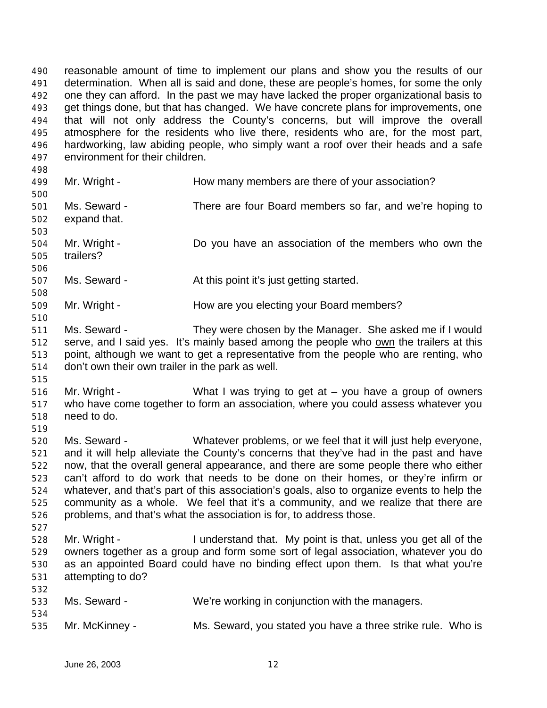reasonable amount of time to implement our plans and show you the results of our determination. When all is said and done, these are people's homes, for some the only one they can afford. In the past we may have lacked the proper organizational basis to get things done, but that has changed. We have concrete plans for improvements, one that will not only address the County's concerns, but will improve the overall atmosphere for the residents who live there, residents who are, for the most part, hardworking, law abiding people, who simply want a roof over their heads and a safe environment for their children. 

- 499 Mr. Wright How many members are there of your association? Ms. Seward - There are four Board members so far, and we're hoping to expand that.
- Mr. Wright Do you have an association of the members who own the trailers?
- 507 Ms. Seward **At this point it's just getting started.**
- Mr. Wright How are you electing your Board members?
- Ms. Seward They were chosen by the Manager. She asked me if I would serve, and I said yes. It's mainly based among the people who own the trailers at this point, although we want to get a representative from the people who are renting, who don't own their own trailer in the park as well.
- 

- Mr. Wright What I was trying to get at you have a group of owners who have come together to form an association, where you could assess whatever you need to do.
- 

 Ms. Seward - Whatever problems, or we feel that it will just help everyone, and it will help alleviate the County's concerns that they've had in the past and have now, that the overall general appearance, and there are some people there who either can't afford to do work that needs to be done on their homes, or they're infirm or whatever, and that's part of this association's goals, also to organize events to help the community as a whole. We feel that it's a community, and we realize that there are problems, and that's what the association is for, to address those.

- Mr. Wright I understand that. My point is that, unless you get all of the owners together as a group and form some sort of legal association, whatever you do as an appointed Board could have no binding effect upon them. Is that what you're attempting to do?
- Ms. Seward - We're working in conjunction with the managers. Mr. McKinney - Ms. Seward, you stated you have a three strike rule. Who is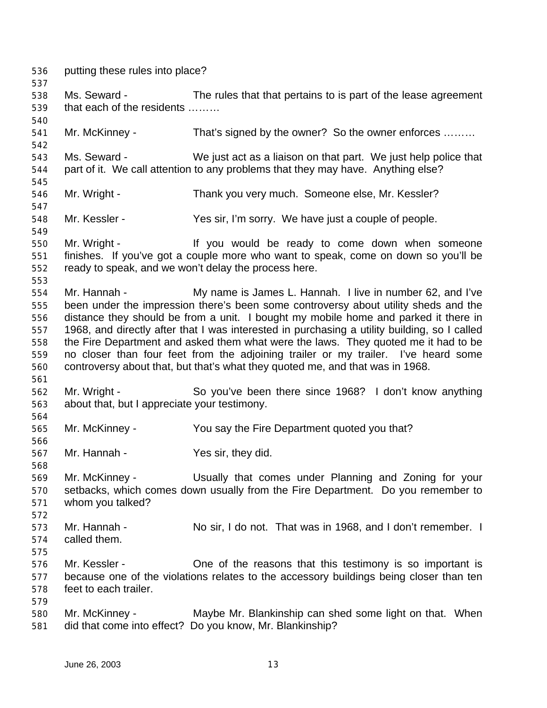putting these rules into place? Ms. Seward - The rules that that pertains to is part of the lease agreement that each of the residents ……… 541 Mr. McKinney - That's signed by the owner? So the owner enforces ........ Ms. Seward - We just act as a liaison on that part. We just help police that part of it. We call attention to any problems that they may have. Anything else? Mr. Wright - Thank you very much. Someone else, Mr. Kessler? Mr. Kessler - Yes sir, I'm sorry. We have just a couple of people. Mr. Wright - If you would be ready to come down when someone finishes. If you've got a couple more who want to speak, come on down so you'll be ready to speak, and we won't delay the process here. Mr. Hannah - My name is James L. Hannah. I live in number 62, and I've been under the impression there's been some controversy about utility sheds and the distance they should be from a unit. I bought my mobile home and parked it there in 1968, and directly after that I was interested in purchasing a utility building, so I called the Fire Department and asked them what were the laws. They quoted me it had to be no closer than four feet from the adjoining trailer or my trailer. I've heard some controversy about that, but that's what they quoted me, and that was in 1968. Mr. Wright - So you've been there since 1968? I don't know anything about that, but I appreciate your testimony. Mr. McKinney - You say the Fire Department quoted you that? Mr. Hannah - Yes sir, they did. Mr. McKinney - Usually that comes under Planning and Zoning for your setbacks, which comes down usually from the Fire Department. Do you remember to whom you talked? Mr. Hannah - No sir, I do not. That was in 1968, and I don't remember. I called them. Mr. Kessler - One of the reasons that this testimony is so important is because one of the violations relates to the accessory buildings being closer than ten feet to each trailer. 580 Mr. McKinney - Maybe Mr. Blankinship can shed some light on that. When did that come into effect? Do you know, Mr. Blankinship?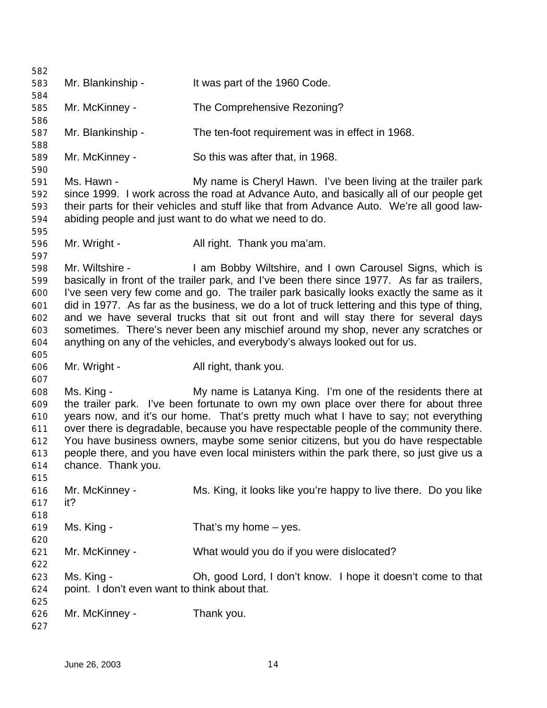| 582        |                                               |                                                                                             |
|------------|-----------------------------------------------|---------------------------------------------------------------------------------------------|
| 583        | Mr. Blankinship -                             | It was part of the 1960 Code.                                                               |
| 584        |                                               |                                                                                             |
| 585        | Mr. McKinney -                                | The Comprehensive Rezoning?                                                                 |
| 586        |                                               |                                                                                             |
| 587        | Mr. Blankinship -                             | The ten-foot requirement was in effect in 1968.                                             |
| 588        |                                               |                                                                                             |
| 589        | Mr. McKinney -                                | So this was after that, in 1968.                                                            |
| 590        |                                               |                                                                                             |
| 591        | Ms. Hawn -                                    | My name is Cheryl Hawn. I've been living at the trailer park                                |
| 592        |                                               | since 1999. I work across the road at Advance Auto, and basically all of our people get     |
| 593        |                                               | their parts for their vehicles and stuff like that from Advance Auto. We're all good law-   |
| 594        |                                               | abiding people and just want to do what we need to do.                                      |
| 595        |                                               |                                                                                             |
| 596        | Mr. Wright -                                  | All right. Thank you ma'am.                                                                 |
| 597        |                                               |                                                                                             |
| 598        | Mr. Wiltshire -                               | I am Bobby Wiltshire, and I own Carousel Signs, which is                                    |
| 599        |                                               | basically in front of the trailer park, and I've been there since 1977. As far as trailers, |
| 600        |                                               | I've seen very few come and go. The trailer park basically looks exactly the same as it     |
| 601        |                                               | did in 1977. As far as the business, we do a lot of truck lettering and this type of thing, |
| 602        |                                               | and we have several trucks that sit out front and will stay there for several days          |
| 603        |                                               | sometimes. There's never been any mischief around my shop, never any scratches or           |
| 604        |                                               | anything on any of the vehicles, and everybody's always looked out for us.                  |
| 605        |                                               |                                                                                             |
| 606<br>607 | Mr. Wright -                                  | All right, thank you.                                                                       |
| 608        | Ms. King -                                    | My name is Latanya King. I'm one of the residents there at                                  |
| 609        |                                               | the trailer park. I've been fortunate to own my own place over there for about three        |
| 610        |                                               | years now, and it's our home. That's pretty much what I have to say; not everything         |
| 611        |                                               | over there is degradable, because you have respectable people of the community there.       |
| 612        |                                               | You have business owners, maybe some senior citizens, but you do have respectable           |
| 613        |                                               | people there, and you have even local ministers within the park there, so just give us a    |
| 614        | chance. Thank you.                            |                                                                                             |
| 615        |                                               |                                                                                             |
| 616        | Mr. McKinney -                                | Ms. King, it looks like you're happy to live there. Do you like                             |
| 617        | it?                                           |                                                                                             |
| 618        |                                               |                                                                                             |
| 619        | Ms. King -                                    | That's my home $-$ yes.                                                                     |
| 620        |                                               |                                                                                             |
| 621        | Mr. McKinney -                                | What would you do if you were dislocated?                                                   |
| 622        |                                               |                                                                                             |
| 623        | Ms. King -                                    | Oh, good Lord, I don't know. I hope it doesn't come to that                                 |
| 624        | point. I don't even want to think about that. |                                                                                             |
| 625        |                                               |                                                                                             |
| 626        | Mr. McKinney -                                | Thank you.                                                                                  |
| 627        |                                               |                                                                                             |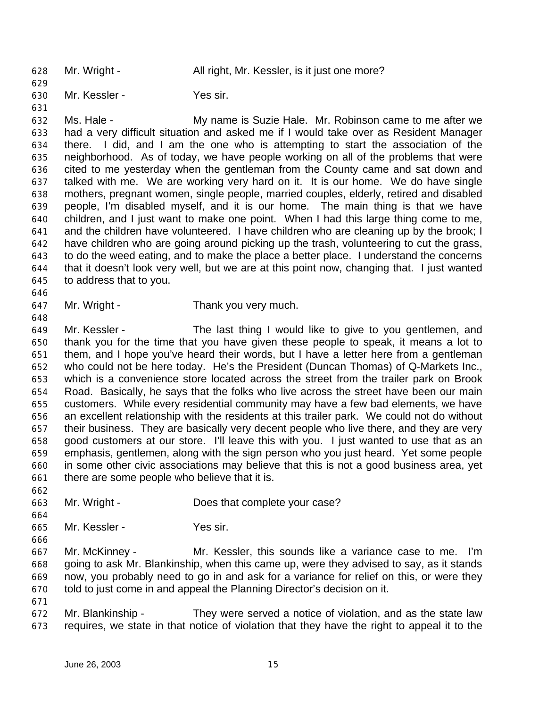628 Mr. Wright - All right, Mr. Kessler, is it just one more?

Mr. Kessler - Yes sir.

 Ms. Hale - My name is Suzie Hale. Mr. Robinson came to me after we had a very difficult situation and asked me if I would take over as Resident Manager there. I did, and I am the one who is attempting to start the association of the neighborhood. As of today, we have people working on all of the problems that were cited to me yesterday when the gentleman from the County came and sat down and talked with me. We are working very hard on it. It is our home. We do have single mothers, pregnant women, single people, married couples, elderly, retired and disabled people, I'm disabled myself, and it is our home. The main thing is that we have children, and I just want to make one point. When I had this large thing come to me, and the children have volunteered. I have children who are cleaning up by the brook; I have children who are going around picking up the trash, volunteering to cut the grass, to do the weed eating, and to make the place a better place. I understand the concerns that it doesn't look very well, but we are at this point now, changing that. I just wanted to address that to you.

- Mr. Wright Thank you very much.
- Mr. Kessler The last thing I would like to give to you gentlemen, and thank you for the time that you have given these people to speak, it means a lot to them, and I hope you've heard their words, but I have a letter here from a gentleman who could not be here today. He's the President (Duncan Thomas) of Q-Markets Inc., which is a convenience store located across the street from the trailer park on Brook Road. Basically, he says that the folks who live across the street have been our main customers. While every residential community may have a few bad elements, we have an excellent relationship with the residents at this trailer park. We could not do without their business. They are basically very decent people who live there, and they are very good customers at our store. I'll leave this with you. I just wanted to use that as an emphasis, gentlemen, along with the sign person who you just heard. Yet some people in some other civic associations may believe that this is not a good business area, yet there are some people who believe that it is.
- Mr. Wright Does that complete your case?
- Mr. Kessler - Yes sir.

 Mr. McKinney - Mr. Kessler, this sounds like a variance case to me. I'm going to ask Mr. Blankinship, when this came up, were they advised to say, as it stands now, you probably need to go in and ask for a variance for relief on this, or were they told to just come in and appeal the Planning Director's decision on it.

 Mr. Blankinship - They were served a notice of violation, and as the state law requires, we state in that notice of violation that they have the right to appeal it to the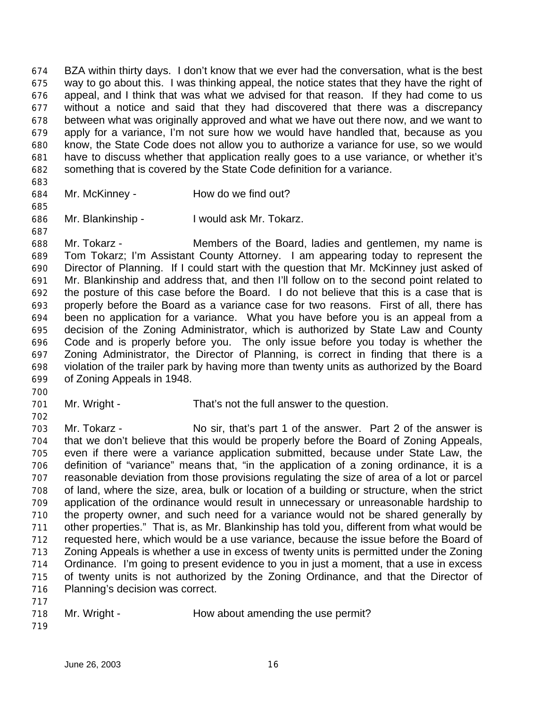BZA within thirty days. I don't know that we ever had the conversation, what is the best way to go about this. I was thinking appeal, the notice states that they have the right of appeal, and I think that was what we advised for that reason. If they had come to us without a notice and said that they had discovered that there was a discrepancy between what was originally approved and what we have out there now, and we want to apply for a variance, I'm not sure how we would have handled that, because as you know, the State Code does not allow you to authorize a variance for use, so we would have to discuss whether that application really goes to a use variance, or whether it's something that is covered by the State Code definition for a variance.

- 
- Mr. McKinney How do we find out?
- 

Mr. Blankinship - I would ask Mr. Tokarz.

 Mr. Tokarz - Members of the Board, ladies and gentlemen, my name is Tom Tokarz; I'm Assistant County Attorney. I am appearing today to represent the Director of Planning. If I could start with the question that Mr. McKinney just asked of Mr. Blankinship and address that, and then I'll follow on to the second point related to the posture of this case before the Board. I do not believe that this is a case that is properly before the Board as a variance case for two reasons. First of all, there has been no application for a variance. What you have before you is an appeal from a decision of the Zoning Administrator, which is authorized by State Law and County Code and is properly before you. The only issue before you today is whether the Zoning Administrator, the Director of Planning, is correct in finding that there is a violation of the trailer park by having more than twenty units as authorized by the Board of Zoning Appeals in 1948.

Mr. Wright - That's not the full answer to the question.

 Mr. Tokarz - No sir, that's part 1 of the answer. Part 2 of the answer is that we don't believe that this would be properly before the Board of Zoning Appeals, even if there were a variance application submitted, because under State Law, the definition of "variance" means that, "in the application of a zoning ordinance, it is a reasonable deviation from those provisions regulating the size of area of a lot or parcel of land, where the size, area, bulk or location of a building or structure, when the strict application of the ordinance would result in unnecessary or unreasonable hardship to the property owner, and such need for a variance would not be shared generally by other properties." That is, as Mr. Blankinship has told you, different from what would be requested here, which would be a use variance, because the issue before the Board of Zoning Appeals is whether a use in excess of twenty units is permitted under the Zoning Ordinance. I'm going to present evidence to you in just a moment, that a use in excess of twenty units is not authorized by the Zoning Ordinance, and that the Director of Planning's decision was correct.

| 718 | Mr. Wright - | How about amending the use permit? |
|-----|--------------|------------------------------------|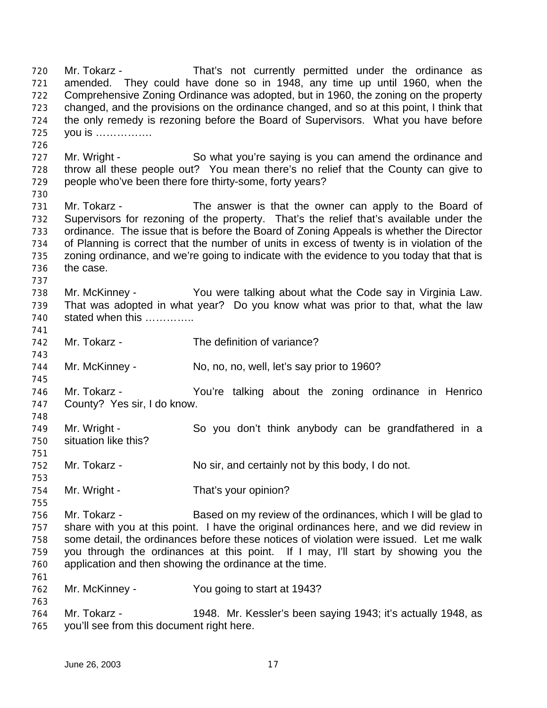Mr. Tokarz - That's not currently permitted under the ordinance as amended. They could have done so in 1948, any time up until 1960, when the Comprehensive Zoning Ordinance was adopted, but in 1960, the zoning on the property changed, and the provisions on the ordinance changed, and so at this point, I think that the only remedy is rezoning before the Board of Supervisors. What you have before you is ……………. 727 Mr. Wright - So what you're saying is you can amend the ordinance and throw all these people out? You mean there's no relief that the County can give to 729 people who've been there fore thirty-some, forty years? Mr. Tokarz - The answer is that the owner can apply to the Board of Supervisors for rezoning of the property. That's the relief that's available under the ordinance. The issue that is before the Board of Zoning Appeals is whether the Director of Planning is correct that the number of units in excess of twenty is in violation of the zoning ordinance, and we're going to indicate with the evidence to you today that that is the case. Mr. McKinney - You were talking about what the Code say in Virginia Law. That was adopted in what year? Do you know what was prior to that, what the law stated when this ………….. Mr. Tokarz - The definition of variance? Mr. McKinney - No, no, no, well, let's say prior to 1960? Mr. Tokarz - You're talking about the zoning ordinance in Henrico County? Yes sir, I do know. Mr. Wright - So you don't think anybody can be grandfathered in a situation like this? Mr. Tokarz - No sir, and certainly not by this body, I do not. 754 Mr. Wright - That's your opinion? Mr. Tokarz - Based on my review of the ordinances, which I will be glad to share with you at this point. I have the original ordinances here, and we did review in some detail, the ordinances before these notices of violation were issued. Let me walk you through the ordinances at this point. If I may, I'll start by showing you the application and then showing the ordinance at the time. Mr. McKinney - You going to start at 1943? Mr. Tokarz - 1948. Mr. Kessler's been saying 1943; it's actually 1948, as you'll see from this document right here.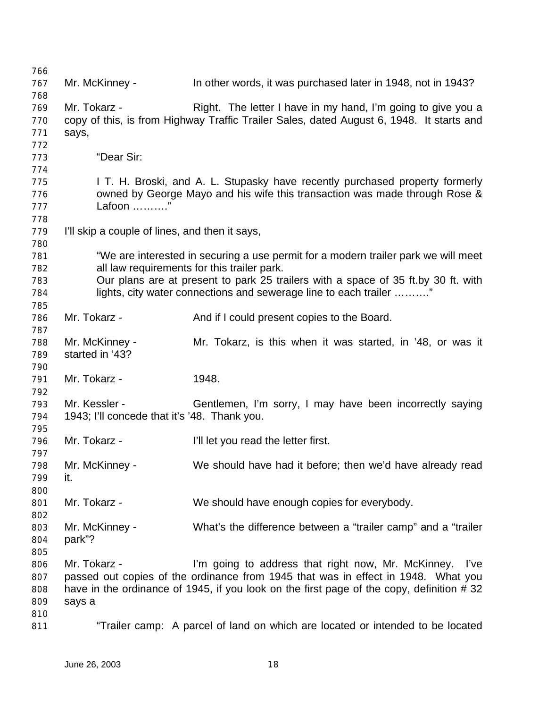Mr. McKinney - In other words, it was purchased later in 1948, not in 1943? Mr. Tokarz - Right. The letter I have in my hand, I'm going to give you a copy of this, is from Highway Traffic Trailer Sales, dated August 6, 1948. It starts and says, "Dear Sir: **I T. H. Broski, and A. L. Stupasky have recently purchased property formerly**  owned by George Mayo and his wife this transaction was made through Rose & Lafoon ………." I'll skip a couple of lines, and then it says, "We are interested in securing a use permit for a modern trailer park we will meet all law requirements for this trailer park. Our plans are at present to park 25 trailers with a space of 35 ft.by 30 ft. with lights, city water connections and sewerage line to each trailer ………." Mr. Tokarz - And if I could present copies to the Board. Mr. McKinney - Mr. Tokarz, is this when it was started, in '48, or was it started in '43? Mr. Tokarz - 1948. Mr. Kessler - Gentlemen, I'm sorry, I may have been incorrectly saying 1943; I'll concede that it's '48. Thank you. Mr. Tokarz - I'll let you read the letter first. Mr. McKinney - We should have had it before; then we'd have already read it. Mr. Tokarz - We should have enough copies for everybody. Mr. McKinney - What's the difference between a "trailer camp" and a "trailer park"? Mr. Tokarz - I'm going to address that right now, Mr. McKinney. I've passed out copies of the ordinance from 1945 that was in effect in 1948. What you 808 have in the ordinance of 1945, if you look on the first page of the copy, definition # 32 says a "Trailer camp: A parcel of land on which are located or intended to be located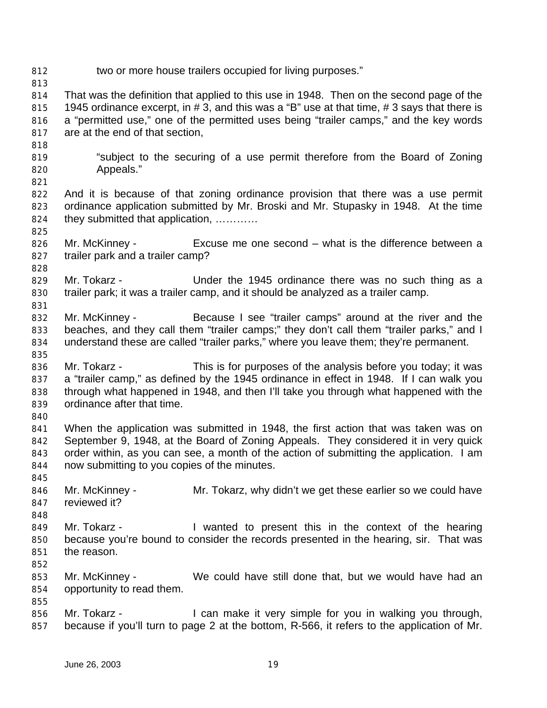two or more house trailers occupied for living purposes."

 That was the definition that applied to this use in 1948. Then on the second page of the 815 1945 ordinance excerpt, in # 3, and this was a "B" use at that time, # 3 says that there is a "permitted use," one of the permitted uses being "trailer camps," and the key words are at the end of that section,

- "subject to the securing of a use permit therefore from the Board of Zoning Appeals."
- And it is because of that zoning ordinance provision that there was a use permit ordinance application submitted by Mr. Broski and Mr. Stupasky in 1948. At the time they submitted that application, …………
- Mr. McKinney Excuse me one second what is the difference between a trailer park and a trailer camp?
- 829 Mr. Tokarz Under the 1945 ordinance there was no such thing as a trailer park; it was a trailer camp, and it should be analyzed as a trailer camp.
- Mr. McKinney Because I see "trailer camps" around at the river and the 833 beaches, and they call them "trailer camps;" they don't call them "trailer parks," and I understand these are called "trailer parks," where you leave them; they're permanent.
- Mr. Tokarz This is for purposes of the analysis before you today; it was a "trailer camp," as defined by the 1945 ordinance in effect in 1948. If I can walk you through what happened in 1948, and then I'll take you through what happened with the ordinance after that time.
- 

- When the application was submitted in 1948, the first action that was taken was on September 9, 1948, at the Board of Zoning Appeals. They considered it in very quick order within, as you can see, a month of the action of submitting the application. I am now submitting to you copies of the minutes.
- Mr. McKinney - Mr. Tokarz, why didn't we get these earlier so we could have reviewed it?
- Mr. Tokarz - I wanted to present this in the context of the hearing because you're bound to consider the records presented in the hearing, sir. That was the reason.
- 
- Mr. McKinney We could have still done that, but we would have had an opportunity to read them.
- 856 Mr. Tokarz I can make it very simple for you in walking you through, because if you'll turn to page 2 at the bottom, R-566, it refers to the application of Mr.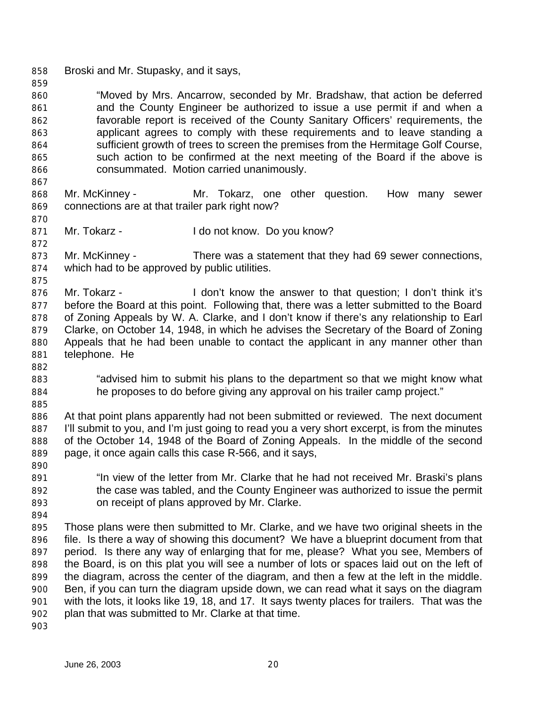Broski and Mr. Stupasky, and it says,

 "Moved by Mrs. Ancarrow, seconded by Mr. Bradshaw, that action be deferred and the County Engineer be authorized to issue a use permit if and when a favorable report is received of the County Sanitary Officers' requirements, the applicant agrees to comply with these requirements and to leave standing a sufficient growth of trees to screen the premises from the Hermitage Golf Course, such action to be confirmed at the next meeting of the Board if the above is consummated. Motion carried unanimously.

- Mr. McKinney Mr. Tokarz, one other question. How many sewer connections are at that trailer park right now?
- 871 Mr. Tokarz I do not know. Do you know?
- Mr. McKinney There was a statement that they had 69 sewer connections, which had to be approved by public utilities.
- 876 Mr. Tokarz - I don't know the answer to that question; I don't think it's before the Board at this point. Following that, there was a letter submitted to the Board of Zoning Appeals by W. A. Clarke, and I don't know if there's any relationship to Earl Clarke, on October 14, 1948, in which he advises the Secretary of the Board of Zoning Appeals that he had been unable to contact the applicant in any manner other than telephone. He
- "advised him to submit his plans to the department so that we might know what he proposes to do before giving any approval on his trailer camp project."
- At that point plans apparently had not been submitted or reviewed. The next document I'll submit to you, and I'm just going to read you a very short excerpt, is from the minutes of the October 14, 1948 of the Board of Zoning Appeals. In the middle of the second page, it once again calls this case R-566, and it says,
- "In view of the letter from Mr. Clarke that he had not received Mr. Braski's plans the case was tabled, and the County Engineer was authorized to issue the permit on receipt of plans approved by Mr. Clarke.
- 

 Those plans were then submitted to Mr. Clarke, and we have two original sheets in the file. Is there a way of showing this document? We have a blueprint document from that period. Is there any way of enlarging that for me, please? What you see, Members of the Board, is on this plat you will see a number of lots or spaces laid out on the left of the diagram, across the center of the diagram, and then a few at the left in the middle. Ben, if you can turn the diagram upside down, we can read what it says on the diagram with the lots, it looks like 19, 18, and 17. It says twenty places for trailers. That was the plan that was submitted to Mr. Clarke at that time.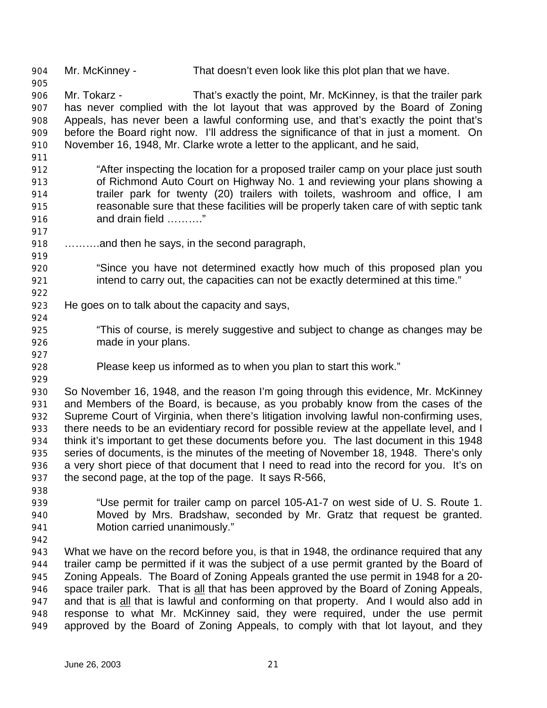Mr. McKinney - That doesn't even look like this plot plan that we have.

 Mr. Tokarz - That's exactly the point, Mr. McKinney, is that the trailer park has never complied with the lot layout that was approved by the Board of Zoning Appeals, has never been a lawful conforming use, and that's exactly the point that's before the Board right now. I'll address the significance of that in just a moment. On November 16, 1948, Mr. Clarke wrote a letter to the applicant, and he said,

- "After inspecting the location for a proposed trailer camp on your place just south of Richmond Auto Court on Highway No. 1 and reviewing your plans showing a trailer park for twenty (20) trailers with toilets, washroom and office, I am reasonable sure that these facilities will be properly taken care of with septic tank and drain field ………."
- ……….and then he says, in the second paragraph,
- "Since you have not determined exactly how much of this proposed plan you 921 intend to carry out, the capacities can not be exactly determined at this time."
- He goes on to talk about the capacity and says,
- "This of course, is merely suggestive and subject to change as changes may be made in your plans.
- Please keep us informed as to when you plan to start this work."
- 

 So November 16, 1948, and the reason I'm going through this evidence, Mr. McKinney and Members of the Board, is because, as you probably know from the cases of the Supreme Court of Virginia, when there's litigation involving lawful non-confirming uses, there needs to be an evidentiary record for possible review at the appellate level, and I think it's important to get these documents before you. The last document in this 1948 series of documents, is the minutes of the meeting of November 18, 1948. There's only a very short piece of that document that I need to read into the record for you. It's on the second page, at the top of the page. It says R-566,

- 
- "Use permit for trailer camp on parcel 105-A1-7 on west side of U. S. Route 1. Moved by Mrs. Bradshaw, seconded by Mr. Gratz that request be granted. Motion carried unanimously."
- 

 What we have on the record before you, is that in 1948, the ordinance required that any trailer camp be permitted if it was the subject of a use permit granted by the Board of Zoning Appeals. The Board of Zoning Appeals granted the use permit in 1948 for a 20- space trailer park. That is all that has been approved by the Board of Zoning Appeals, and that is all that is lawful and conforming on that property. And I would also add in response to what Mr. McKinney said, they were required, under the use permit approved by the Board of Zoning Appeals, to comply with that lot layout, and they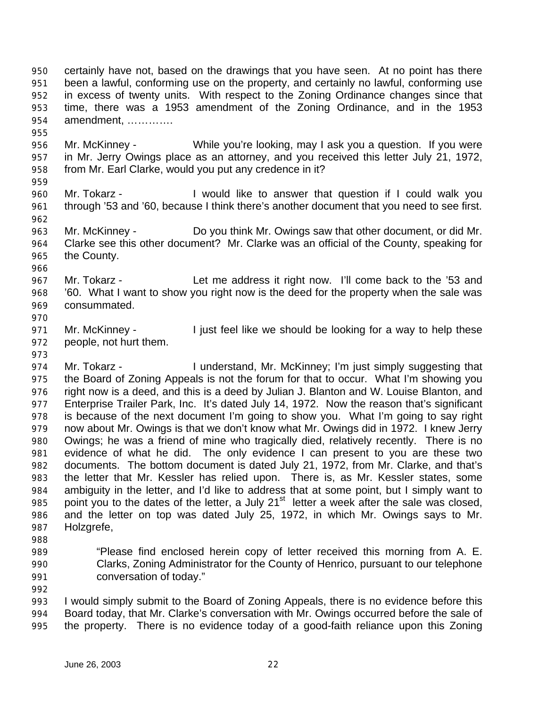certainly have not, based on the drawings that you have seen. At no point has there been a lawful, conforming use on the property, and certainly no lawful, conforming use in excess of twenty units. With respect to the Zoning Ordinance changes since that time, there was a 1953 amendment of the Zoning Ordinance, and in the 1953 amendment, ………….

- Mr. McKinney While you're looking, may I ask you a question. If you were in Mr. Jerry Owings place as an attorney, and you received this letter July 21, 1972, from Mr. Earl Clarke, would you put any credence in it?
- 

- Mr. Tokarz I would like to answer that question if I could walk you 961 through '53 and '60, because I think there's another document that you need to see first.
- Mr. McKinney Do you think Mr. Owings saw that other document, or did Mr. Clarke see this other document? Mr. Clarke was an official of the County, speaking for the County.
- Mr. Tokarz Let me address it right now. I'll come back to the '53 and '60. What I want to show you right now is the deed for the property when the sale was consummated.
- 

971 Mr. McKinney - I just feel like we should be looking for a way to help these people, not hurt them.

- 974 Mr. Tokarz I understand, Mr. McKinney; I'm just simply suggesting that the Board of Zoning Appeals is not the forum for that to occur. What I'm showing you right now is a deed, and this is a deed by Julian J. Blanton and W. Louise Blanton, and 977 Enterprise Trailer Park, Inc. It's dated July 14, 1972. Now the reason that's significant is because of the next document I'm going to show you. What I'm going to say right now about Mr. Owings is that we don't know what Mr. Owings did in 1972. I knew Jerry Owings; he was a friend of mine who tragically died, relatively recently. There is no evidence of what he did. The only evidence I can present to you are these two documents. The bottom document is dated July 21, 1972, from Mr. Clarke, and that's the letter that Mr. Kessler has relied upon. There is, as Mr. Kessler states, some ambiguity in the letter, and I'd like to address that at some point, but I simply want to point you to the dates of the letter, a July 21<sup>st</sup> letter a week after the sale was closed. and the letter on top was dated July 25, 1972, in which Mr. Owings says to Mr. Holzgrefe,
- 
- "Please find enclosed herein copy of letter received this morning from A. E. Clarks, Zoning Administrator for the County of Henrico, pursuant to our telephone conversation of today."
- 

 I would simply submit to the Board of Zoning Appeals, there is no evidence before this Board today, that Mr. Clarke's conversation with Mr. Owings occurred before the sale of the property. There is no evidence today of a good-faith reliance upon this Zoning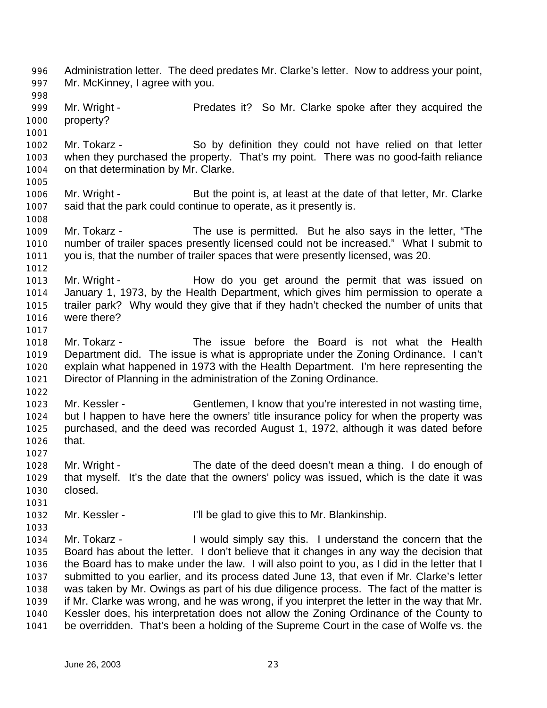Administration letter. The deed predates Mr. Clarke's letter. Now to address your point, Mr. McKinney, I agree with you. 999 Mr. Wright - Predates it? So Mr. Clarke spoke after they acquired the property? Mr. Tokarz - So by definition they could not have relied on that letter when they purchased the property. That's my point. There was no good-faith reliance on that determination by Mr. Clarke. Mr. Wright - But the point is, at least at the date of that letter, Mr. Clarke said that the park could continue to operate, as it presently is. Mr. Tokarz - The use is permitted. But he also says in the letter, "The number of trailer spaces presently licensed could not be increased." What I submit to you is, that the number of trailer spaces that were presently licensed, was 20. 1013 Mr. Wright - How do you get around the permit that was issued on January 1, 1973, by the Health Department, which gives him permission to operate a trailer park? Why would they give that if they hadn't checked the number of units that were there? Mr. Tokarz - The issue before the Board is not what the Health Department did. The issue is what is appropriate under the Zoning Ordinance. I can't explain what happened in 1973 with the Health Department. I'm here representing the Director of Planning in the administration of the Zoning Ordinance. Mr. Kessler - Gentlemen, I know that you're interested in not wasting time, but I happen to have here the owners' title insurance policy for when the property was purchased, and the deed was recorded August 1, 1972, although it was dated before that. Mr. Wright - The date of the deed doesn't mean a thing. I do enough of that myself. It's the date that the owners' policy was issued, which is the date it was closed. Mr. Kessler - I'll be glad to give this to Mr. Blankinship. Mr. Tokarz - I would simply say this. I understand the concern that the Board has about the letter. I don't believe that it changes in any way the decision that the Board has to make under the law. I will also point to you, as I did in the letter that I submitted to you earlier, and its process dated June 13, that even if Mr. Clarke's letter was taken by Mr. Owings as part of his due diligence process. The fact of the matter is if Mr. Clarke was wrong, and he was wrong, if you interpret the letter in the way that Mr. Kessler does, his interpretation does not allow the Zoning Ordinance of the County to be overridden. That's been a holding of the Supreme Court in the case of Wolfe vs. the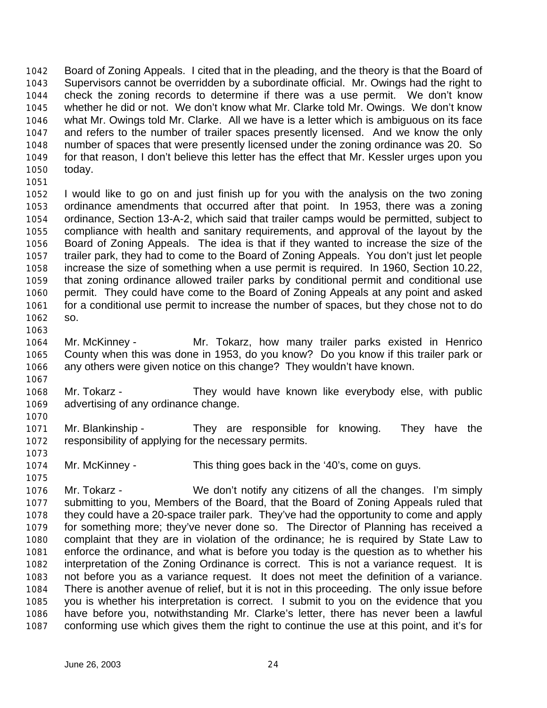Board of Zoning Appeals. I cited that in the pleading, and the theory is that the Board of Supervisors cannot be overridden by a subordinate official. Mr. Owings had the right to check the zoning records to determine if there was a use permit. We don't know whether he did or not. We don't know what Mr. Clarke told Mr. Owings. We don't know what Mr. Owings told Mr. Clarke. All we have is a letter which is ambiguous on its face and refers to the number of trailer spaces presently licensed. And we know the only number of spaces that were presently licensed under the zoning ordinance was 20. So for that reason, I don't believe this letter has the effect that Mr. Kessler urges upon you today.

 I would like to go on and just finish up for you with the analysis on the two zoning ordinance amendments that occurred after that point. In 1953, there was a zoning ordinance, Section 13-A-2, which said that trailer camps would be permitted, subject to compliance with health and sanitary requirements, and approval of the layout by the Board of Zoning Appeals. The idea is that if they wanted to increase the size of the trailer park, they had to come to the Board of Zoning Appeals. You don't just let people increase the size of something when a use permit is required. In 1960, Section 10.22, that zoning ordinance allowed trailer parks by conditional permit and conditional use permit. They could have come to the Board of Zoning Appeals at any point and asked 1061 for a conditional use permit to increase the number of spaces, but they chose not to do so.

- Mr. McKinney Mr. Tokarz, how many trailer parks existed in Henrico County when this was done in 1953, do you know? Do you know if this trailer park or any others were given notice on this change? They wouldn't have known.
- Mr. Tokarz They would have known like everybody else, with public advertising of any ordinance change.
- Mr. Blankinship They are responsible for knowing. They have the responsibility of applying for the necessary permits.
- Mr. McKinney This thing goes back in the '40's, come on guys.
- Mr. Tokarz We don't notify any citizens of all the changes. I'm simply submitting to you, Members of the Board, that the Board of Zoning Appeals ruled that they could have a 20-space trailer park. They've had the opportunity to come and apply for something more; they've never done so. The Director of Planning has received a complaint that they are in violation of the ordinance; he is required by State Law to enforce the ordinance, and what is before you today is the question as to whether his interpretation of the Zoning Ordinance is correct. This is not a variance request. It is not before you as a variance request. It does not meet the definition of a variance. There is another avenue of relief, but it is not in this proceeding. The only issue before you is whether his interpretation is correct. I submit to you on the evidence that you have before you, notwithstanding Mr. Clarke's letter, there has never been a lawful conforming use which gives them the right to continue the use at this point, and it's for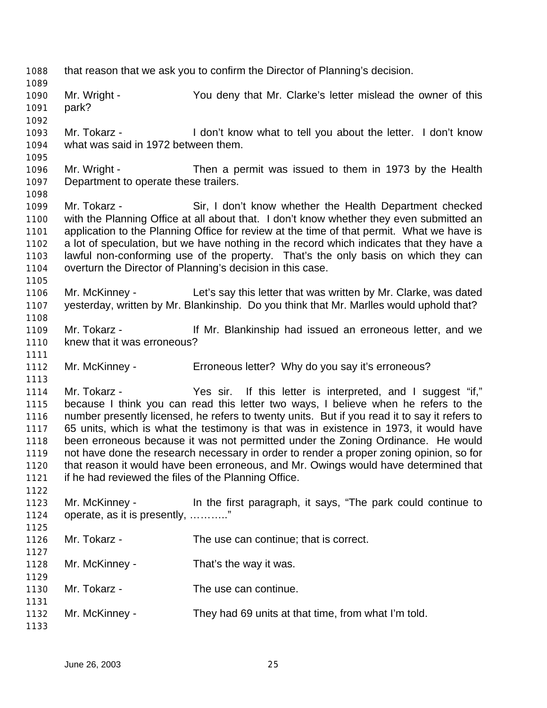that reason that we ask you to confirm the Director of Planning's decision. Mr. Wright - You deny that Mr. Clarke's letter mislead the owner of this park? Mr. Tokarz - I don't know what to tell you about the letter. I don't know what was said in 1972 between them. Mr. Wright - Then a permit was issued to them in 1973 by the Health Department to operate these trailers. Mr. Tokarz - Sir, I don't know whether the Health Department checked with the Planning Office at all about that. I don't know whether they even submitted an application to the Planning Office for review at the time of that permit. What we have is a lot of speculation, but we have nothing in the record which indicates that they have a lawful non-conforming use of the property. That's the only basis on which they can overturn the Director of Planning's decision in this case. Mr. McKinney - Let's say this letter that was written by Mr. Clarke, was dated yesterday, written by Mr. Blankinship. Do you think that Mr. Marlles would uphold that? Mr. Tokarz - If Mr. Blankinship had issued an erroneous letter, and we knew that it was erroneous? Mr. McKinney - Erroneous letter? Why do you say it's erroneous? Mr. Tokarz - Yes sir. If this letter is interpreted, and I suggest "if," because I think you can read this letter two ways, I believe when he refers to the number presently licensed, he refers to twenty units. But if you read it to say it refers to 65 units, which is what the testimony is that was in existence in 1973, it would have been erroneous because it was not permitted under the Zoning Ordinance. He would not have done the research necessary in order to render a proper zoning opinion, so for that reason it would have been erroneous, and Mr. Owings would have determined that if he had reviewed the files of the Planning Office. Mr. McKinney - In the first paragraph, it says, "The park could continue to operate, as it is presently, ……….." Mr. Tokarz - The use can continue; that is correct. Mr. McKinney - That's the way it was. 1130 Mr. Tokarz - The use can continue. Mr. McKinney - They had 69 units at that time, from what I'm told.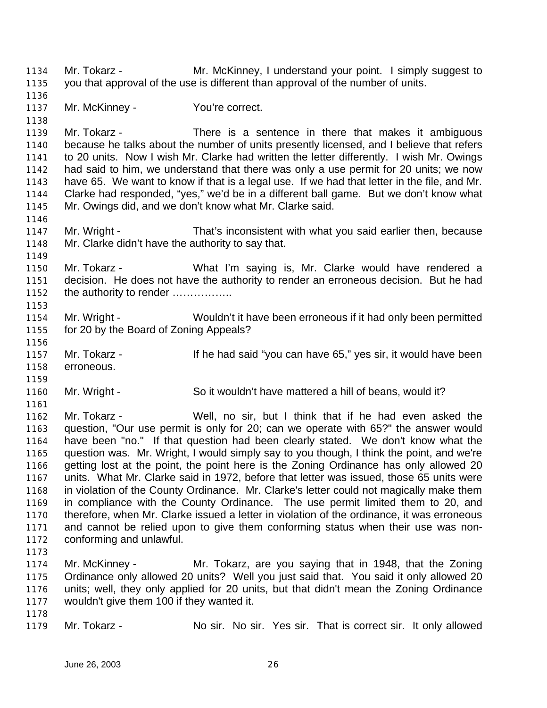Mr. Tokarz - Mr. McKinney, I understand your point. I simply suggest to you that approval of the use is different than approval of the number of units. 1137 Mr. McKinney - You're correct. 1139 Mr. Tokarz - There is a sentence in there that makes it ambiguous because he talks about the number of units presently licensed, and I believe that refers to 20 units. Now I wish Mr. Clarke had written the letter differently. I wish Mr. Owings had said to him, we understand that there was only a use permit for 20 units; we now have 65. We want to know if that is a legal use. If we had that letter in the file, and Mr. Clarke had responded, "yes," we'd be in a different ball game. But we don't know what Mr. Owings did, and we don't know what Mr. Clarke said. Mr. Wright - That's inconsistent with what you said earlier then, because Mr. Clarke didn't have the authority to say that. Mr. Tokarz - What I'm saying is, Mr. Clarke would have rendered a decision. He does not have the authority to render an erroneous decision. But he had 1152 the authority to render ................. Mr. Wright - Wouldn't it have been erroneous if it had only been permitted for 20 by the Board of Zoning Appeals? 1157 Mr. Tokarz - If he had said "you can have 65," yes sir, it would have been erroneous. Mr. Wright - So it wouldn't have mattered a hill of beans, would it? Mr. Tokarz - Well, no sir, but I think that if he had even asked the question, "Our use permit is only for 20; can we operate with 65?" the answer would have been "no." If that question had been clearly stated. We don't know what the question was. Mr. Wright, I would simply say to you though, I think the point, and we're getting lost at the point, the point here is the Zoning Ordinance has only allowed 20 units. What Mr. Clarke said in 1972, before that letter was issued, those 65 units were in violation of the County Ordinance. Mr. Clarke's letter could not magically make them in compliance with the County Ordinance. The use permit limited them to 20, and therefore, when Mr. Clarke issued a letter in violation of the ordinance, it was erroneous and cannot be relied upon to give them conforming status when their use was non- conforming and unlawful. Mr. McKinney - Mr. Tokarz, are you saying that in 1948, that the Zoning Ordinance only allowed 20 units? Well you just said that. You said it only allowed 20 units; well, they only applied for 20 units, but that didn't mean the Zoning Ordinance wouldn't give them 100 if they wanted it. Mr. Tokarz - No sir. No sir. Yes sir. That is correct sir. It only allowed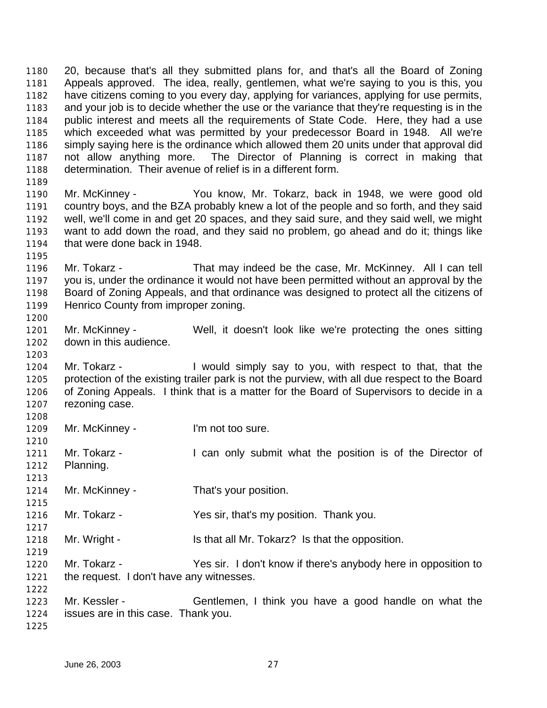20, because that's all they submitted plans for, and that's all the Board of Zoning Appeals approved. The idea, really, gentlemen, what we're saying to you is this, you have citizens coming to you every day, applying for variances, applying for use permits, and your job is to decide whether the use or the variance that they're requesting is in the public interest and meets all the requirements of State Code. Here, they had a use which exceeded what was permitted by your predecessor Board in 1948. All we're simply saying here is the ordinance which allowed them 20 units under that approval did not allow anything more. The Director of Planning is correct in making that determination. Their avenue of relief is in a different form. 

 Mr. McKinney - You know, Mr. Tokarz, back in 1948, we were good old country boys, and the BZA probably knew a lot of the people and so forth, and they said well, we'll come in and get 20 spaces, and they said sure, and they said well, we might want to add down the road, and they said no problem, go ahead and do it; things like that were done back in 1948.

 Mr. Tokarz - That may indeed be the case, Mr. McKinney. All I can tell you is, under the ordinance it would not have been permitted without an approval by the Board of Zoning Appeals, and that ordinance was designed to protect all the citizens of Henrico County from improper zoning.

 Mr. McKinney - Well, it doesn't look like we're protecting the ones sitting down in this audience.

1204 Mr. Tokarz - I would simply say to you, with respect to that, that the protection of the existing trailer park is not the purview, with all due respect to the Board of Zoning Appeals. I think that is a matter for the Board of Supervisors to decide in a rezoning case.

1209 Mr. McKinney - I'm not too sure.

1211 Mr. Tokarz - I can only submit what the position is of the Director of Planning.

1214 Mr. McKinney - That's your position.

Mr. Tokarz - Yes sir, that's my position. Thank you.

1218 Mr. Wright - Is that all Mr. Tokarz? Is that the opposition.

 Mr. Tokarz - Yes sir. I don't know if there's anybody here in opposition to the request. I don't have any witnesses.

 Mr. Kessler - Gentlemen, I think you have a good handle on what the issues are in this case. Thank you. 

June 26, 2003 27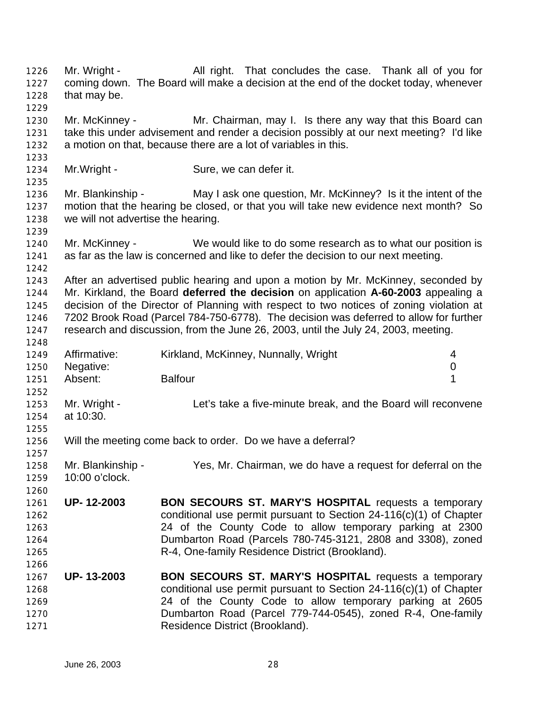1226 Mr. Wright - All right. That concludes the case. Thank all of you for coming down. The Board will make a decision at the end of the docket today, whenever that may be. Mr. McKinney - Mr. Chairman, may I. Is there any way that this Board can take this under advisement and render a decision possibly at our next meeting? I'd like a motion on that, because there are a lot of variables in this. Mr.Wright - Sure, we can defer it. Mr. Blankinship - May I ask one question, Mr. McKinney? Is it the intent of the motion that the hearing be closed, or that you will take new evidence next month? So we will not advertise the hearing. Mr. McKinney - We would like to do some research as to what our position is as far as the law is concerned and like to defer the decision to our next meeting. After an advertised public hearing and upon a motion by Mr. McKinney, seconded by Mr. Kirkland, the Board **deferred the decision** on application **A-60-2003** appealing a decision of the Director of Planning with respect to two notices of zoning violation at 7202 Brook Road (Parcel 784-750-6778). The decision was deferred to allow for further research and discussion, from the June 26, 2003, until the July 24, 2003, meeting. Affirmative: Kirkland, McKinney, Nunnally, Wright 4 Negative: 0 1251 Absent: Balfour **1**  Mr. Wright - Let's take a five-minute break, and the Board will reconvene at 10:30. Will the meeting come back to order. Do we have a deferral? Mr. Blankinship - Yes, Mr. Chairman, we do have a request for deferral on the 10:00 o'clock. **UP- 12-2003 BON SECOURS ST. MARY'S HOSPITAL** requests a temporary conditional use permit pursuant to Section 24-116(c)(1) of Chapter 24 of the County Code to allow temporary parking at 2300 Dumbarton Road (Parcels 780-745-3121, 2808 and 3308), zoned R-4, One-family Residence District (Brookland). **UP- 13-2003 BON SECOURS ST. MARY'S HOSPITAL** requests a temporary conditional use permit pursuant to Section 24-116(c)(1) of Chapter 24 of the County Code to allow temporary parking at 2605 Dumbarton Road (Parcel 779-744-0545), zoned R-4, One-family Residence District (Brookland).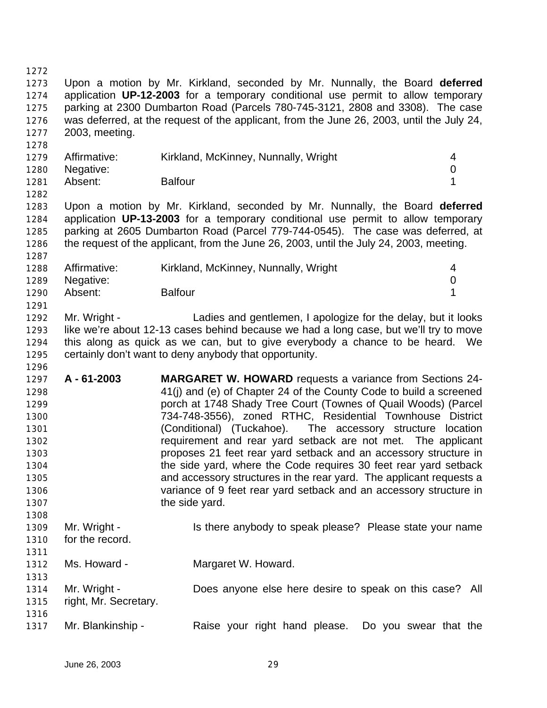Upon a motion by Mr. Kirkland, seconded by Mr. Nunnally, the Board **deferred** application **UP-12-2003** for a temporary conditional use permit to allow temporary parking at 2300 Dumbarton Road (Parcels 780-745-3121, 2808 and 3308). The case was deferred, at the request of the applicant, from the June 26, 2003, until the July 24, 2003, meeting. 1279 Affirmative: Kirkland, McKinney, Nunnally, Wright 4 Negative: 0 Absent: Balfour 1 Upon a motion by Mr. Kirkland, seconded by Mr. Nunnally, the Board **deferred** application **UP-13-2003** for a temporary conditional use permit to allow temporary parking at 2605 Dumbarton Road (Parcel 779-744-0545). The case was deferred, at the request of the applicant, from the June 26, 2003, until the July 24, 2003, meeting. Affirmative: Kirkland, McKinney, Nunnally, Wright 4 Negative: 0 Absent: Balfour 1 Mr. Wright - Ladies and gentlemen, I apologize for the delay, but it looks like we're about 12-13 cases behind because we had a long case, but we'll try to move this along as quick as we can, but to give everybody a chance to be heard. We certainly don't want to deny anybody that opportunity. **A - 61-2003 MARGARET W. HOWARD** requests a variance from Sections 24- 41(j) and (e) of Chapter 24 of the County Code to build a screened porch at 1748 Shady Tree Court (Townes of Quail Woods) (Parcel 734-748-3556), zoned RTHC, Residential Townhouse District (Conditional) (Tuckahoe). The accessory structure location requirement and rear yard setback are not met. The applicant proposes 21 feet rear yard setback and an accessory structure in the side yard, where the Code requires 30 feet rear yard setback and accessory structures in the rear yard. The applicant requests a variance of 9 feet rear yard setback and an accessory structure in 1307 the side yard. 1309 Mr. Wright - Is there anybody to speak please? Please state your name for the record. Ms. Howard - Margaret W. Howard. Mr. Wright - Does anyone else here desire to speak on this case? All right, Mr. Secretary. Mr. Blankinship - Raise your right hand please. Do you swear that the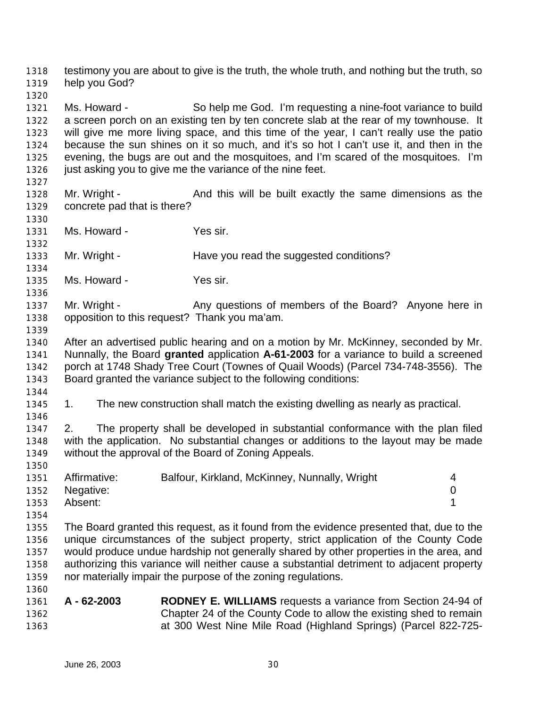testimony you are about to give is the truth, the whole truth, and nothing but the truth, so help you God?

 Ms. Howard - So help me God. I'm requesting a nine-foot variance to build a screen porch on an existing ten by ten concrete slab at the rear of my townhouse. It will give me more living space, and this time of the year, I can't really use the patio because the sun shines on it so much, and it's so hot I can't use it, and then in the evening, the bugs are out and the mosquitoes, and I'm scared of the mosquitoes. I'm 1326 just asking you to give me the variance of the nine feet.

- Mr. Wright And this will be built exactly the same dimensions as the concrete pad that is there?
- Ms. Howard Yes sir.

1333 Mr. Wright - Have you read the suggested conditions? 

Ms. Howard - Yes sir.

1337 Mr. Wright - Any questions of members of the Board? Anyone here in opposition to this request? Thank you ma'am.

 After an advertised public hearing and on a motion by Mr. McKinney, seconded by Mr. Nunnally, the Board **granted** application **A-61-2003** for a variance to build a screened porch at 1748 Shady Tree Court (Townes of Quail Woods) (Parcel 734-748-3556). The Board granted the variance subject to the following conditions:

1. The new construction shall match the existing dwelling as nearly as practical.

 2. The property shall be developed in substantial conformance with the plan filed with the application. No substantial changes or additions to the layout may be made without the approval of the Board of Zoning Appeals.

| 1351 | Affirmative:   | Balfour, Kirkland, McKinney, Nunnally, Wright |  |
|------|----------------|-----------------------------------------------|--|
|      | 1352 Negative: |                                               |  |
| 1353 | Absent:        |                                               |  |

 The Board granted this request, as it found from the evidence presented that, due to the unique circumstances of the subject property, strict application of the County Code would produce undue hardship not generally shared by other properties in the area, and authorizing this variance will neither cause a substantial detriment to adjacent property nor materially impair the purpose of the zoning regulations.

 **A - 62-2003 RODNEY E. WILLIAMS** requests a variance from Section 24-94 of Chapter 24 of the County Code to allow the existing shed to remain at 300 West Nine Mile Road (Highland Springs) (Parcel 822-725-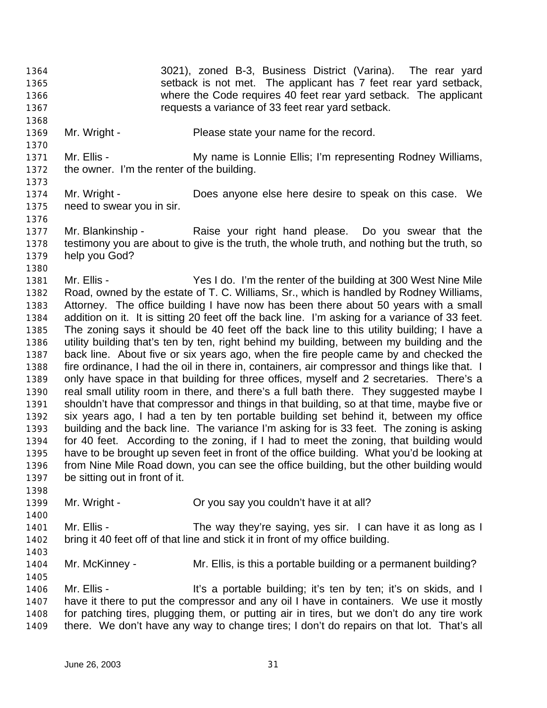- 3021), zoned B-3, Business District (Varina). The rear yard setback is not met. The applicant has 7 feet rear yard setback, where the Code requires 40 feet rear yard setback. The applicant requests a variance of 33 feet rear yard setback.
- 1369 Mr. Wright Please state your name for the record.
- 1371 Mr. Ellis My name is Lonnie Ellis; I'm representing Rodney Williams, the owner. I'm the renter of the building.
- Mr. Wright Does anyone else here desire to speak on this case. We need to swear you in sir.
- Mr. Blankinship Raise your right hand please. Do you swear that the testimony you are about to give is the truth, the whole truth, and nothing but the truth, so help you God?
- Mr. Ellis - Yes I do. I'm the renter of the building at 300 West Nine Mile Road, owned by the estate of T. C. Williams, Sr., which is handled by Rodney Williams, Attorney. The office building I have now has been there about 50 years with a small addition on it. It is sitting 20 feet off the back line. I'm asking for a variance of 33 feet. The zoning says it should be 40 feet off the back line to this utility building; I have a utility building that's ten by ten, right behind my building, between my building and the back line. About five or six years ago, when the fire people came by and checked the fire ordinance, I had the oil in there in, containers, air compressor and things like that. I only have space in that building for three offices, myself and 2 secretaries. There's a real small utility room in there, and there's a full bath there. They suggested maybe I shouldn't have that compressor and things in that building, so at that time, maybe five or six years ago, I had a ten by ten portable building set behind it, between my office building and the back line. The variance I'm asking for is 33 feet. The zoning is asking for 40 feet. According to the zoning, if I had to meet the zoning, that building would have to be brought up seven feet in front of the office building. What you'd be looking at from Nine Mile Road down, you can see the office building, but the other building would be sitting out in front of it.
- Mr. Wright Or you say you couldn't have it at all?
- Mr. Ellis The way they're saying, yes sir. I can have it as long as I bring it 40 feet off of that line and stick it in front of my office building.
- Mr. McKinney Mr. Ellis, is this a portable building or a permanent building?
- Mr. Ellis It's a portable building; it's ten by ten; it's on skids, and I have it there to put the compressor and any oil I have in containers. We use it mostly for patching tires, plugging them, or putting air in tires, but we don't do any tire work there. We don't have any way to change tires; I don't do repairs on that lot. That's all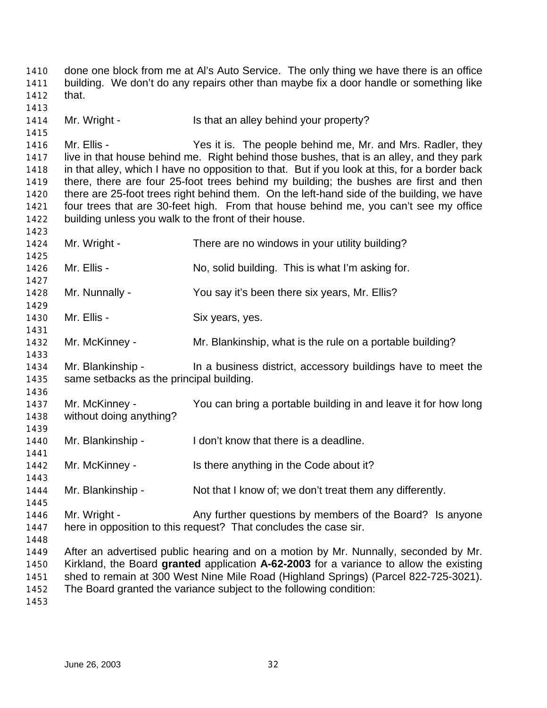done one block from me at Al's Auto Service. The only thing we have there is an office building. We don't do any repairs other than maybe fix a door handle or something like that. 1414 Mr. Wright - Is that an alley behind your property? Mr. Ellis - Yes it is. The people behind me, Mr. and Mrs. Radler, they live in that house behind me. Right behind those bushes, that is an alley, and they park in that alley, which I have no opposition to that. But if you look at this, for a border back there, there are four 25-foot trees behind my building; the bushes are first and then there are 25-foot trees right behind them. On the left-hand side of the building, we have four trees that are 30-feet high. From that house behind me, you can't see my office building unless you walk to the front of their house. Mr. Wright - There are no windows in your utility building? Mr. Ellis - No, solid building. This is what I'm asking for. Mr. Nunnally - You say it's been there six years, Mr. Ellis? 1430 Mr. Ellis - Six years, yes. Mr. McKinney - Mr. Blankinship, what is the rule on a portable building? Mr. Blankinship - In a business district, accessory buildings have to meet the same setbacks as the principal building. Mr. McKinney - You can bring a portable building in and leave it for how long without doing anything? 1440 Mr. Blankinship - I don't know that there is a deadline. 1442 Mr. McKinney - Is there anything in the Code about it? Mr. Blankinship - Not that I know of; we don't treat them any differently. 1446 Mr. Wright - Any further questions by members of the Board? Is anyone here in opposition to this request? That concludes the case sir. After an advertised public hearing and on a motion by Mr. Nunnally, seconded by Mr. Kirkland, the Board **granted** application **A-62-2003** for a variance to allow the existing shed to remain at 300 West Nine Mile Road (Highland Springs) (Parcel 822-725-3021). The Board granted the variance subject to the following condition: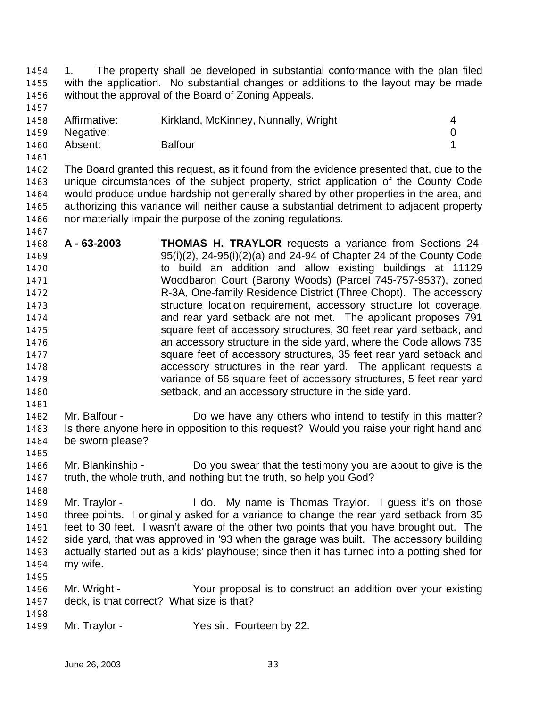1. The property shall be developed in substantial conformance with the plan filed with the application. No substantial changes or additions to the layout may be made without the approval of the Board of Zoning Appeals.

|      | 1458 Affirmative: | Kirkland, McKinney, Nunnally, Wright |  |
|------|-------------------|--------------------------------------|--|
|      | 1459 Negative:    |                                      |  |
| 1460 | Absent:           | <b>Balfour</b>                       |  |

 The Board granted this request, as it found from the evidence presented that, due to the unique circumstances of the subject property, strict application of the County Code would produce undue hardship not generally shared by other properties in the area, and authorizing this variance will neither cause a substantial detriment to adjacent property nor materially impair the purpose of the zoning regulations. 

- **A 63-2003 THOMAS H. TRAYLOR** requests a variance from Sections 24- 95(i)(2), 24-95(i)(2)(a) and 24-94 of Chapter 24 of the County Code to build an addition and allow existing buildings at 11129 Woodbaron Court (Barony Woods) (Parcel 745-757-9537), zoned R-3A, One-family Residence District (Three Chopt). The accessory structure location requirement, accessory structure lot coverage, and rear yard setback are not met. The applicant proposes 791 square feet of accessory structures, 30 feet rear yard setback, and an accessory structure in the side yard, where the Code allows 735 square feet of accessory structures, 35 feet rear yard setback and accessory structures in the rear yard. The applicant requests a variance of 56 square feet of accessory structures, 5 feet rear yard setback, and an accessory structure in the side yard.
- Mr. Balfour Do we have any others who intend to testify in this matter? Is there anyone here in opposition to this request? Would you raise your right hand and be sworn please?
- Mr. Blankinship Do you swear that the testimony you are about to give is the truth, the whole truth, and nothing but the truth, so help you God?
- Mr. Traylor I do. My name is Thomas Traylor. I guess it's on those three points. I originally asked for a variance to change the rear yard setback from 35 feet to 30 feet. I wasn't aware of the other two points that you have brought out. The side yard, that was approved in '93 when the garage was built. The accessory building actually started out as a kids' playhouse; since then it has turned into a potting shed for my wife.
- Mr. Wright Your proposal is to construct an addition over your existing deck, is that correct? What size is that?
- 1499 Mr. Traylor Yes sir. Fourteen by 22.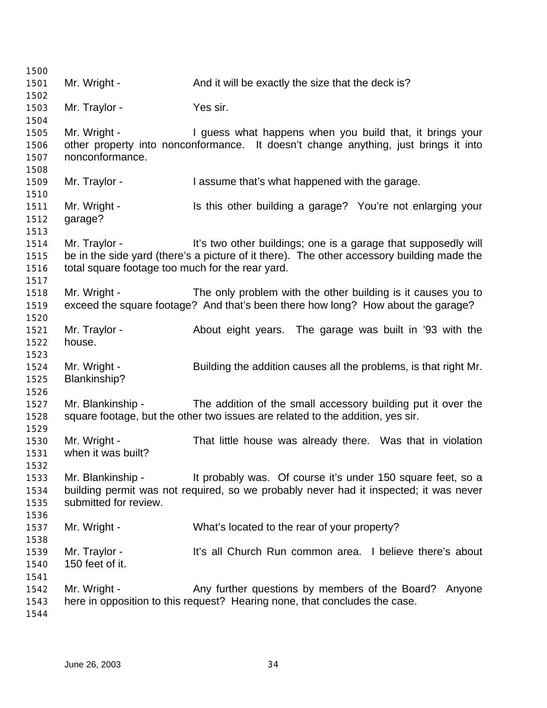| 1500         |                                                  |                                                                                            |
|--------------|--------------------------------------------------|--------------------------------------------------------------------------------------------|
| 1501         | Mr. Wright -                                     | And it will be exactly the size that the deck is?                                          |
| 1502         |                                                  |                                                                                            |
| 1503         | Mr. Traylor -                                    | Yes sir.                                                                                   |
| 1504<br>1505 | Mr. Wright -                                     | I guess what happens when you build that, it brings your                                   |
| 1506         |                                                  | other property into nonconformance. It doesn't change anything, just brings it into        |
| 1507         | nonconformance.                                  |                                                                                            |
| 1508         |                                                  |                                                                                            |
| 1509         | Mr. Traylor -                                    | I assume that's what happened with the garage.                                             |
| 1510         |                                                  |                                                                                            |
| 1511         | Mr. Wright -                                     | Is this other building a garage? You're not enlarging your                                 |
| 1512         | garage?                                          |                                                                                            |
| 1513         |                                                  |                                                                                            |
| 1514         | Mr. Traylor -                                    | It's two other buildings; one is a garage that supposedly will                             |
| 1515         | total square footage too much for the rear yard. | be in the side yard (there's a picture of it there). The other accessory building made the |
| 1516<br>1517 |                                                  |                                                                                            |
| 1518         | Mr. Wright -                                     | The only problem with the other building is it causes you to                               |
| 1519         |                                                  | exceed the square footage? And that's been there how long? How about the garage?           |
| 1520         |                                                  |                                                                                            |
| 1521         | Mr. Traylor -                                    | About eight years. The garage was built in '93 with the                                    |
| 1522         | house.                                           |                                                                                            |
| 1523         |                                                  |                                                                                            |
| 1524         | Mr. Wright -                                     | Building the addition causes all the problems, is that right Mr.                           |
| 1525         | Blankinship?                                     |                                                                                            |
| 1526         |                                                  |                                                                                            |
| 1527         | Mr. Blankinship -                                | The addition of the small accessory building put it over the                               |
| 1528         |                                                  | square footage, but the other two issues are related to the addition, yes sir.             |
| 1529         |                                                  |                                                                                            |
| 1530<br>1531 | Mr. Wright -<br>when it was built?               | That little house was already there. Was that in violation                                 |
| 1532         |                                                  |                                                                                            |
| 1533         | Mr. Blankinship -                                | It probably was. Of course it's under 150 square feet, so a                                |
| 1534         |                                                  | building permit was not required, so we probably never had it inspected; it was never      |
| 1535         | submitted for review.                            |                                                                                            |
| 1536         |                                                  |                                                                                            |
| 1537         | Mr. Wright -                                     | What's located to the rear of your property?                                               |
| 1538         |                                                  |                                                                                            |
| 1539         | Mr. Traylor -                                    | It's all Church Run common area. I believe there's about                                   |
| 1540         | 150 feet of it.                                  |                                                                                            |
| 1541         |                                                  |                                                                                            |
| 1542         | Mr. Wright -                                     | Any further questions by members of the Board? Anyone                                      |
| 1543         |                                                  | here in opposition to this request? Hearing none, that concludes the case.                 |
| 1544         |                                                  |                                                                                            |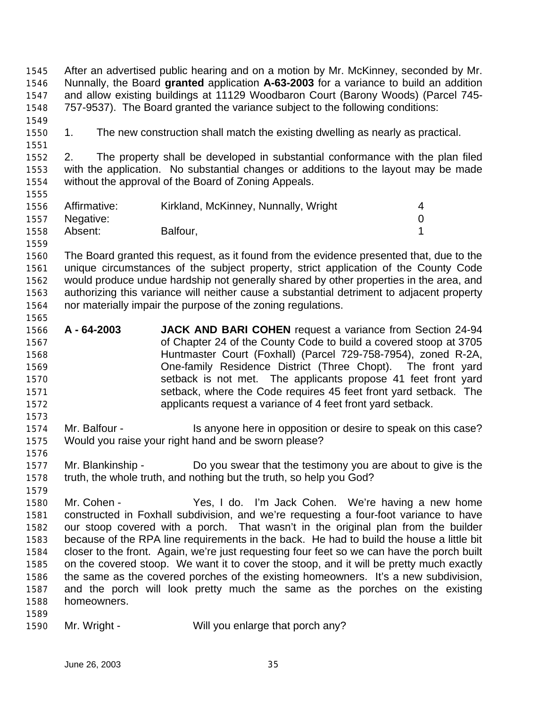After an advertised public hearing and on a motion by Mr. McKinney, seconded by Mr. Nunnally, the Board **granted** application **A-63-2003** for a variance to build an addition and allow existing buildings at 11129 Woodbaron Court (Barony Woods) (Parcel 745- 757-9537). The Board granted the variance subject to the following conditions: 1. The new construction shall match the existing dwelling as nearly as practical. 2. The property shall be developed in substantial conformance with the plan filed with the application. No substantial changes or additions to the layout may be made without the approval of the Board of Zoning Appeals. 1556 Affirmative: Kirkland, McKinney, Nunnally, Wright 4 Negative: 0 1558 Absent: Balfour, 1558 Absent: 1 The Board granted this request, as it found from the evidence presented that, due to the unique circumstances of the subject property, strict application of the County Code would produce undue hardship not generally shared by other properties in the area, and authorizing this variance will neither cause a substantial detriment to adjacent property nor materially impair the purpose of the zoning regulations. **A - 64-2003 JACK AND BARI COHEN** request a variance from Section 24-94 of Chapter 24 of the County Code to build a covered stoop at 3705 Huntmaster Court (Foxhall) (Parcel 729-758-7954), zoned R-2A, One-family Residence District (Three Chopt). The front yard setback is not met. The applicants propose 41 feet front yard setback, where the Code requires 45 feet front yard setback. The applicants request a variance of 4 feet front yard setback. 1574 Mr. Balfour - Is anyone here in opposition or desire to speak on this case? Would you raise your right hand and be sworn please? Mr. Blankinship - Do you swear that the testimony you are about to give is the truth, the whole truth, and nothing but the truth, so help you God? Mr. Cohen - Yes, I do. I'm Jack Cohen. We're having a new home constructed in Foxhall subdivision, and we're requesting a four-foot variance to have our stoop covered with a porch. That wasn't in the original plan from the builder because of the RPA line requirements in the back. He had to build the house a little bit closer to the front. Again, we're just requesting four feet so we can have the porch built on the covered stoop. We want it to cover the stoop, and it will be pretty much exactly the same as the covered porches of the existing homeowners. It's a new subdivision, and the porch will look pretty much the same as the porches on the existing homeowners. 

1590 Mr. Wright - Will you enlarge that porch any?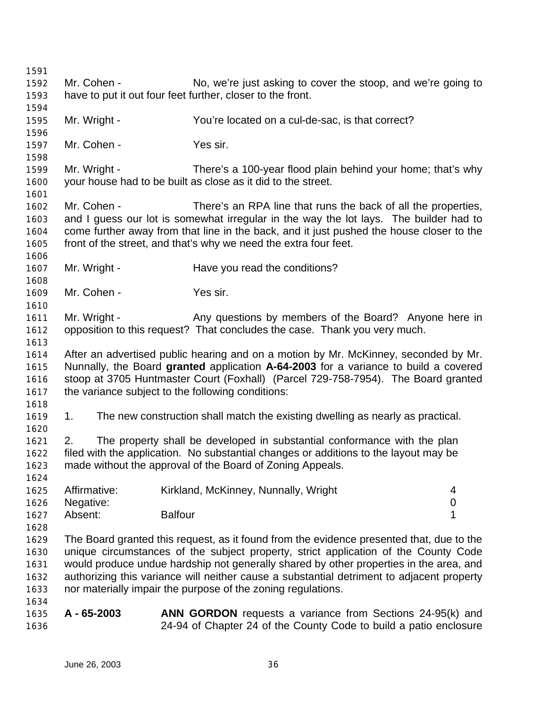| 1591 |                                                            |                                                                                           |                  |
|------|------------------------------------------------------------|-------------------------------------------------------------------------------------------|------------------|
| 1592 | Mr. Cohen -                                                | No, we're just asking to cover the stoop, and we're going to                              |                  |
| 1593 | have to put it out four feet further, closer to the front. |                                                                                           |                  |
| 1594 |                                                            |                                                                                           |                  |
| 1595 | Mr. Wright -                                               | You're located on a cul-de-sac, is that correct?                                          |                  |
| 1596 |                                                            |                                                                                           |                  |
| 1597 | Mr. Cohen -                                                | Yes sir.                                                                                  |                  |
| 1598 |                                                            |                                                                                           |                  |
| 1599 | Mr. Wright -                                               | There's a 100-year flood plain behind your home; that's why                               |                  |
| 1600 |                                                            | your house had to be built as close as it did to the street.                              |                  |
| 1601 |                                                            |                                                                                           |                  |
| 1602 | Mr. Cohen -                                                | There's an RPA line that runs the back of all the properties,                             |                  |
| 1603 |                                                            | and I guess our lot is somewhat irregular in the way the lot lays. The builder had to     |                  |
| 1604 |                                                            | come further away from that line in the back, and it just pushed the house closer to the  |                  |
| 1605 |                                                            | front of the street, and that's why we need the extra four feet.                          |                  |
| 1606 |                                                            |                                                                                           |                  |
| 1607 | Mr. Wright -                                               | Have you read the conditions?                                                             |                  |
| 1608 |                                                            |                                                                                           |                  |
| 1609 | Mr. Cohen -                                                | Yes sir.                                                                                  |                  |
| 1610 |                                                            |                                                                                           |                  |
| 1611 | Mr. Wright -                                               | Any questions by members of the Board? Anyone here in                                     |                  |
| 1612 |                                                            | opposition to this request? That concludes the case. Thank you very much.                 |                  |
| 1613 |                                                            |                                                                                           |                  |
| 1614 |                                                            | After an advertised public hearing and on a motion by Mr. McKinney, seconded by Mr.       |                  |
| 1615 |                                                            | Nunnally, the Board granted application A-64-2003 for a variance to build a covered       |                  |
| 1616 |                                                            | stoop at 3705 Huntmaster Court (Foxhall) (Parcel 729-758-7954). The Board granted         |                  |
| 1617 | the variance subject to the following conditions:          |                                                                                           |                  |
| 1618 |                                                            |                                                                                           |                  |
| 1619 | 1.                                                         | The new construction shall match the existing dwelling as nearly as practical.            |                  |
| 1620 |                                                            |                                                                                           |                  |
| 1621 | 2.                                                         | The property shall be developed in substantial conformance with the plan                  |                  |
| 1622 |                                                            | filed with the application. No substantial changes or additions to the layout may be      |                  |
| 1623 |                                                            | made without the approval of the Board of Zoning Appeals.                                 |                  |
| 1624 |                                                            |                                                                                           |                  |
| 1625 | Affirmative:                                               | Kirkland, McKinney, Nunnally, Wright                                                      | 4                |
| 1626 | Negative:                                                  |                                                                                           | $\boldsymbol{0}$ |
| 1627 | Absent:<br><b>Balfour</b>                                  |                                                                                           | 1                |
| 1628 |                                                            |                                                                                           |                  |
| 1629 |                                                            | The Board granted this request, as it found from the evidence presented that, due to the  |                  |
| 1630 |                                                            | unique circumstances of the subject property, strict application of the County Code       |                  |
| 1631 |                                                            | would produce undue hardship not generally shared by other properties in the area, and    |                  |
| 1632 |                                                            | authorizing this variance will neither cause a substantial detriment to adjacent property |                  |
|      |                                                            | nor materially impair the purpose of the zoning regulations.                              |                  |
| 1633 |                                                            |                                                                                           |                  |
| 1634 | A - 65-2003                                                |                                                                                           |                  |
| 1635 |                                                            | <b>ANN GORDON</b> requests a variance from Sections 24-95(k) and                          |                  |
| 1636 |                                                            | 24-94 of Chapter 24 of the County Code to build a patio enclosure                         |                  |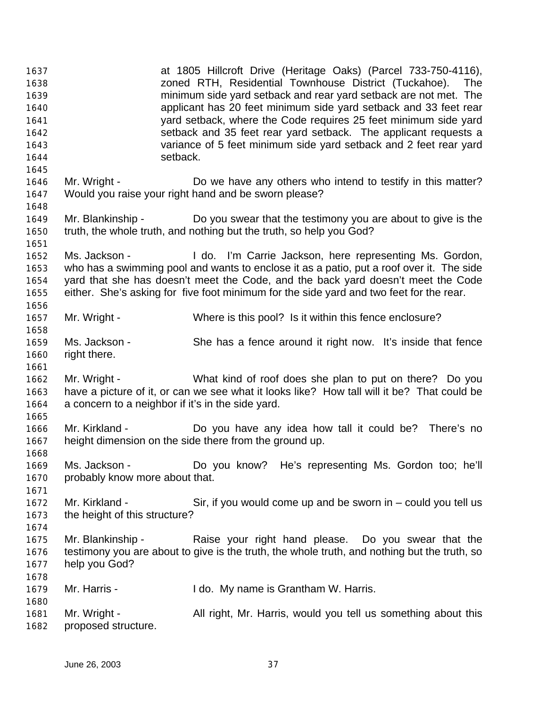| 1637<br>1638<br>1639<br>1640<br>1641<br>1642<br>1643<br>1644 |                                                                   | at 1805 Hillcroft Drive (Heritage Oaks) (Parcel 733-750-4116),<br>zoned RTH, Residential Townhouse District (Tuckahoe). The<br>minimum side yard setback and rear yard setback are not met. The<br>applicant has 20 feet minimum side yard setback and 33 feet rear<br>yard setback, where the Code requires 25 feet minimum side yard<br>setback and 35 feet rear yard setback. The applicant requests a<br>variance of 5 feet minimum side yard setback and 2 feet rear yard<br>setback. |
|--------------------------------------------------------------|-------------------------------------------------------------------|--------------------------------------------------------------------------------------------------------------------------------------------------------------------------------------------------------------------------------------------------------------------------------------------------------------------------------------------------------------------------------------------------------------------------------------------------------------------------------------------|
| 1645<br>1646<br>1647                                         | Mr. Wright -                                                      | Do we have any others who intend to testify in this matter?<br>Would you raise your right hand and be sworn please?                                                                                                                                                                                                                                                                                                                                                                        |
| 1648<br>1649<br>1650<br>1651                                 | Mr. Blankinship -                                                 | Do you swear that the testimony you are about to give is the<br>truth, the whole truth, and nothing but the truth, so help you God?                                                                                                                                                                                                                                                                                                                                                        |
| 1652<br>1653<br>1654<br>1655<br>1656                         | Ms. Jackson -                                                     | I do. I'm Carrie Jackson, here representing Ms. Gordon,<br>who has a swimming pool and wants to enclose it as a patio, put a roof over it. The side<br>yard that she has doesn't meet the Code, and the back yard doesn't meet the Code<br>either. She's asking for five foot minimum for the side yard and two feet for the rear.                                                                                                                                                         |
| 1657                                                         | Mr. Wright -                                                      | Where is this pool? Is it within this fence enclosure?                                                                                                                                                                                                                                                                                                                                                                                                                                     |
| 1658<br>1659<br>1660<br>1661                                 | Ms. Jackson -<br>right there.                                     | She has a fence around it right now. It's inside that fence                                                                                                                                                                                                                                                                                                                                                                                                                                |
| 1662<br>1663<br>1664                                         | Mr. Wright -<br>a concern to a neighbor if it's in the side yard. | What kind of roof does she plan to put on there? Do you<br>have a picture of it, or can we see what it looks like? How tall will it be? That could be                                                                                                                                                                                                                                                                                                                                      |
| 1665<br>1666<br>1667<br>1668                                 | Mr. Kirkland -                                                    | Do you have any idea how tall it could be? There's no<br>height dimension on the side there from the ground up.                                                                                                                                                                                                                                                                                                                                                                            |
| 1669<br>1670<br>1671                                         | Ms. Jackson -<br>probably know more about that.                   | Do you know? He's representing Ms. Gordon too; he'll                                                                                                                                                                                                                                                                                                                                                                                                                                       |
| 1672<br>1673<br>1674                                         | Mr. Kirkland -<br>the height of this structure?                   | Sir, if you would come up and be sworn in $-$ could you tell us                                                                                                                                                                                                                                                                                                                                                                                                                            |
| 1675<br>1676<br>1677                                         | Mr. Blankinship -<br>help you God?                                | Raise your right hand please. Do you swear that the<br>testimony you are about to give is the truth, the whole truth, and nothing but the truth, so                                                                                                                                                                                                                                                                                                                                        |
| 1678<br>1679                                                 | Mr. Harris -                                                      | I do. My name is Grantham W. Harris.                                                                                                                                                                                                                                                                                                                                                                                                                                                       |
| 1680<br>1681<br>1682                                         | Mr. Wright -<br>proposed structure.                               | All right, Mr. Harris, would you tell us something about this                                                                                                                                                                                                                                                                                                                                                                                                                              |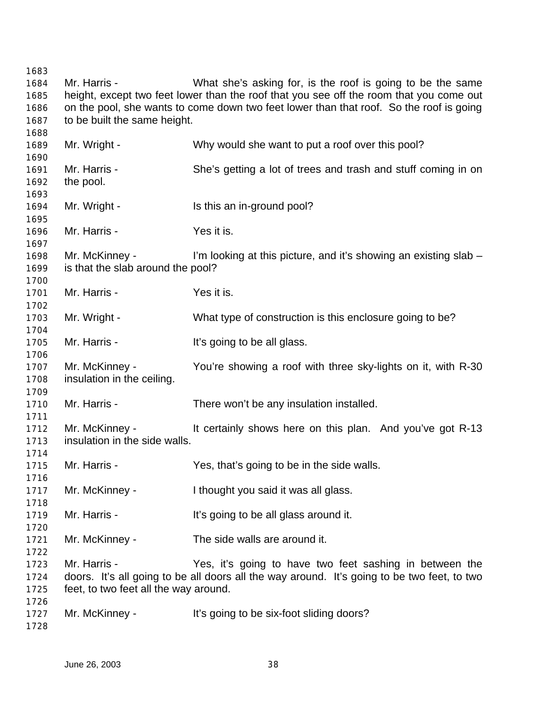Mr. Harris - What she's asking for, is the roof is going to be the same height, except two feet lower than the roof that you see off the room that you come out on the pool, she wants to come down two feet lower than that roof. So the roof is going to be built the same height. Mr. Wright - Why would she want to put a roof over this pool? Mr. Harris - She's getting a lot of trees and trash and stuff coming in on the pool. 1694 Mr. Wright - Is this an in-ground pool? Mr. Harris - Yes it is. Mr. McKinney - I'm looking at this picture, and it's showing an existing slab – is that the slab around the pool? Mr. Harris - Yes it is. 1703 Mr. Wright - What type of construction is this enclosure going to be? Mr. Harris - It's going to be all glass. Mr. McKinney - You're showing a roof with three sky-lights on it, with R-30 insulation in the ceiling. 1710 Mr. Harris - There won't be any insulation installed. 1712 Mr. McKinney - It certainly shows here on this plan. And you've got R-13 insulation in the side walls. Mr. Harris - Yes, that's going to be in the side walls. 1717 Mr. McKinney - I thought you said it was all glass. 1719 Mr. Harris - It's going to be all glass around it. Mr. McKinney - The side walls are around it. Mr. Harris - Yes, it's going to have two feet sashing in between the doors. It's all going to be all doors all the way around. It's going to be two feet, to two feet, to two feet all the way around. 1727 Mr. McKinney - It's going to be six-foot sliding doors?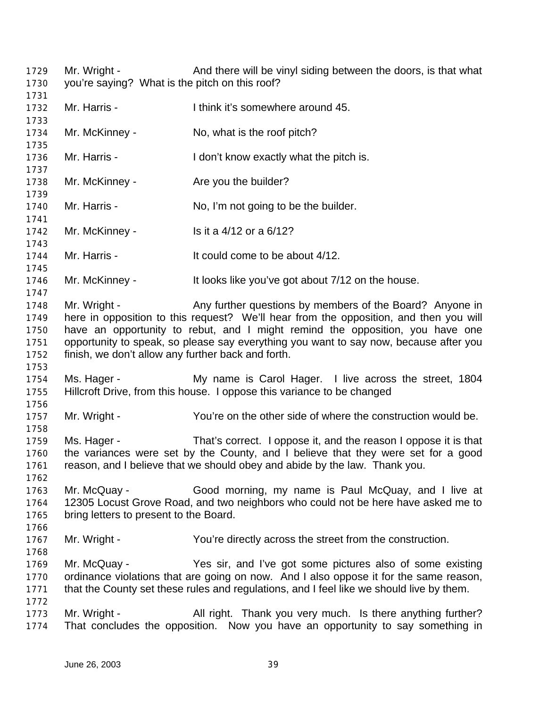| 1729<br>1730                                 | Mr. Wright -<br>you're saying? What is the pitch on this roof?     | And there will be vinyl siding between the doors, is that what                                                                                                                                                                                                                                                              |
|----------------------------------------------|--------------------------------------------------------------------|-----------------------------------------------------------------------------------------------------------------------------------------------------------------------------------------------------------------------------------------------------------------------------------------------------------------------------|
| 1731<br>1732<br>1733                         | Mr. Harris -                                                       | I think it's somewhere around 45.                                                                                                                                                                                                                                                                                           |
| 1734<br>1735                                 | Mr. McKinney -                                                     | No, what is the roof pitch?                                                                                                                                                                                                                                                                                                 |
| 1736<br>1737                                 | Mr. Harris -                                                       | I don't know exactly what the pitch is.                                                                                                                                                                                                                                                                                     |
| 1738<br>1739                                 | Mr. McKinney -                                                     | Are you the builder?                                                                                                                                                                                                                                                                                                        |
| 1740<br>1741                                 | Mr. Harris -                                                       | No, I'm not going to be the builder.                                                                                                                                                                                                                                                                                        |
| 1742<br>1743                                 | Mr. McKinney -                                                     | Is it a 4/12 or a 6/12?                                                                                                                                                                                                                                                                                                     |
| 1744<br>1745                                 | Mr. Harris -                                                       | It could come to be about 4/12.                                                                                                                                                                                                                                                                                             |
| 1746<br>1747                                 | Mr. McKinney -                                                     | It looks like you've got about 7/12 on the house.                                                                                                                                                                                                                                                                           |
| 1748<br>1749<br>1750<br>1751<br>1752<br>1753 | Mr. Wright -<br>finish, we don't allow any further back and forth. | Any further questions by members of the Board? Anyone in<br>here in opposition to this request? We'll hear from the opposition, and then you will<br>have an opportunity to rebut, and I might remind the opposition, you have one<br>opportunity to speak, so please say everything you want to say now, because after you |
| 1754<br>1755<br>1756                         | Ms. Hager -                                                        | My name is Carol Hager. I live across the street, 1804<br>Hillcroft Drive, from this house. I oppose this variance to be changed                                                                                                                                                                                            |
| 1757<br>1758                                 | Mr. Wright -                                                       | You're on the other side of where the construction would be.                                                                                                                                                                                                                                                                |
| 1759<br>1760<br>1761<br>1762                 | Ms. Hager -                                                        | That's correct. I oppose it, and the reason I oppose it is that<br>the variances were set by the County, and I believe that they were set for a good<br>reason, and I believe that we should obey and abide by the law. Thank you.                                                                                          |
| 1763<br>1764<br>1765<br>1766                 | Mr. McQuay -<br>bring letters to present to the Board.             | Good morning, my name is Paul McQuay, and I live at<br>12305 Locust Grove Road, and two neighbors who could not be here have asked me to                                                                                                                                                                                    |
| 1767<br>1768                                 | Mr. Wright -                                                       | You're directly across the street from the construction.                                                                                                                                                                                                                                                                    |
| 1769<br>1770<br>1771<br>1772                 | Mr. McQuay -                                                       | Yes sir, and I've got some pictures also of some existing<br>ordinance violations that are going on now. And I also oppose it for the same reason,<br>that the County set these rules and regulations, and I feel like we should live by them.                                                                              |
| 1773<br>1774                                 | Mr. Wright -                                                       | All right. Thank you very much. Is there anything further?<br>That concludes the opposition. Now you have an opportunity to say something in                                                                                                                                                                                |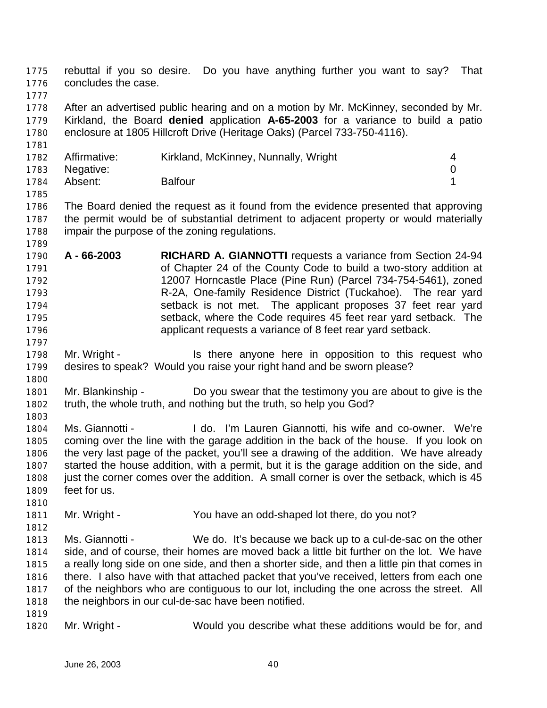rebuttal if you so desire. Do you have anything further you want to say? That concludes the case.

 After an advertised public hearing and on a motion by Mr. McKinney, seconded by Mr. Kirkland, the Board **denied** application **A-65-2003** for a variance to build a patio enclosure at 1805 Hillcroft Drive (Heritage Oaks) (Parcel 733-750-4116).

| 1782 | Affirmative: | Kirkland, McKinney, Nunnally, Wright |  |
|------|--------------|--------------------------------------|--|
| 1783 | Negative:    |                                      |  |
| 1784 | Absent:      | <b>Balfour</b>                       |  |
| 1785 |              |                                      |  |

 The Board denied the request as it found from the evidence presented that approving the permit would be of substantial detriment to adjacent property or would materially impair the purpose of the zoning regulations.

- **A 66-2003 RICHARD A. GIANNOTTI** requests a variance from Section 24-94 of Chapter 24 of the County Code to build a two-story addition at 12007 Horncastle Place (Pine Run) (Parcel 734-754-5461), zoned R-2A, One-family Residence District (Tuckahoe). The rear yard setback is not met. The applicant proposes 37 feet rear yard setback, where the Code requires 45 feet rear yard setback. The applicant requests a variance of 8 feet rear yard setback.
- 1798 Mr. Wright Is there anyone here in opposition to this request who desires to speak? Would you raise your right hand and be sworn please?
- Mr. Blankinship Do you swear that the testimony you are about to give is the truth, the whole truth, and nothing but the truth, so help you God?
- Ms. Giannotti I do. I'm Lauren Giannotti, his wife and co-owner. We're coming over the line with the garage addition in the back of the house. If you look on the very last page of the packet, you'll see a drawing of the addition. We have already started the house addition, with a permit, but it is the garage addition on the side, and just the corner comes over the addition. A small corner is over the setback, which is 45 feet for us.
- Mr. Wright You have an odd-shaped lot there, do you not?
- Ms. Giannotti - We do. It's because we back up to a cul-de-sac on the other side, and of course, their homes are moved back a little bit further on the lot. We have a really long side on one side, and then a shorter side, and then a little pin that comes in there. I also have with that attached packet that you've received, letters from each one of the neighbors who are contiguous to our lot, including the one across the street. All the neighbors in our cul-de-sac have been notified.
- Mr. Wright Would you describe what these additions would be for, and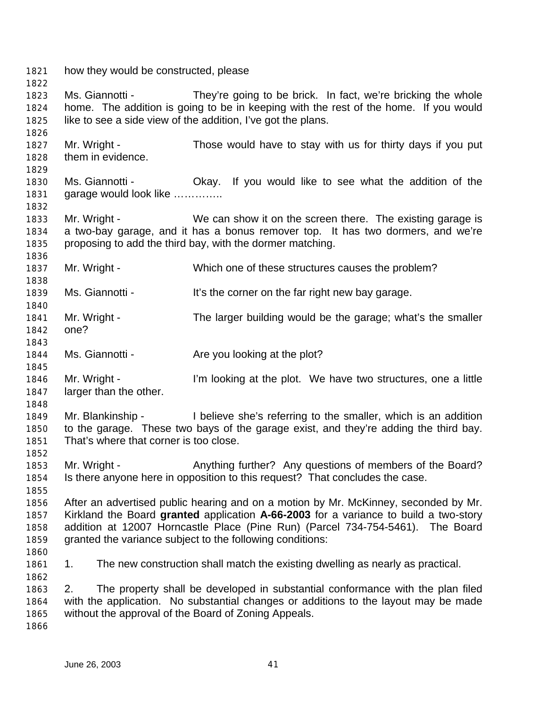how they would be constructed, please Ms. Giannotti - They're going to be brick. In fact, we're bricking the whole home. The addition is going to be in keeping with the rest of the home. If you would like to see a side view of the addition, I've got the plans. Mr. Wright - Those would have to stay with us for thirty days if you put them in evidence. Ms. Giannotti - Okay. If you would like to see what the addition of the 1831 garage would look like .............. Mr. Wright - We can show it on the screen there. The existing garage is a two-bay garage, and it has a bonus remover top. It has two dormers, and we're proposing to add the third bay, with the dormer matching. Mr. Wright - Which one of these structures causes the problem? 1839 Ms. Giannotti - It's the corner on the far right new bay garage. Mr. Wright - The larger building would be the garage; what's the smaller one? 1844 Ms. Giannotti - Are you looking at the plot? Mr. Wright - I'm looking at the plot. We have two structures, one a little larger than the other. Mr. Blankinship - I believe she's referring to the smaller, which is an addition to the garage. These two bays of the garage exist, and they're adding the third bay. That's where that corner is too close. 1853 Mr. Wright - Anything further? Any questions of members of the Board? Is there anyone here in opposition to this request? That concludes the case. After an advertised public hearing and on a motion by Mr. McKinney, seconded by Mr. Kirkland the Board **granted** application **A-66-2003** for a variance to build a two-story addition at 12007 Horncastle Place (Pine Run) (Parcel 734-754-5461). The Board granted the variance subject to the following conditions: 1861 1. The new construction shall match the existing dwelling as nearly as practical. 2. The property shall be developed in substantial conformance with the plan filed with the application. No substantial changes or additions to the layout may be made without the approval of the Board of Zoning Appeals.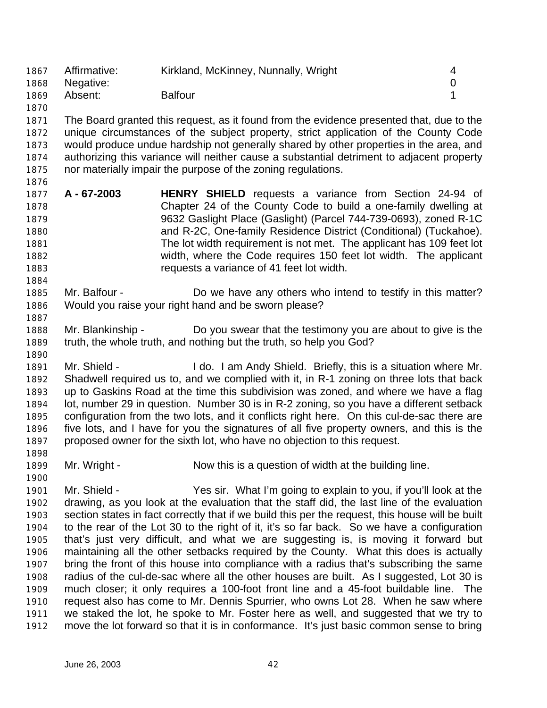| 1867 | Affirmative: | Kirkland, McKinney, Nunnally, Wright |  |
|------|--------------|--------------------------------------|--|
| 1868 | Negative:    |                                      |  |
| 1869 | Absent:      | <b>Balfour</b>                       |  |
| 1870 |              |                                      |  |

 The Board granted this request, as it found from the evidence presented that, due to the unique circumstances of the subject property, strict application of the County Code would produce undue hardship not generally shared by other properties in the area, and authorizing this variance will neither cause a substantial detriment to adjacent property nor materially impair the purpose of the zoning regulations.

- **A 67-2003 HENRY SHIELD** requests a variance from Section 24-94 of Chapter 24 of the County Code to build a one-family dwelling at 9632 Gaslight Place (Gaslight) (Parcel 744-739-0693), zoned R-1C and R-2C, One-family Residence District (Conditional) (Tuckahoe). The lot width requirement is not met. The applicant has 109 feet lot width, where the Code requires 150 feet lot width. The applicant requests a variance of 41 feet lot width.
- Mr. Balfour Do we have any others who intend to testify in this matter? Would you raise your right hand and be sworn please?
- Mr. Blankinship Do you swear that the testimony you are about to give is the truth, the whole truth, and nothing but the truth, so help you God?
- Mr. Shield I do. I am Andy Shield. Briefly, this is a situation where Mr. Shadwell required us to, and we complied with it, in R-1 zoning on three lots that back up to Gaskins Road at the time this subdivision was zoned, and where we have a flag lot, number 29 in question. Number 30 is in R-2 zoning, so you have a different setback configuration from the two lots, and it conflicts right here. On this cul-de-sac there are five lots, and I have for you the signatures of all five property owners, and this is the proposed owner for the sixth lot, who have no objection to this request.
- 1899 Mr. Wright Now this is a question of width at the building line.
- Mr. Shield Yes sir. What I'm going to explain to you, if you'll look at the drawing, as you look at the evaluation that the staff did, the last line of the evaluation section states in fact correctly that if we build this per the request, this house will be built to the rear of the Lot 30 to the right of it, it's so far back. So we have a configuration that's just very difficult, and what we are suggesting is, is moving it forward but maintaining all the other setbacks required by the County. What this does is actually bring the front of this house into compliance with a radius that's subscribing the same radius of the cul-de-sac where all the other houses are built. As I suggested, Lot 30 is much closer; it only requires a 100-foot front line and a 45-foot buildable line. The request also has come to Mr. Dennis Spurrier, who owns Lot 28. When he saw where we staked the lot, he spoke to Mr. Foster here as well, and suggested that we try to move the lot forward so that it is in conformance. It's just basic common sense to bring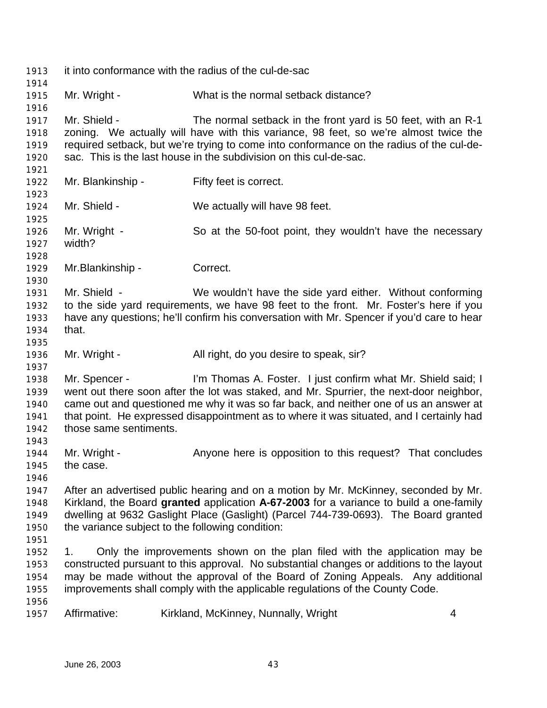| 1913<br>1914                                 | it into conformance with the radius of the cul-de-sac |                                                                                                                                                                                                                                                                                                                                              |   |
|----------------------------------------------|-------------------------------------------------------|----------------------------------------------------------------------------------------------------------------------------------------------------------------------------------------------------------------------------------------------------------------------------------------------------------------------------------------------|---|
| 1915<br>1916                                 | Mr. Wright -                                          | What is the normal setback distance?                                                                                                                                                                                                                                                                                                         |   |
| 1917<br>1918<br>1919<br>1920<br>1921         | Mr. Shield -                                          | The normal setback in the front yard is 50 feet, with an R-1<br>zoning. We actually will have with this variance, 98 feet, so we're almost twice the<br>required setback, but we're trying to come into conformance on the radius of the cul-de-<br>sac. This is the last house in the subdivision on this cul-de-sac.                       |   |
| 1922<br>1923                                 | Mr. Blankinship -                                     | Fifty feet is correct.                                                                                                                                                                                                                                                                                                                       |   |
| 1924<br>1925                                 | Mr. Shield -                                          | We actually will have 98 feet.                                                                                                                                                                                                                                                                                                               |   |
| 1926<br>1927<br>1928                         | Mr. Wright -<br>width?                                | So at the 50-foot point, they wouldn't have the necessary                                                                                                                                                                                                                                                                                    |   |
| 1929<br>1930                                 | Mr.Blankinship -                                      | Correct.                                                                                                                                                                                                                                                                                                                                     |   |
| 1931<br>1932<br>1933<br>1934<br>1935         | Mr. Shield -<br>that.                                 | We wouldn't have the side yard either. Without conforming<br>to the side yard requirements, we have 98 feet to the front. Mr. Foster's here if you<br>have any questions; he'll confirm his conversation with Mr. Spencer if you'd care to hear                                                                                              |   |
| 1936<br>1937                                 | Mr. Wright -                                          | All right, do you desire to speak, sir?                                                                                                                                                                                                                                                                                                      |   |
| 1938<br>1939<br>1940<br>1941<br>1942<br>1943 | Mr. Spencer -<br>those same sentiments.               | I'm Thomas A. Foster. I just confirm what Mr. Shield said; I<br>went out there soon after the lot was staked, and Mr. Spurrier, the next-door neighbor,<br>came out and questioned me why it was so far back, and neither one of us an answer at<br>that point. He expressed disappointment as to where it was situated, and I certainly had |   |
| 1944<br>1945<br>1946                         | Mr. Wright -<br>the case.                             | Anyone here is opposition to this request? That concludes                                                                                                                                                                                                                                                                                    |   |
| 1947<br>1948<br>1949<br>1950<br>1951         |                                                       | After an advertised public hearing and on a motion by Mr. McKinney, seconded by Mr.<br>Kirkland, the Board granted application A-67-2003 for a variance to build a one-family<br>dwelling at 9632 Gaslight Place (Gaslight) (Parcel 744-739-0693). The Board granted<br>the variance subject to the following condition:                     |   |
| 1952<br>1953<br>1954<br>1955                 | 1.                                                    | Only the improvements shown on the plan filed with the application may be<br>constructed pursuant to this approval. No substantial changes or additions to the layout<br>may be made without the approval of the Board of Zoning Appeals. Any additional<br>improvements shall comply with the applicable regulations of the County Code.    |   |
| 1956<br>1957                                 | Affirmative:                                          | Kirkland, McKinney, Nunnally, Wright                                                                                                                                                                                                                                                                                                         | 4 |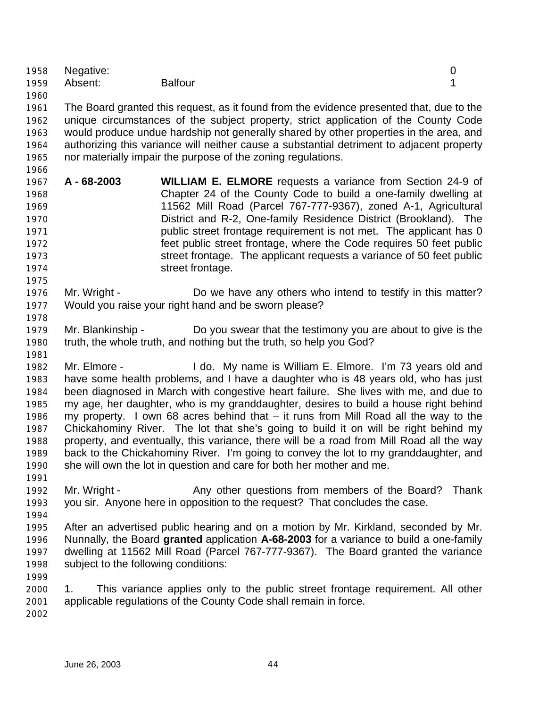|      | 1958 Negative: |                |  |
|------|----------------|----------------|--|
|      | 1959 Absent:   | <b>Balfour</b> |  |
| 1960 |                |                |  |

 The Board granted this request, as it found from the evidence presented that, due to the unique circumstances of the subject property, strict application of the County Code would produce undue hardship not generally shared by other properties in the area, and authorizing this variance will neither cause a substantial detriment to adjacent property nor materially impair the purpose of the zoning regulations.

- **A 68-2003 WILLIAM E. ELMORE** requests a variance from Section 24-9 of Chapter 24 of the County Code to build a one-family dwelling at 11562 Mill Road (Parcel 767-777-9367), zoned A-1, Agricultural District and R-2, One-family Residence District (Brookland). The **public street frontage requirement is not met.** The applicant has 0 feet public street frontage, where the Code requires 50 feet public street frontage. The applicant requests a variance of 50 feet public **street frontage.**
- Mr. Wright Do we have any others who intend to testify in this matter? Would you raise your right hand and be sworn please?
- Mr. Blankinship Do you swear that the testimony you are about to give is the truth, the whole truth, and nothing but the truth, so help you God?
- Mr. Elmore I do. My name is William E. Elmore. I'm 73 years old and have some health problems, and I have a daughter who is 48 years old, who has just been diagnosed in March with congestive heart failure. She lives with me, and due to my age, her daughter, who is my granddaughter, desires to build a house right behind my property. I own 68 acres behind that – it runs from Mill Road all the way to the Chickahominy River. The lot that she's going to build it on will be right behind my property, and eventually, this variance, there will be a road from Mill Road all the way back to the Chickahominy River. I'm going to convey the lot to my granddaughter, and she will own the lot in question and care for both her mother and me.
- Mr. Wright Any other questions from members of the Board? Thank you sir. Anyone here in opposition to the request? That concludes the case.
- 

 After an advertised public hearing and on a motion by Mr. Kirkland, seconded by Mr. Nunnally, the Board **granted** application **A-68-2003** for a variance to build a one-family dwelling at 11562 Mill Road (Parcel 767-777-9367). The Board granted the variance subject to the following conditions:

 1. This variance applies only to the public street frontage requirement. All other applicable regulations of the County Code shall remain in force.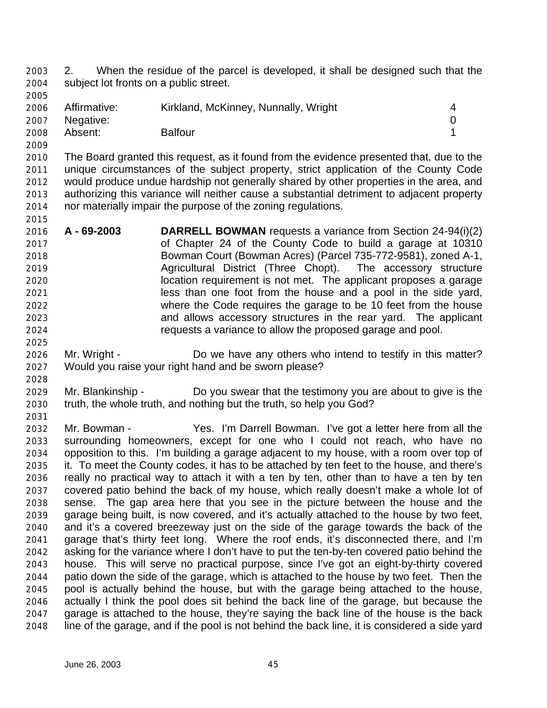2. When the residue of the parcel is developed, it shall be designed such that the subject lot fronts on a public street.

| 2006 | Affirmative:<br>2007 Negative: | Kirkland, McKinney, Nunnally, Wright |  |
|------|--------------------------------|--------------------------------------|--|
| 2008 | Absent:                        | <b>Balfour</b>                       |  |

 The Board granted this request, as it found from the evidence presented that, due to the unique circumstances of the subject property, strict application of the County Code would produce undue hardship not generally shared by other properties in the area, and authorizing this variance will neither cause a substantial detriment to adjacent property nor materially impair the purpose of the zoning regulations.

- **A 69-2003 DARRELL BOWMAN** requests a variance from Section 24-94(i)(2) of Chapter 24 of the County Code to build a garage at 10310 Bowman Court (Bowman Acres) (Parcel 735-772-9581), zoned A-1, Agricultural District (Three Chopt). The accessory structure location requirement is not met. The applicant proposes a garage less than one foot from the house and a pool in the side yard, where the Code requires the garage to be 10 feet from the house and allows accessory structures in the rear yard. The applicant requests a variance to allow the proposed garage and pool.
- Mr. Wright - Do we have any others who intend to testify in this matter? Would you raise your right hand and be sworn please?
- Mr. Blankinship Do you swear that the testimony you are about to give is the truth, the whole truth, and nothing but the truth, so help you God?
- Mr. Bowman Yes. I'm Darrell Bowman. I've got a letter here from all the surrounding homeowners, except for one who I could not reach, who have no opposition to this. I'm building a garage adjacent to my house, with a room over top of it. To meet the County codes, it has to be attached by ten feet to the house, and there's really no practical way to attach it with a ten by ten, other than to have a ten by ten covered patio behind the back of my house, which really doesn't make a whole lot of sense. The gap area here that you see in the picture between the house and the garage being built, is now covered, and it's actually attached to the house by two feet, and it's a covered breezeway just on the side of the garage towards the back of the garage that's thirty feet long. Where the roof ends, it's disconnected there, and I'm asking for the variance where I don't have to put the ten-by-ten covered patio behind the house. This will serve no practical purpose, since I've got an eight-by-thirty covered patio down the side of the garage, which is attached to the house by two feet. Then the pool is actually behind the house, but with the garage being attached to the house, actually I think the pool does sit behind the back line of the garage, but because the garage is attached to the house, they're saying the back line of the house is the back line of the garage, and if the pool is not behind the back line, it is considered a side yard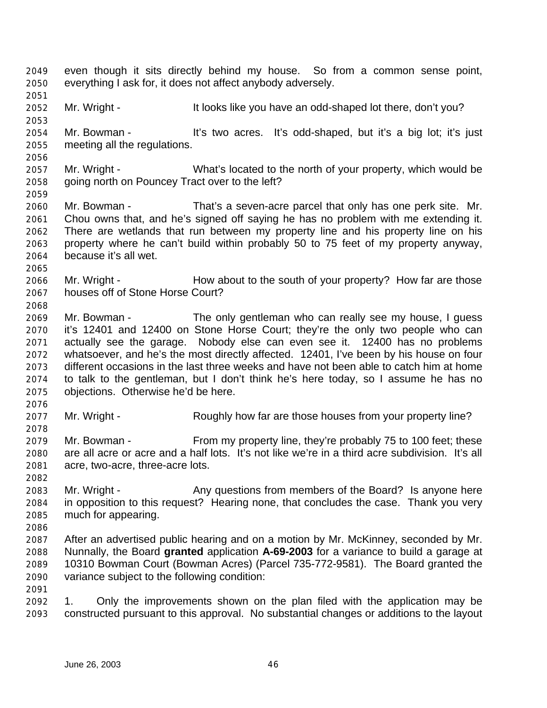even though it sits directly behind my house. So from a common sense point, everything I ask for, it does not affect anybody adversely. Mr. Wright - It looks like you have an odd-shaped lot there, don't you? Mr. Bowman - It's two acres. It's odd-shaped, but it's a big lot; it's just meeting all the regulations. Mr. Wright - What's located to the north of your property, which would be going north on Pouncey Tract over to the left? Mr. Bowman - That's a seven-acre parcel that only has one perk site. Mr. Chou owns that, and he's signed off saying he has no problem with me extending it. There are wetlands that run between my property line and his property line on his property where he can't build within probably 50 to 75 feet of my property anyway, because it's all wet. 2066 Mr. Wright - How about to the south of your property? How far are those houses off of Stone Horse Court? Mr. Bowman - The only gentleman who can really see my house, I guess it's 12401 and 12400 on Stone Horse Court; they're the only two people who can actually see the garage. Nobody else can even see it. 12400 has no problems whatsoever, and he's the most directly affected. 12401, I've been by his house on four different occasions in the last three weeks and have not been able to catch him at home to talk to the gentleman, but I don't think he's here today, so I assume he has no objections. Otherwise he'd be here. 2077 Mr. Wright - Roughly how far are those houses from your property line? Mr. Bowman - From my property line, they're probably 75 to 100 feet; these are all acre or acre and a half lots. It's not like we're in a third acre subdivision. It's all acre, two-acre, three-acre lots. 2083 Mr. Wright - Any questions from members of the Board? Is anyone here in opposition to this request? Hearing none, that concludes the case. Thank you very much for appearing. After an advertised public hearing and on a motion by Mr. McKinney, seconded by Mr. Nunnally, the Board **granted** application **A-69-2003** for a variance to build a garage at 10310 Bowman Court (Bowman Acres) (Parcel 735-772-9581). The Board granted the variance subject to the following condition: 1. Only the improvements shown on the plan filed with the application may be constructed pursuant to this approval. No substantial changes or additions to the layout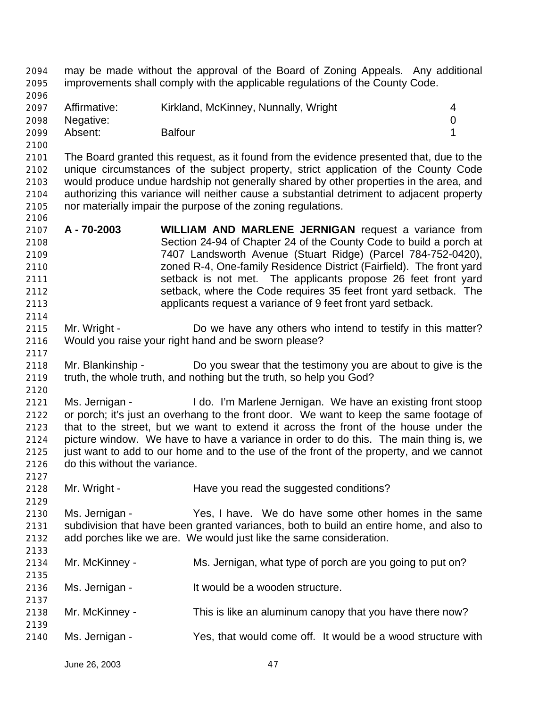may be made without the approval of the Board of Zoning Appeals. Any additional improvements shall comply with the applicable regulations of the County Code. 2097 Affirmative: Kirkland, McKinney, Nunnally, Wright 4 Negative: 0 Absent: Balfour 1 The Board granted this request, as it found from the evidence presented that, due to the unique circumstances of the subject property, strict application of the County Code would produce undue hardship not generally shared by other properties in the area, and authorizing this variance will neither cause a substantial detriment to adjacent property nor materially impair the purpose of the zoning regulations. **A - 70-2003 WILLIAM AND MARLENE JERNIGAN** request a variance from Section 24-94 of Chapter 24 of the County Code to build a porch at 7407 Landsworth Avenue (Stuart Ridge) (Parcel 784-752-0420), zoned R-4, One-family Residence District (Fairfield). The front yard setback is not met. The applicants propose 26 feet front yard setback, where the Code requires 35 feet front yard setback. The applicants request a variance of 9 feet front yard setback. Mr. Wright - Do we have any others who intend to testify in this matter? Would you raise your right hand and be sworn please? Mr. Blankinship - Do you swear that the testimony you are about to give is the truth, the whole truth, and nothing but the truth, so help you God? Ms. Jernigan - I do. I'm Marlene Jernigan. We have an existing front stoop or porch; it's just an overhang to the front door. We want to keep the same footage of that to the street, but we want to extend it across the front of the house under the picture window. We have to have a variance in order to do this. The main thing is, we 2125 just want to add to our home and to the use of the front of the property, and we cannot do this without the variance. 2128 Mr. Wright - Have you read the suggested conditions? Ms. Jernigan - Yes, I have. We do have some other homes in the same subdivision that have been granted variances, both to build an entire home, and also to add porches like we are. We would just like the same consideration. Mr. McKinney - Ms. Jernigan, what type of porch are you going to put on? Ms. Jernigan - It would be a wooden structure. Mr. McKinney - This is like an aluminum canopy that you have there now? Ms. Jernigan - Yes, that would come off. It would be a wood structure with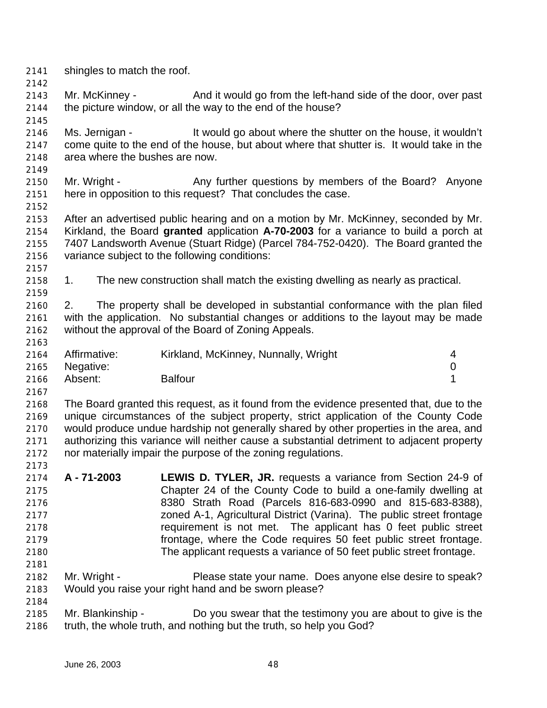- shingles to match the roof.
- Mr. McKinney And it would go from the left-hand side of the door, over past the picture window, or all the way to the end of the house?
- Ms. Jernigan It would go about where the shutter on the house, it wouldn't come quite to the end of the house, but about where that shutter is. It would take in the area where the bushes are now.
- 

- 2150 Mr. Wright Any further questions by members of the Board? Anyone here in opposition to this request? That concludes the case.
- After an advertised public hearing and on a motion by Mr. McKinney, seconded by Mr. Kirkland, the Board **granted** application **A-70-2003** for a variance to build a porch at 7407 Landsworth Avenue (Stuart Ridge) (Parcel 784-752-0420). The Board granted the variance subject to the following conditions:
- 

1. The new construction shall match the existing dwelling as nearly as practical.

 2. The property shall be developed in substantial conformance with the plan filed with the application. No substantial changes or additions to the layout may be made without the approval of the Board of Zoning Appeals.

| 2164 | Affirmative:   | Kirkland, McKinney, Nunnally, Wright |  |
|------|----------------|--------------------------------------|--|
|      | 2165 Negative: |                                      |  |
| 2166 | Absent:        | <b>Balfour</b>                       |  |

 The Board granted this request, as it found from the evidence presented that, due to the unique circumstances of the subject property, strict application of the County Code would produce undue hardship not generally shared by other properties in the area, and authorizing this variance will neither cause a substantial detriment to adjacent property nor materially impair the purpose of the zoning regulations.

- **A 71-2003 LEWIS D. TYLER, JR.** requests a variance from Section 24-9 of Chapter 24 of the County Code to build a one-family dwelling at 8380 Strath Road (Parcels 816-683-0990 and 815-683-8388), zoned A-1, Agricultural District (Varina). The public street frontage requirement is not met. The applicant has 0 feet public street frontage, where the Code requires 50 feet public street frontage. The applicant requests a variance of 50 feet public street frontage.
- Mr. Wright Please state your name. Does anyone else desire to speak? Would you raise your right hand and be sworn please?
- Mr. Blankinship Do you swear that the testimony you are about to give is the truth, the whole truth, and nothing but the truth, so help you God?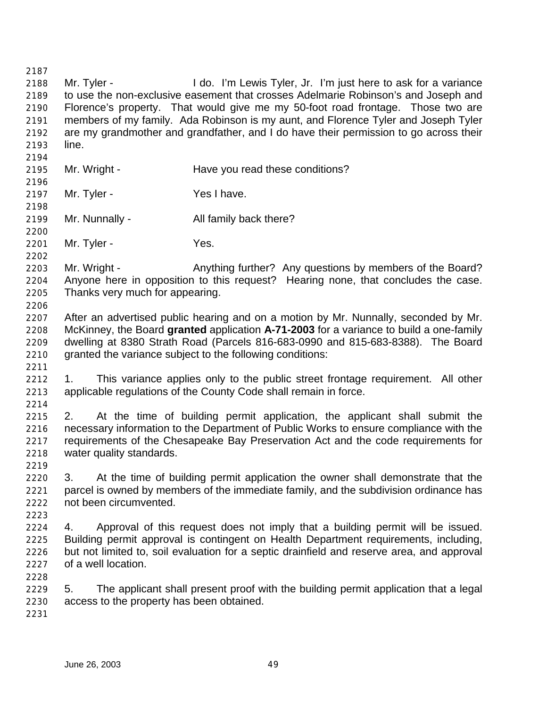Mr. Tyler - I do. I'm Lewis Tyler, Jr. I'm just here to ask for a variance to use the non-exclusive easement that crosses Adelmarie Robinson's and Joseph and Florence's property. That would give me my 50-foot road frontage. Those two are members of my family. Ada Robinson is my aunt, and Florence Tyler and Joseph Tyler are my grandmother and grandfather, and I do have their permission to go across their line. 2195 Mr. Wright - Have you read these conditions? 2197 Mr. Tyler - Yes I have. Mr. Nunnally - All family back there? 2201 Mr. Tyler - Yes. 2203 Mr. Wright - Anything further? Any questions by members of the Board? Anyone here in opposition to this request? Hearing none, that concludes the case. Thanks very much for appearing. After an advertised public hearing and on a motion by Mr. Nunnally, seconded by Mr. McKinney, the Board **granted** application **A-71-2003** for a variance to build a one-family dwelling at 8380 Strath Road (Parcels 816-683-0990 and 815-683-8388). The Board granted the variance subject to the following conditions: 1. This variance applies only to the public street frontage requirement. All other applicable regulations of the County Code shall remain in force. 2. At the time of building permit application, the applicant shall submit the necessary information to the Department of Public Works to ensure compliance with the requirements of the Chesapeake Bay Preservation Act and the code requirements for water quality standards. 3. At the time of building permit application the owner shall demonstrate that the parcel is owned by members of the immediate family, and the subdivision ordinance has not been circumvented. 4. Approval of this request does not imply that a building permit will be issued. Building permit approval is contingent on Health Department requirements, including, but not limited to, soil evaluation for a septic drainfield and reserve area, and approval of a well location. 5. The applicant shall present proof with the building permit application that a legal access to the property has been obtained.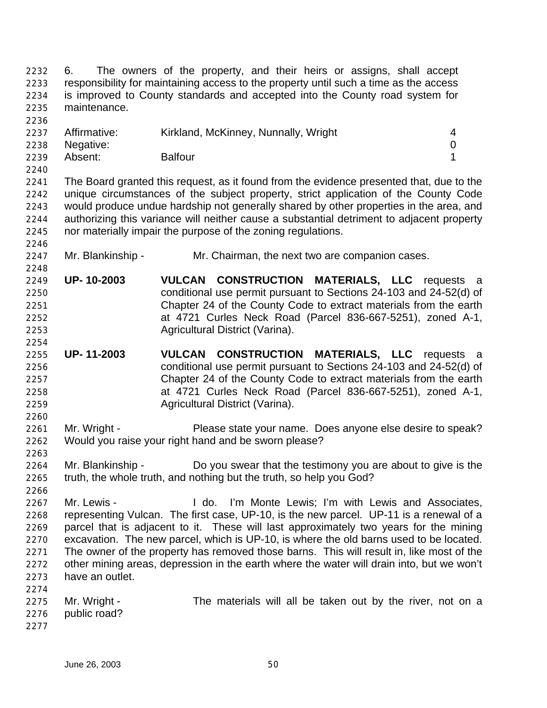6. The owners of the property, and their heirs or assigns, shall accept responsibility for maintaining access to the property until such a time as the access is improved to County standards and accepted into the County road system for maintenance. 2237 Affirmative: Kirkland, McKinney, Nunnally, Wright 4 Negative: 0 Absent: Balfour 1 The Board granted this request, as it found from the evidence presented that, due to the unique circumstances of the subject property, strict application of the County Code would produce undue hardship not generally shared by other properties in the area, and authorizing this variance will neither cause a substantial detriment to adjacent property nor materially impair the purpose of the zoning regulations. Mr. Blankinship - Mr. Chairman, the next two are companion cases. **UP- 10-2003 VULCAN CONSTRUCTION MATERIALS, LLC** requests a conditional use permit pursuant to Sections 24-103 and 24-52(d) of Chapter 24 of the County Code to extract materials from the earth at 4721 Curles Neck Road (Parcel 836-667-5251), zoned A-1, Agricultural District (Varina). **UP- 11-2003 VULCAN CONSTRUCTION MATERIALS, LLC** requests a conditional use permit pursuant to Sections 24-103 and 24-52(d) of Chapter 24 of the County Code to extract materials from the earth at 4721 Curles Neck Road (Parcel 836-667-5251), zoned A-1, Agricultural District (Varina). Mr. Wright - Please state your name. Does anyone else desire to speak? Would you raise your right hand and be sworn please? Mr. Blankinship - Do you swear that the testimony you are about to give is the truth, the whole truth, and nothing but the truth, so help you God? Mr. Lewis - I do. I'm Monte Lewis; I'm with Lewis and Associates, representing Vulcan. The first case, UP-10, is the new parcel. UP-11 is a renewal of a parcel that is adjacent to it. These will last approximately two years for the mining excavation. The new parcel, which is UP-10, is where the old barns used to be located. The owner of the property has removed those barns. This will result in, like most of the other mining areas, depression in the earth where the water will drain into, but we won't have an outlet. 2275 Mr. Wright - The materials will all be taken out by the river, not on a public road?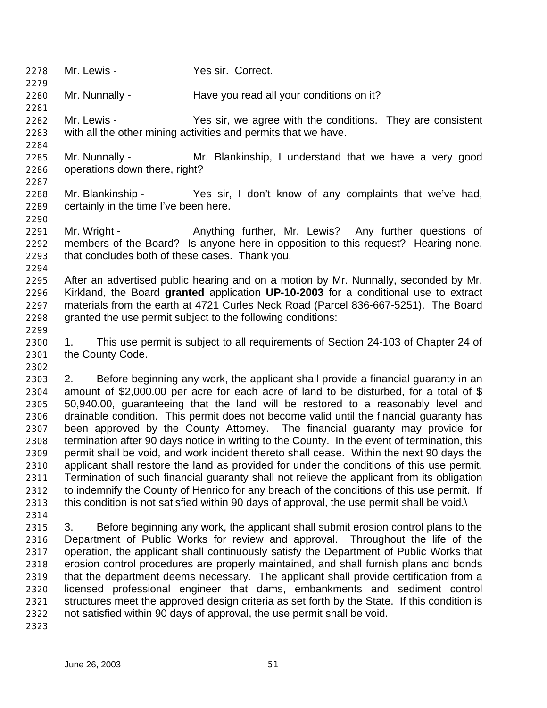- Mr. Lewis Yes sir. Correct.
- Mr. Nunnally Have you read all your conditions on it?
- Mr. Lewis Yes sir, we agree with the conditions. They are consistent with all the other mining activities and permits that we have.
- Mr. Nunnally Mr. Blankinship, I understand that we have a very good operations down there, right?
- Mr. Blankinship Yes sir, I don't know of any complaints that we've had, certainly in the time I've been here.
- 2291 Mr. Wright Anything further, Mr. Lewis? Any further questions of members of the Board? Is anyone here in opposition to this request? Hearing none, that concludes both of these cases. Thank you.
- After an advertised public hearing and on a motion by Mr. Nunnally, seconded by Mr. Kirkland, the Board **granted** application **UP-10-2003** for a conditional use to extract materials from the earth at 4721 Curles Neck Road (Parcel 836-667-5251). The Board granted the use permit subject to the following conditions:
- 1. This use permit is subject to all requirements of Section 24-103 of Chapter 24 of the County Code.
- 2. Before beginning any work, the applicant shall provide a financial guaranty in an amount of \$2,000.00 per acre for each acre of land to be disturbed, for a total of \$ 50,940.00, guaranteeing that the land will be restored to a reasonably level and drainable condition. This permit does not become valid until the financial guaranty has been approved by the County Attorney. The financial guaranty may provide for termination after 90 days notice in writing to the County. In the event of termination, this permit shall be void, and work incident thereto shall cease. Within the next 90 days the applicant shall restore the land as provided for under the conditions of this use permit. Termination of such financial guaranty shall not relieve the applicant from its obligation 2312 to indemnify the County of Henrico for any breach of the conditions of this use permit. If this condition is not satisfied within 90 days of approval, the use permit shall be void.\
- 3. Before beginning any work, the applicant shall submit erosion control plans to the Department of Public Works for review and approval. Throughout the life of the operation, the applicant shall continuously satisfy the Department of Public Works that erosion control procedures are properly maintained, and shall furnish plans and bonds that the department deems necessary. The applicant shall provide certification from a licensed professional engineer that dams, embankments and sediment control structures meet the approved design criteria as set forth by the State. If this condition is not satisfied within 90 days of approval, the use permit shall be void.
-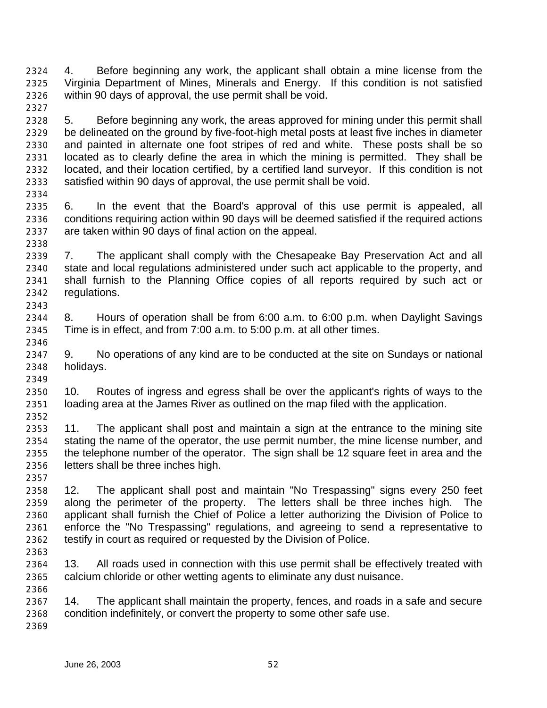4. Before beginning any work, the applicant shall obtain a mine license from the Virginia Department of Mines, Minerals and Energy. If this condition is not satisfied within 90 days of approval, the use permit shall be void.

- 5. Before beginning any work, the areas approved for mining under this permit shall be delineated on the ground by five-foot-high metal posts at least five inches in diameter and painted in alternate one foot stripes of red and white. These posts shall be so located as to clearly define the area in which the mining is permitted. They shall be located, and their location certified, by a certified land surveyor. If this condition is not satisfied within 90 days of approval, the use permit shall be void.
- 6. In the event that the Board's approval of this use permit is appealed, all conditions requiring action within 90 days will be deemed satisfied if the required actions are taken within 90 days of final action on the appeal.
- 7. The applicant shall comply with the Chesapeake Bay Preservation Act and all state and local regulations administered under such act applicable to the property, and shall furnish to the Planning Office copies of all reports required by such act or regulations.
- 8. Hours of operation shall be from 6:00 a.m. to 6:00 p.m. when Daylight Savings Time is in effect, and from 7:00 a.m. to 5:00 p.m. at all other times.
- 9. No operations of any kind are to be conducted at the site on Sundays or national holidays.
- 10. Routes of ingress and egress shall be over the applicant's rights of ways to the loading area at the James River as outlined on the map filed with the application.
- 11. The applicant shall post and maintain a sign at the entrance to the mining site stating the name of the operator, the use permit number, the mine license number, and the telephone number of the operator. The sign shall be 12 square feet in area and the letters shall be three inches high.
- 12. The applicant shall post and maintain "No Trespassing" signs every 250 feet along the perimeter of the property. The letters shall be three inches high. The applicant shall furnish the Chief of Police a letter authorizing the Division of Police to enforce the "No Trespassing" regulations, and agreeing to send a representative to testify in court as required or requested by the Division of Police.
- 

- 13. All roads used in connection with this use permit shall be effectively treated with calcium chloride or other wetting agents to eliminate any dust nuisance.
- 14. The applicant shall maintain the property, fences, and roads in a safe and secure condition indefinitely, or convert the property to some other safe use.
	- June 26, 2003 52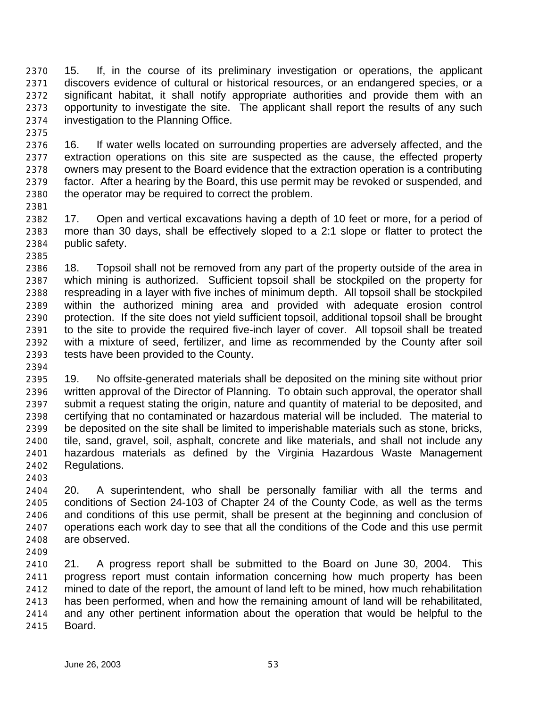15. If, in the course of its preliminary investigation or operations, the applicant discovers evidence of cultural or historical resources, or an endangered species, or a significant habitat, it shall notify appropriate authorities and provide them with an opportunity to investigate the site. The applicant shall report the results of any such investigation to the Planning Office.

 16. If water wells located on surrounding properties are adversely affected, and the extraction operations on this site are suspected as the cause, the effected property owners may present to the Board evidence that the extraction operation is a contributing factor. After a hearing by the Board, this use permit may be revoked or suspended, and the operator may be required to correct the problem.

 17. Open and vertical excavations having a depth of 10 feet or more, for a period of more than 30 days, shall be effectively sloped to a 2:1 slope or flatter to protect the public safety.

 18. Topsoil shall not be removed from any part of the property outside of the area in which mining is authorized. Sufficient topsoil shall be stockpiled on the property for respreading in a layer with five inches of minimum depth. All topsoil shall be stockpiled within the authorized mining area and provided with adequate erosion control protection. If the site does not yield sufficient topsoil, additional topsoil shall be brought to the site to provide the required five-inch layer of cover. All topsoil shall be treated with a mixture of seed, fertilizer, and lime as recommended by the County after soil tests have been provided to the County.

 19. No offsite-generated materials shall be deposited on the mining site without prior written approval of the Director of Planning. To obtain such approval, the operator shall submit a request stating the origin, nature and quantity of material to be deposited, and certifying that no contaminated or hazardous material will be included. The material to be deposited on the site shall be limited to imperishable materials such as stone, bricks, tile, sand, gravel, soil, asphalt, concrete and like materials, and shall not include any hazardous materials as defined by the Virginia Hazardous Waste Management Regulations.

 20. A superintendent, who shall be personally familiar with all the terms and conditions of Section 24-103 of Chapter 24 of the County Code, as well as the terms and conditions of this use permit, shall be present at the beginning and conclusion of operations each work day to see that all the conditions of the Code and this use permit are observed. 

 21. A progress report shall be submitted to the Board on June 30, 2004. This progress report must contain information concerning how much property has been mined to date of the report, the amount of land left to be mined, how much rehabilitation has been performed, when and how the remaining amount of land will be rehabilitated, and any other pertinent information about the operation that would be helpful to the Board.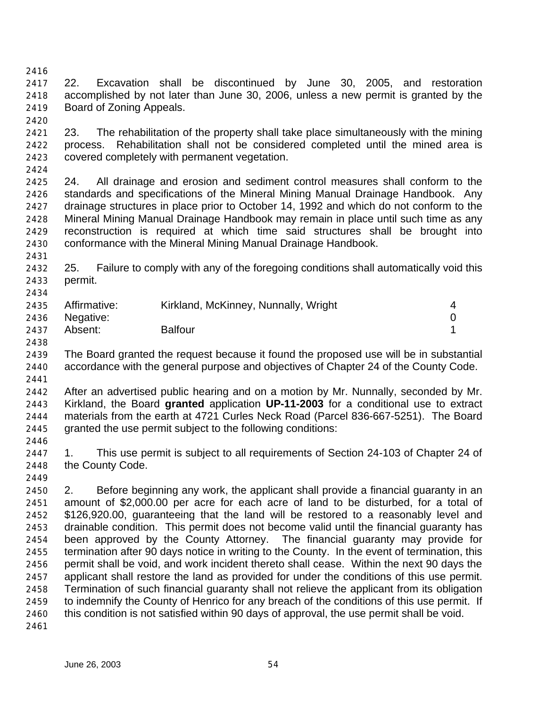22. Excavation shall be discontinued by June 30, 2005, and restoration accomplished by not later than June 30, 2006, unless a new permit is granted by the Board of Zoning Appeals.

 23. The rehabilitation of the property shall take place simultaneously with the mining process. Rehabilitation shall not be considered completed until the mined area is covered completely with permanent vegetation.

 24. All drainage and erosion and sediment control measures shall conform to the standards and specifications of the Mineral Mining Manual Drainage Handbook. Any drainage structures in place prior to October 14, 1992 and which do not conform to the Mineral Mining Manual Drainage Handbook may remain in place until such time as any reconstruction is required at which time said structures shall be brought into conformance with the Mineral Mining Manual Drainage Handbook.

 25. Failure to comply with any of the foregoing conditions shall automatically void this permit.

|      | 2435 Affirmative: | Kirkland, McKinney, Nunnally, Wright |  |
|------|-------------------|--------------------------------------|--|
|      | 2436 Negative:    |                                      |  |
| 2437 | Absent:           | <b>Balfour</b>                       |  |

- The Board granted the request because it found the proposed use will be in substantial accordance with the general purpose and objectives of Chapter 24 of the County Code.
- 

 After an advertised public hearing and on a motion by Mr. Nunnally, seconded by Mr. Kirkland, the Board **granted** application **UP-11-2003** for a conditional use to extract materials from the earth at 4721 Curles Neck Road (Parcel 836-667-5251). The Board granted the use permit subject to the following conditions:

 1. This use permit is subject to all requirements of Section 24-103 of Chapter 24 of the County Code.

 2. Before beginning any work, the applicant shall provide a financial guaranty in an amount of \$2,000.00 per acre for each acre of land to be disturbed, for a total of \$126,920.00, guaranteeing that the land will be restored to a reasonably level and drainable condition. This permit does not become valid until the financial guaranty has been approved by the County Attorney. The financial guaranty may provide for termination after 90 days notice in writing to the County. In the event of termination, this permit shall be void, and work incident thereto shall cease. Within the next 90 days the applicant shall restore the land as provided for under the conditions of this use permit. Termination of such financial guaranty shall not relieve the applicant from its obligation to indemnify the County of Henrico for any breach of the conditions of this use permit. If this condition is not satisfied within 90 days of approval, the use permit shall be void.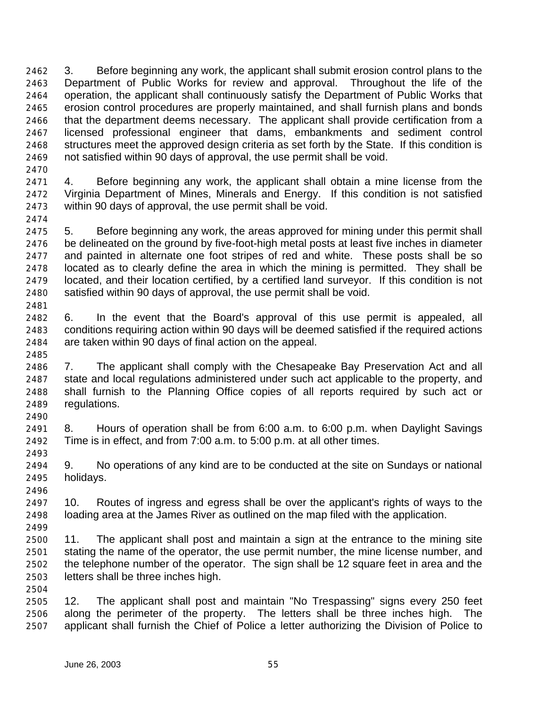3. Before beginning any work, the applicant shall submit erosion control plans to the Department of Public Works for review and approval. Throughout the life of the operation, the applicant shall continuously satisfy the Department of Public Works that erosion control procedures are properly maintained, and shall furnish plans and bonds that the department deems necessary. The applicant shall provide certification from a licensed professional engineer that dams, embankments and sediment control structures meet the approved design criteria as set forth by the State. If this condition is not satisfied within 90 days of approval, the use permit shall be void.

 4. Before beginning any work, the applicant shall obtain a mine license from the Virginia Department of Mines, Minerals and Energy. If this condition is not satisfied within 90 days of approval, the use permit shall be void.

 5. Before beginning any work, the areas approved for mining under this permit shall be delineated on the ground by five-foot-high metal posts at least five inches in diameter and painted in alternate one foot stripes of red and white. These posts shall be so located as to clearly define the area in which the mining is permitted. They shall be located, and their location certified, by a certified land surveyor. If this condition is not satisfied within 90 days of approval, the use permit shall be void. 

 6. In the event that the Board's approval of this use permit is appealed, all conditions requiring action within 90 days will be deemed satisfied if the required actions are taken within 90 days of final action on the appeal.

 7. The applicant shall comply with the Chesapeake Bay Preservation Act and all state and local regulations administered under such act applicable to the property, and shall furnish to the Planning Office copies of all reports required by such act or regulations.

 8. Hours of operation shall be from 6:00 a.m. to 6:00 p.m. when Daylight Savings Time is in effect, and from 7:00 a.m. to 5:00 p.m. at all other times.

 9. No operations of any kind are to be conducted at the site on Sundays or national holidays. 

 10. Routes of ingress and egress shall be over the applicant's rights of ways to the loading area at the James River as outlined on the map filed with the application. 

 11. The applicant shall post and maintain a sign at the entrance to the mining site stating the name of the operator, the use permit number, the mine license number, and the telephone number of the operator. The sign shall be 12 square feet in area and the letters shall be three inches high.

 12. The applicant shall post and maintain "No Trespassing" signs every 250 feet along the perimeter of the property. The letters shall be three inches high. The applicant shall furnish the Chief of Police a letter authorizing the Division of Police to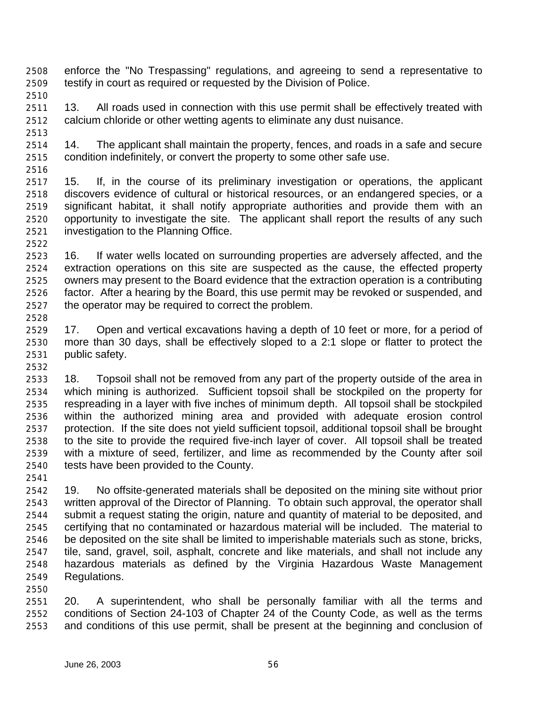- enforce the "No Trespassing" regulations, and agreeing to send a representative to testify in court as required or requested by the Division of Police.
- 2511 13. All roads used in connection with this use permit shall be effectively treated with calcium chloride or other wetting agents to eliminate any dust nuisance.
- 14. The applicant shall maintain the property, fences, and roads in a safe and secure condition indefinitely, or convert the property to some other safe use.
- 

- 15. If, in the course of its preliminary investigation or operations, the applicant discovers evidence of cultural or historical resources, or an endangered species, or a significant habitat, it shall notify appropriate authorities and provide them with an opportunity to investigate the site. The applicant shall report the results of any such investigation to the Planning Office.
- 16. If water wells located on surrounding properties are adversely affected, and the extraction operations on this site are suspected as the cause, the effected property owners may present to the Board evidence that the extraction operation is a contributing factor. After a hearing by the Board, this use permit may be revoked or suspended, and the operator may be required to correct the problem.
- 17. Open and vertical excavations having a depth of 10 feet or more, for a period of more than 30 days, shall be effectively sloped to a 2:1 slope or flatter to protect the public safety.
- 18. Topsoil shall not be removed from any part of the property outside of the area in which mining is authorized. Sufficient topsoil shall be stockpiled on the property for respreading in a layer with five inches of minimum depth. All topsoil shall be stockpiled within the authorized mining area and provided with adequate erosion control protection. If the site does not yield sufficient topsoil, additional topsoil shall be brought to the site to provide the required five-inch layer of cover. All topsoil shall be treated with a mixture of seed, fertilizer, and lime as recommended by the County after soil tests have been provided to the County.
- 19. No offsite-generated materials shall be deposited on the mining site without prior written approval of the Director of Planning. To obtain such approval, the operator shall submit a request stating the origin, nature and quantity of material to be deposited, and certifying that no contaminated or hazardous material will be included. The material to be deposited on the site shall be limited to imperishable materials such as stone, bricks, tile, sand, gravel, soil, asphalt, concrete and like materials, and shall not include any hazardous materials as defined by the Virginia Hazardous Waste Management Regulations.
- 20. A superintendent, who shall be personally familiar with all the terms and conditions of Section 24-103 of Chapter 24 of the County Code, as well as the terms and conditions of this use permit, shall be present at the beginning and conclusion of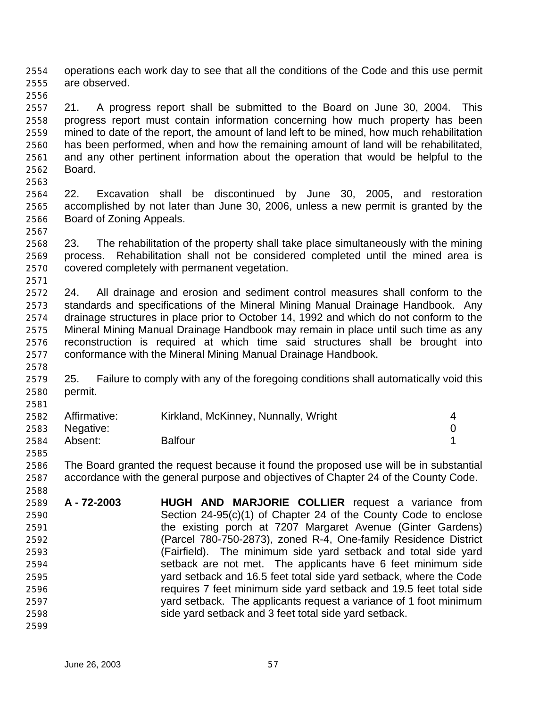operations each work day to see that all the conditions of the Code and this use permit are observed.

 21. A progress report shall be submitted to the Board on June 30, 2004. This progress report must contain information concerning how much property has been mined to date of the report, the amount of land left to be mined, how much rehabilitation has been performed, when and how the remaining amount of land will be rehabilitated, and any other pertinent information about the operation that would be helpful to the Board.

- 22. Excavation shall be discontinued by June 30, 2005, and restoration accomplished by not later than June 30, 2006, unless a new permit is granted by the Board of Zoning Appeals.
- 23. The rehabilitation of the property shall take place simultaneously with the mining process. Rehabilitation shall not be considered completed until the mined area is covered completely with permanent vegetation.
- 24. All drainage and erosion and sediment control measures shall conform to the standards and specifications of the Mineral Mining Manual Drainage Handbook. Any drainage structures in place prior to October 14, 1992 and which do not conform to the Mineral Mining Manual Drainage Handbook may remain in place until such time as any reconstruction is required at which time said structures shall be brought into conformance with the Mineral Mining Manual Drainage Handbook.
- 25. Failure to comply with any of the foregoing conditions shall automatically void this permit.

| 2582 | Affirmative:   | Kirkland, McKinney, Nunnally, Wright |  |
|------|----------------|--------------------------------------|--|
|      | 2583 Negative: |                                      |  |
| 2584 | Absent:        | <b>Balfour</b>                       |  |

 The Board granted the request because it found the proposed use will be in substantial accordance with the general purpose and objectives of Chapter 24 of the County Code. 

 **A - 72-2003 HUGH AND MARJORIE COLLIER** request a variance from Section 24-95(c)(1) of Chapter 24 of the County Code to enclose the existing porch at 7207 Margaret Avenue (Ginter Gardens) (Parcel 780-750-2873), zoned R-4, One-family Residence District (Fairfield). The minimum side yard setback and total side yard setback are not met. The applicants have 6 feet minimum side yard setback and 16.5 feet total side yard setback, where the Code requires 7 feet minimum side yard setback and 19.5 feet total side yard setback. The applicants request a variance of 1 foot minimum side yard setback and 3 feet total side yard setback. 

June 26, 2003 57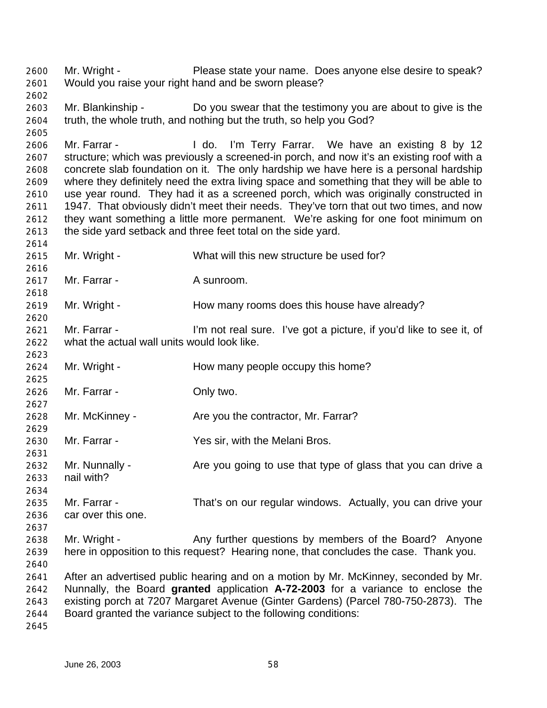Mr. Wright - Please state your name. Does anyone else desire to speak? Would you raise your right hand and be sworn please? 

 Mr. Blankinship - Do you swear that the testimony you are about to give is the truth, the whole truth, and nothing but the truth, so help you God?

 Mr. Farrar - I do. I'm Terry Farrar. We have an existing 8 by 12 structure; which was previously a screened-in porch, and now it's an existing roof with a concrete slab foundation on it. The only hardship we have here is a personal hardship where they definitely need the extra living space and something that they will be able to use year round. They had it as a screened porch, which was originally constructed in 2611 1947. That obviously didn't meet their needs. They've torn that out two times, and now they want something a little more permanent. We're asking for one foot minimum on the side yard setback and three feet total on the side yard.

- Mr. Wright What will this new structure be used for?
- 2617 Mr. Farrar A sunroom.

2619 Mr. Wright - How many rooms does this house have already?

- Mr. Farrar I'm not real sure. I've got a picture, if you'd like to see it, of what the actual wall units would look like.
- 2624 Mr. Wright How many people occupy this home?
- Mr. Farrar Only two.
- 2628 Mr. McKinney Are you the contractor, Mr. Farrar?
- Mr. Farrar Yes sir, with the Melani Bros.
- 2632 Mr. Nunnally Are you going to use that type of glass that you can drive a nail with?
- Mr. Farrar That's on our regular windows. Actually, you can drive your car over this one.
- Mr. Wright Any further questions by members of the Board? Anyone here in opposition to this request? Hearing none, that concludes the case. Thank you.
- After an advertised public hearing and on a motion by Mr. McKinney, seconded by Mr. Nunnally, the Board **granted** application **A-72-2003** for a variance to enclose the existing porch at 7207 Margaret Avenue (Ginter Gardens) (Parcel 780-750-2873). The Board granted the variance subject to the following conditions:
-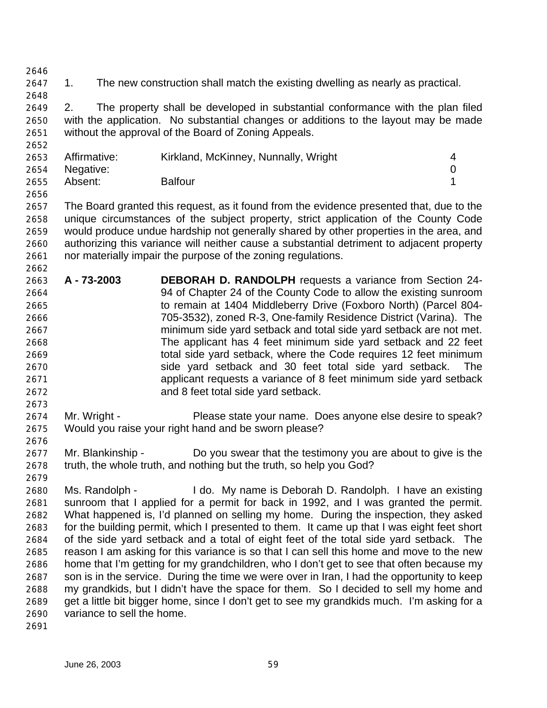1. The new construction shall match the existing dwelling as nearly as practical.

 2. The property shall be developed in substantial conformance with the plan filed with the application. No substantial changes or additions to the layout may be made without the approval of the Board of Zoning Appeals.

| 2653 | Affirmative: | Kirkland, McKinney, Nunnally, Wright |  |
|------|--------------|--------------------------------------|--|
| 2654 | Negative:    |                                      |  |
| 2655 | Absent:      | <b>Balfour</b>                       |  |
| 2656 |              |                                      |  |

 The Board granted this request, as it found from the evidence presented that, due to the unique circumstances of the subject property, strict application of the County Code would produce undue hardship not generally shared by other properties in the area, and authorizing this variance will neither cause a substantial detriment to adjacent property nor materially impair the purpose of the zoning regulations.

- **A 73-2003 DEBORAH D. RANDOLPH** requests a variance from Section 24- 94 of Chapter 24 of the County Code to allow the existing sunroom to remain at 1404 Middleberry Drive (Foxboro North) (Parcel 804- 705-3532), zoned R-3, One-family Residence District (Varina). The minimum side yard setback and total side yard setback are not met. The applicant has 4 feet minimum side yard setback and 22 feet total side yard setback, where the Code requires 12 feet minimum side yard setback and 30 feet total side yard setback. The applicant requests a variance of 8 feet minimum side yard setback and 8 feet total side yard setback.
- Mr. Wright Please state your name. Does anyone else desire to speak? Would you raise your right hand and be sworn please?
- Mr. Blankinship Do you swear that the testimony you are about to give is the truth, the whole truth, and nothing but the truth, so help you God?
- Ms. Randolph - I do. My name is Deborah D. Randolph. I have an existing sunroom that I applied for a permit for back in 1992, and I was granted the permit. What happened is, I'd planned on selling my home. During the inspection, they asked for the building permit, which I presented to them. It came up that I was eight feet short of the side yard setback and a total of eight feet of the total side yard setback. The reason I am asking for this variance is so that I can sell this home and move to the new home that I'm getting for my grandchildren, who I don't get to see that often because my son is in the service. During the time we were over in Iran, I had the opportunity to keep my grandkids, but I didn't have the space for them. So I decided to sell my home and get a little bit bigger home, since I don't get to see my grandkids much. I'm asking for a variance to sell the home.
-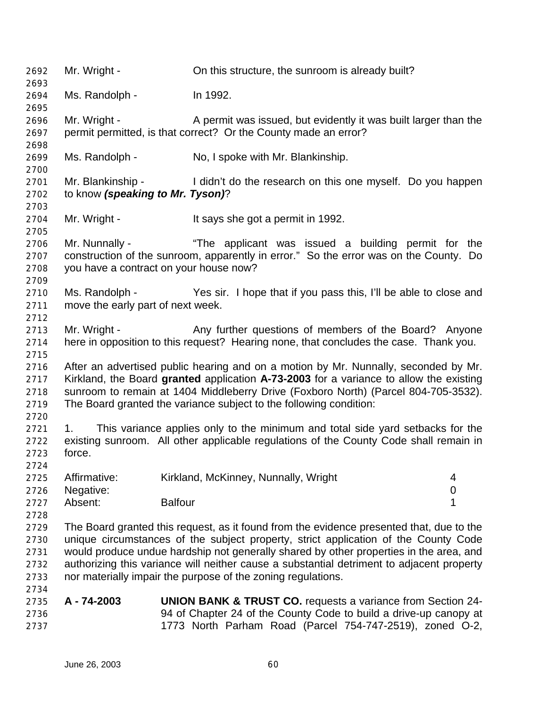Mr. Wright - On this structure, the sunroom is already built? Ms. Randolph - In 1992. Mr. Wright - A permit was issued, but evidently it was built larger than the permit permitted, is that correct? Or the County made an error? Ms. Randolph - No, I spoke with Mr. Blankinship. Mr. Blankinship - I didn't do the research on this one myself. Do you happen to know *(speaking to Mr. Tyson)*? Mr. Wright - It says she got a permit in 1992. Mr. Nunnally - "The applicant was issued a building permit for the construction of the sunroom, apparently in error." So the error was on the County. Do you have a contract on your house now? Ms. Randolph - Yes sir. I hope that if you pass this, I'll be able to close and move the early part of next week. 2713 Mr. Wright - Any further questions of members of the Board? Anyone here in opposition to this request? Hearing none, that concludes the case. Thank you. After an advertised public hearing and on a motion by Mr. Nunnally, seconded by Mr. Kirkland, the Board **granted** application **A-73-2003** for a variance to allow the existing sunroom to remain at 1404 Middleberry Drive (Foxboro North) (Parcel 804-705-3532). The Board granted the variance subject to the following condition: 1. This variance applies only to the minimum and total side yard setbacks for the existing sunroom. All other applicable regulations of the County Code shall remain in force. Affirmative: Kirkland, McKinney, Nunnally, Wright 4 Negative: 0 Absent: Balfour 1 The Board granted this request, as it found from the evidence presented that, due to the unique circumstances of the subject property, strict application of the County Code would produce undue hardship not generally shared by other properties in the area, and authorizing this variance will neither cause a substantial detriment to adjacent property nor materially impair the purpose of the zoning regulations. **A - 74-2003 UNION BANK & TRUST CO.** requests a variance from Section 24- 94 of Chapter 24 of the County Code to build a drive-up canopy at 1773 North Parham Road (Parcel 754-747-2519), zoned O-2,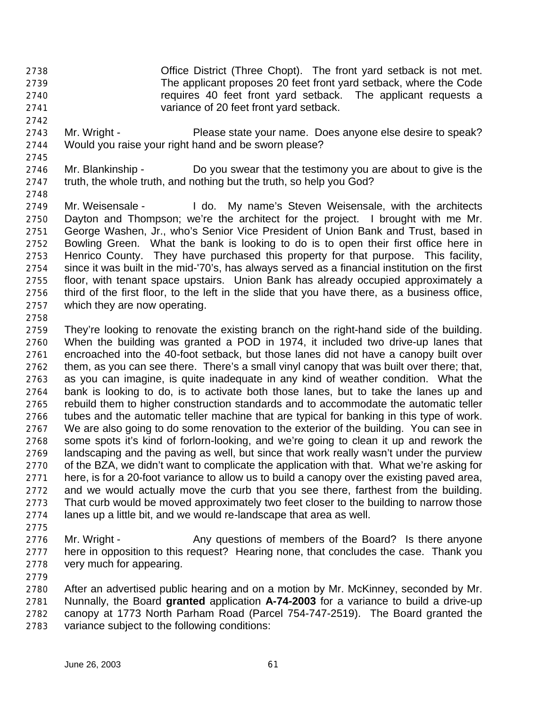- Office District (Three Chopt). The front yard setback is not met. The applicant proposes 20 feet front yard setback, where the Code requires 40 feet front yard setback. The applicant requests a variance of 20 feet front yard setback.
- 2743 Mr. Wright Please state your name. Does anyone else desire to speak? Would you raise your right hand and be sworn please?
- 

- Mr. Blankinship Do you swear that the testimony you are about to give is the truth, the whole truth, and nothing but the truth, so help you God?
- 

 Mr. Weisensale - I do. My name's Steven Weisensale, with the architects Dayton and Thompson; we're the architect for the project. I brought with me Mr. George Washen, Jr., who's Senior Vice President of Union Bank and Trust, based in Bowling Green. What the bank is looking to do is to open their first office here in Henrico County. They have purchased this property for that purpose. This facility, since it was built in the mid-'70's, has always served as a financial institution on the first floor, with tenant space upstairs. Union Bank has already occupied approximately a third of the first floor, to the left in the slide that you have there, as a business office, which they are now operating.

 They're looking to renovate the existing branch on the right-hand side of the building. When the building was granted a POD in 1974, it included two drive-up lanes that encroached into the 40-foot setback, but those lanes did not have a canopy built over them, as you can see there. There's a small vinyl canopy that was built over there; that, as you can imagine, is quite inadequate in any kind of weather condition. What the bank is looking to do, is to activate both those lanes, but to take the lanes up and rebuild them to higher construction standards and to accommodate the automatic teller tubes and the automatic teller machine that are typical for banking in this type of work. We are also going to do some renovation to the exterior of the building. You can see in some spots it's kind of forlorn-looking, and we're going to clean it up and rework the landscaping and the paving as well, but since that work really wasn't under the purview of the BZA, we didn't want to complicate the application with that. What we're asking for here, is for a 20-foot variance to allow us to build a canopy over the existing paved area, and we would actually move the curb that you see there, farthest from the building. That curb would be moved approximately two feet closer to the building to narrow those lanes up a little bit, and we would re-landscape that area as well.

- 
- Mr. Wright Any questions of members of the Board? Is there anyone here in opposition to this request? Hearing none, that concludes the case. Thank you very much for appearing.
- 

 After an advertised public hearing and on a motion by Mr. McKinney, seconded by Mr. Nunnally, the Board **granted** application **A-74-2003** for a variance to build a drive-up canopy at 1773 North Parham Road (Parcel 754-747-2519). The Board granted the variance subject to the following conditions: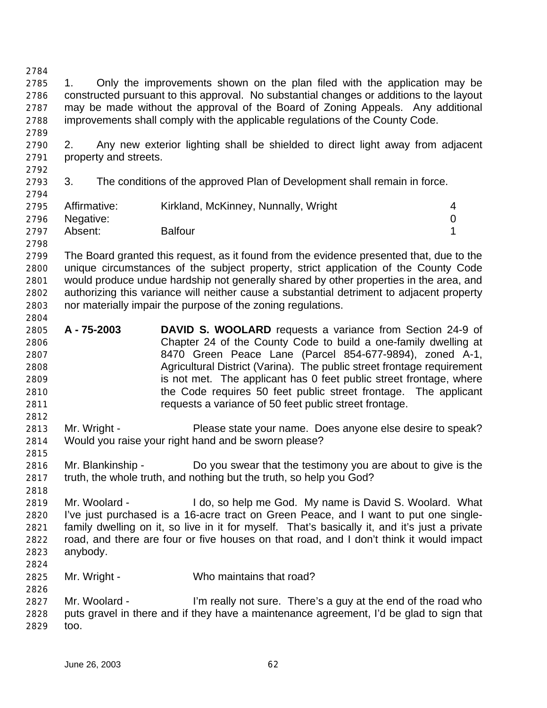1. Only the improvements shown on the plan filed with the application may be constructed pursuant to this approval. No substantial changes or additions to the layout may be made without the approval of the Board of Zoning Appeals. Any additional improvements shall comply with the applicable regulations of the County Code. 2. Any new exterior lighting shall be shielded to direct light away from adjacent property and streets. 3. The conditions of the approved Plan of Development shall remain in force. Affirmative: Kirkland, McKinney, Nunnally, Wright 4 Negative: 0 Absent: Balfour 1 The Board granted this request, as it found from the evidence presented that, due to the unique circumstances of the subject property, strict application of the County Code would produce undue hardship not generally shared by other properties in the area, and authorizing this variance will neither cause a substantial detriment to adjacent property nor materially impair the purpose of the zoning regulations. **A - 75-2003 DAVID S. WOOLARD** requests a variance from Section 24-9 of Chapter 24 of the County Code to build a one-family dwelling at 8470 Green Peace Lane (Parcel 854-677-9894), zoned A-1, Agricultural District (Varina). The public street frontage requirement is not met. The applicant has 0 feet public street frontage, where the Code requires 50 feet public street frontage. The applicant requests a variance of 50 feet public street frontage. Mr. Wright - Please state your name. Does anyone else desire to speak? Would you raise your right hand and be sworn please? Mr. Blankinship - Do you swear that the testimony you are about to give is the truth, the whole truth, and nothing but the truth, so help you God? Mr. Woolard - I do, so help me God. My name is David S. Woolard. What I've just purchased is a 16-acre tract on Green Peace, and I want to put one single- family dwelling on it, so live in it for myself. That's basically it, and it's just a private road, and there are four or five houses on that road, and I don't think it would impact anybody. Mr. Wright - Who maintains that road? Mr. Woolard - I'm really not sure. There's a guy at the end of the road who puts gravel in there and if they have a maintenance agreement, I'd be glad to sign that too.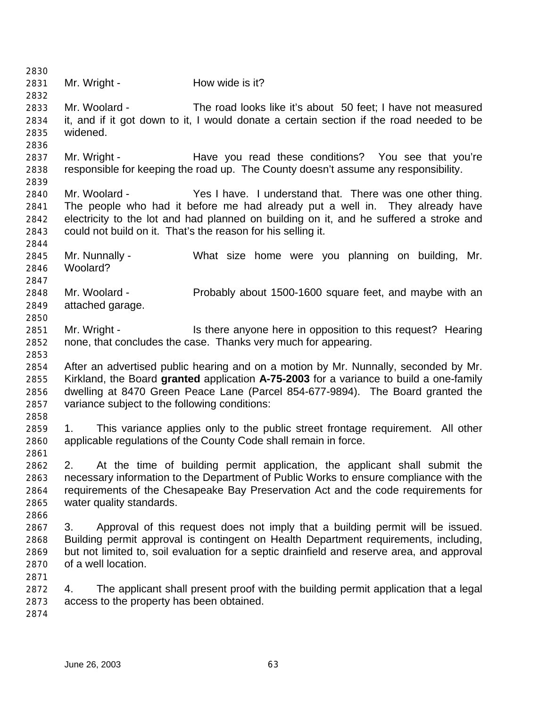2831 Mr. Wright - How wide is it? Mr. Woolard - The road looks like it's about 50 feet; I have not measured it, and if it got down to it, I would donate a certain section if the road needed to be widened. 2837 Mr. Wright - Have you read these conditions? You see that you're responsible for keeping the road up. The County doesn't assume any responsibility. Mr. Woolard - Yes I have. I understand that. There was one other thing. The people who had it before me had already put a well in. They already have electricity to the lot and had planned on building on it, and he suffered a stroke and could not build on it. That's the reason for his selling it. Mr. Nunnally - What size home were you planning on building, Mr. Woolard? Mr. Woolard - Probably about 1500-1600 square feet, and maybe with an attached garage. Mr. Wright - Is there anyone here in opposition to this request? Hearing none, that concludes the case. Thanks very much for appearing. After an advertised public hearing and on a motion by Mr. Nunnally, seconded by Mr. Kirkland, the Board **granted** application **A-75-2003** for a variance to build a one-family dwelling at 8470 Green Peace Lane (Parcel 854-677-9894). The Board granted the variance subject to the following conditions: 1. This variance applies only to the public street frontage requirement. All other applicable regulations of the County Code shall remain in force. 2. At the time of building permit application, the applicant shall submit the necessary information to the Department of Public Works to ensure compliance with the requirements of the Chesapeake Bay Preservation Act and the code requirements for water quality standards. 3. Approval of this request does not imply that a building permit will be issued. Building permit approval is contingent on Health Department requirements, including, but not limited to, soil evaluation for a septic drainfield and reserve area, and approval of a well location. 4. The applicant shall present proof with the building permit application that a legal access to the property has been obtained.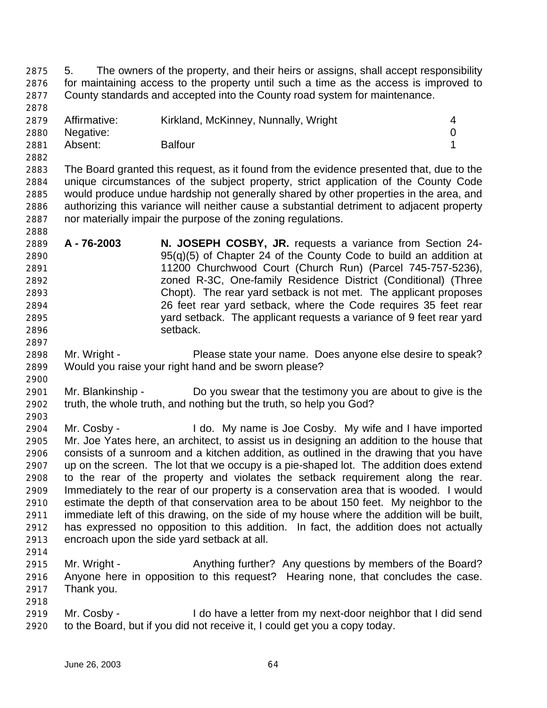5. The owners of the property, and their heirs or assigns, shall accept responsibility for maintaining access to the property until such a time as the access is improved to County standards and accepted into the County road system for maintenance.

| 2879 | Affirmative:   | Kirkland, McKinney, Nunnally, Wright |  |
|------|----------------|--------------------------------------|--|
|      | 2880 Negative: |                                      |  |
| 2881 | Absent:        | <b>Balfour</b>                       |  |

 The Board granted this request, as it found from the evidence presented that, due to the unique circumstances of the subject property, strict application of the County Code would produce undue hardship not generally shared by other properties in the area, and authorizing this variance will neither cause a substantial detriment to adjacent property nor materially impair the purpose of the zoning regulations.

- **A 76-2003 N. JOSEPH COSBY, JR.** requests a variance from Section 24- 95(q)(5) of Chapter 24 of the County Code to build an addition at 11200 Churchwood Court (Church Run) (Parcel 745-757-5236), zoned R-3C, One-family Residence District (Conditional) (Three Chopt). The rear yard setback is not met. The applicant proposes 26 feet rear yard setback, where the Code requires 35 feet rear yard setback. The applicant requests a variance of 9 feet rear yard setback.
- Mr. Wright Please state your name. Does anyone else desire to speak? Would you raise your right hand and be sworn please?
- Mr. Blankinship Do you swear that the testimony you are about to give is the truth, the whole truth, and nothing but the truth, so help you God?
- Mr. Cosby - I do. My name is Joe Cosby. My wife and I have imported Mr. Joe Yates here, an architect, to assist us in designing an addition to the house that consists of a sunroom and a kitchen addition, as outlined in the drawing that you have up on the screen. The lot that we occupy is a pie-shaped lot. The addition does extend to the rear of the property and violates the setback requirement along the rear. Immediately to the rear of our property is a conservation area that is wooded. I would estimate the depth of that conservation area to be about 150 feet. My neighbor to the immediate left of this drawing, on the side of my house where the addition will be built, has expressed no opposition to this addition. In fact, the addition does not actually encroach upon the side yard setback at all.
- 

- Mr. Wright Anything further? Any questions by members of the Board? Anyone here in opposition to this request? Hearing none, that concludes the case. Thank you.
- Mr. Cosby I do have a letter from my next-door neighbor that I did send to the Board, but if you did not receive it, I could get you a copy today.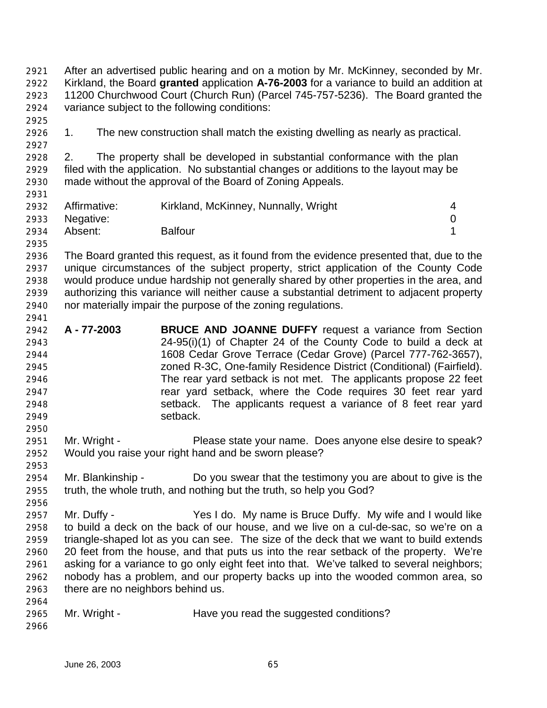After an advertised public hearing and on a motion by Mr. McKinney, seconded by Mr. Kirkland, the Board **granted** application **A-76-2003** for a variance to build an addition at 11200 Churchwood Court (Church Run) (Parcel 745-757-5236). The Board granted the variance subject to the following conditions:

1. The new construction shall match the existing dwelling as nearly as practical.

 2. The property shall be developed in substantial conformance with the plan filed with the application. No substantial changes or additions to the layout may be made without the approval of the Board of Zoning Appeals.

|      | 2932 Affirmative: | Kirkland, McKinney, Nunnally, Wright |  |
|------|-------------------|--------------------------------------|--|
|      | 2933 Negative:    |                                      |  |
| 2934 | Absent:           | <b>Balfour</b>                       |  |

 The Board granted this request, as it found from the evidence presented that, due to the unique circumstances of the subject property, strict application of the County Code would produce undue hardship not generally shared by other properties in the area, and authorizing this variance will neither cause a substantial detriment to adjacent property nor materially impair the purpose of the zoning regulations.

- **A 77-2003 BRUCE AND JOANNE DUFFY** request a variance from Section 24-95(i)(1) of Chapter 24 of the County Code to build a deck at 1608 Cedar Grove Terrace (Cedar Grove) (Parcel 777-762-3657), zoned R-3C, One-family Residence District (Conditional) (Fairfield). The rear yard setback is not met. The applicants propose 22 feet rear yard setback, where the Code requires 30 feet rear yard setback. The applicants request a variance of 8 feet rear yard setback.
- Mr. Wright Please state your name. Does anyone else desire to speak? Would you raise your right hand and be sworn please?
- Mr. Blankinship Do you swear that the testimony you are about to give is the truth, the whole truth, and nothing but the truth, so help you God?
- Mr. Duffy - Yes I do. My name is Bruce Duffy. My wife and I would like to build a deck on the back of our house, and we live on a cul-de-sac, so we're on a triangle-shaped lot as you can see. The size of the deck that we want to build extends 20 feet from the house, and that puts us into the rear setback of the property. We're asking for a variance to go only eight feet into that. We've talked to several neighbors; nobody has a problem, and our property backs up into the wooded common area, so there are no neighbors behind us.
- Mr. Wright Have you read the suggested conditions?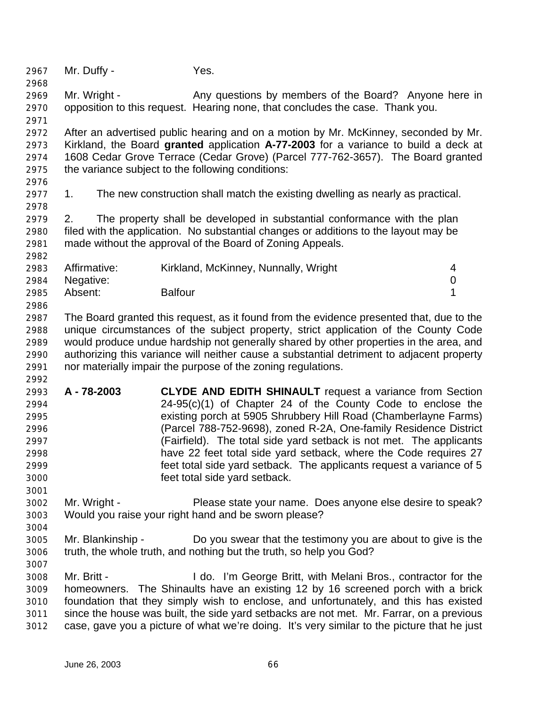Mr. Duffy - Yes. 2969 Mr. Wright - Any questions by members of the Board? Anyone here in opposition to this request. Hearing none, that concludes the case. Thank you. After an advertised public hearing and on a motion by Mr. McKinney, seconded by Mr. Kirkland, the Board **granted** application **A-77-2003** for a variance to build a deck at 1608 Cedar Grove Terrace (Cedar Grove) (Parcel 777-762-3657). The Board granted the variance subject to the following conditions: 1. The new construction shall match the existing dwelling as nearly as practical. 2. The property shall be developed in substantial conformance with the plan filed with the application. No substantial changes or additions to the layout may be made without the approval of the Board of Zoning Appeals. Affirmative: Kirkland, McKinney, Nunnally, Wright 4 Negative: 0 Absent: Balfour 1 The Board granted this request, as it found from the evidence presented that, due to the unique circumstances of the subject property, strict application of the County Code would produce undue hardship not generally shared by other properties in the area, and authorizing this variance will neither cause a substantial detriment to adjacent property nor materially impair the purpose of the zoning regulations. **A - 78-2003 CLYDE AND EDITH SHINAULT** request a variance from Section 24-95(c)(1) of Chapter 24 of the County Code to enclose the existing porch at 5905 Shrubbery Hill Road (Chamberlayne Farms) (Parcel 788-752-9698), zoned R-2A, One-family Residence District (Fairfield). The total side yard setback is not met. The applicants have 22 feet total side yard setback, where the Code requires 27 feet total side yard setback. The applicants request a variance of 5 feet total side yard setback. Mr. Wright - Please state your name. Does anyone else desire to speak? Would you raise your right hand and be sworn please? Mr. Blankinship - Do you swear that the testimony you are about to give is the truth, the whole truth, and nothing but the truth, so help you God? Mr. Britt - I do. I'm George Britt, with Melani Bros., contractor for the homeowners. The Shinaults have an existing 12 by 16 screened porch with a brick foundation that they simply wish to enclose, and unfortunately, and this has existed since the house was built, the side yard setbacks are not met. Mr. Farrar, on a previous case, gave you a picture of what we're doing. It's very similar to the picture that he just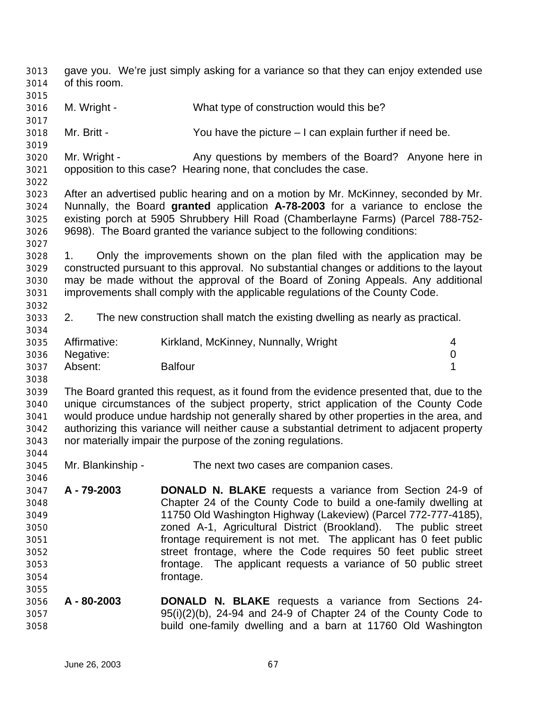gave you. We're just simply asking for a variance so that they can enjoy extended use of this room. M. Wright - What type of construction would this be? Mr. Britt - You have the picture – I can explain further if need be. Mr. Wright - Any questions by members of the Board? Anyone here in opposition to this case? Hearing none, that concludes the case. After an advertised public hearing and on a motion by Mr. McKinney, seconded by Mr. Nunnally, the Board **granted** application **A-78-2003** for a variance to enclose the existing porch at 5905 Shrubbery Hill Road (Chamberlayne Farms) (Parcel 788-752- 9698). The Board granted the variance subject to the following conditions: 1. Only the improvements shown on the plan filed with the application may be constructed pursuant to this approval. No substantial changes or additions to the layout may be made without the approval of the Board of Zoning Appeals. Any additional improvements shall comply with the applicable regulations of the County Code. 2. The new construction shall match the existing dwelling as nearly as practical. Affirmative: Kirkland, McKinney, Nunnally, Wright 4 Negative: 0 Absent: Balfour 1 The Board granted this request, as it found from the evidence presented that, due to the unique circumstances of the subject property, strict application of the County Code would produce undue hardship not generally shared by other properties in the area, and authorizing this variance will neither cause a substantial detriment to adjacent property nor materially impair the purpose of the zoning regulations. Mr. Blankinship - The next two cases are companion cases. **A - 79-2003 DONALD N. BLAKE** requests a variance from Section 24-9 of Chapter 24 of the County Code to build a one-family dwelling at 11750 Old Washington Highway (Lakeview) (Parcel 772-777-4185), zoned A-1, Agricultural District (Brookland). The public street frontage requirement is not met. The applicant has 0 feet public street frontage, where the Code requires 50 feet public street frontage. The applicant requests a variance of 50 public street frontage. **A - 80-2003 DONALD N. BLAKE** requests a variance from Sections 24- 95(i)(2)(b), 24-94 and 24-9 of Chapter 24 of the County Code to build one-family dwelling and a barn at 11760 Old Washington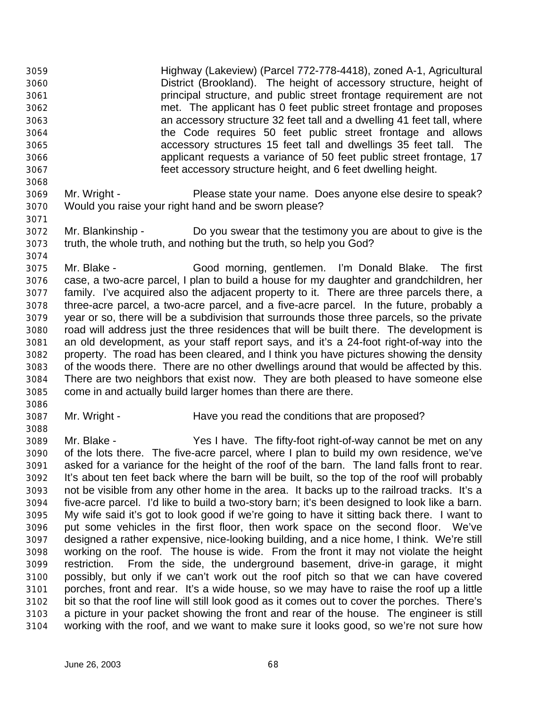Highway (Lakeview) (Parcel 772-778-4418), zoned A-1, Agricultural District (Brookland). The height of accessory structure, height of principal structure, and public street frontage requirement are not met. The applicant has 0 feet public street frontage and proposes an accessory structure 32 feet tall and a dwelling 41 feet tall, where the Code requires 50 feet public street frontage and allows accessory structures 15 feet tall and dwellings 35 feet tall. The applicant requests a variance of 50 feet public street frontage, 17 feet accessory structure height, and 6 feet dwelling height. 

- Mr. Wright Please state your name. Does anyone else desire to speak? Would you raise your right hand and be sworn please?
- Mr. Blankinship Do you swear that the testimony you are about to give is the truth, the whole truth, and nothing but the truth, so help you God?

 Mr. Blake - Good morning, gentlemen. I'm Donald Blake. The first case, a two-acre parcel, I plan to build a house for my daughter and grandchildren, her family. I've acquired also the adjacent property to it. There are three parcels there, a three-acre parcel, a two-acre parcel, and a five-acre parcel. In the future, probably a year or so, there will be a subdivision that surrounds those three parcels, so the private road will address just the three residences that will be built there. The development is an old development, as your staff report says, and it's a 24-foot right-of-way into the property. The road has been cleared, and I think you have pictures showing the density of the woods there. There are no other dwellings around that would be affected by this. There are two neighbors that exist now. They are both pleased to have someone else come in and actually build larger homes than there are there.

- Mr. Wright Have you read the conditions that are proposed?
- Mr. Blake - Yes I have. The fifty-foot right-of-way cannot be met on any of the lots there. The five-acre parcel, where I plan to build my own residence, we've asked for a variance for the height of the roof of the barn. The land falls front to rear. It's about ten feet back where the barn will be built, so the top of the roof will probably not be visible from any other home in the area. It backs up to the railroad tracks. It's a five-acre parcel. I'd like to build a two-story barn; it's been designed to look like a barn. My wife said it's got to look good if we're going to have it sitting back there. I want to put some vehicles in the first floor, then work space on the second floor. We've designed a rather expensive, nice-looking building, and a nice home, I think. We're still working on the roof. The house is wide. From the front it may not violate the height restriction. From the side, the underground basement, drive-in garage, it might possibly, but only if we can't work out the roof pitch so that we can have covered porches, front and rear. It's a wide house, so we may have to raise the roof up a little bit so that the roof line will still look good as it comes out to cover the porches. There's a picture in your packet showing the front and rear of the house. The engineer is still working with the roof, and we want to make sure it looks good, so we're not sure how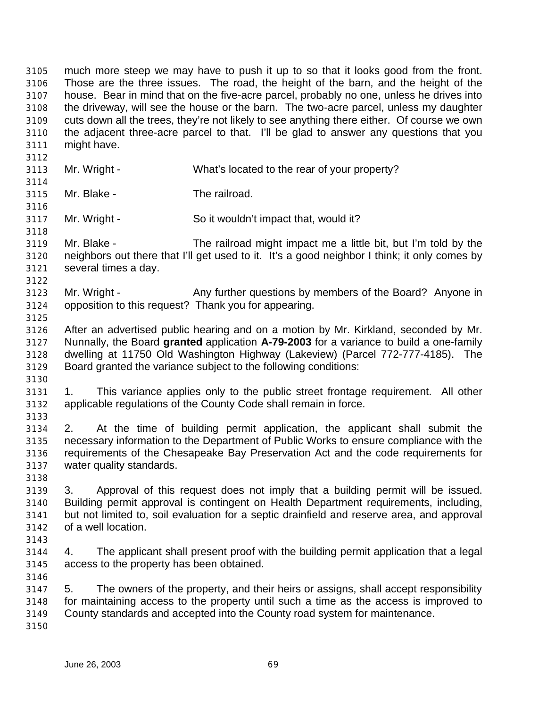much more steep we may have to push it up to so that it looks good from the front. Those are the three issues. The road, the height of the barn, and the height of the house. Bear in mind that on the five-acre parcel, probably no one, unless he drives into the driveway, will see the house or the barn. The two-acre parcel, unless my daughter cuts down all the trees, they're not likely to see anything there either. Of course we own the adjacent three-acre parcel to that. I'll be glad to answer any questions that you might have. Mr. Wright - What's located to the rear of your property? Mr. Blake - The railroad. Mr. Wright - So it wouldn't impact that, would it? Mr. Blake - The railroad might impact me a little bit, but I'm told by the neighbors out there that I'll get used to it. It's a good neighbor I think; it only comes by several times a day. Mr. Wright - Any further questions by members of the Board? Anyone in opposition to this request? Thank you for appearing. After an advertised public hearing and on a motion by Mr. Kirkland, seconded by Mr. Nunnally, the Board **granted** application **A-79-2003** for a variance to build a one-family dwelling at 11750 Old Washington Highway (Lakeview) (Parcel 772-777-4185). The Board granted the variance subject to the following conditions: 1. This variance applies only to the public street frontage requirement. All other applicable regulations of the County Code shall remain in force. 2. At the time of building permit application, the applicant shall submit the necessary information to the Department of Public Works to ensure compliance with the requirements of the Chesapeake Bay Preservation Act and the code requirements for water quality standards. 3. Approval of this request does not imply that a building permit will be issued. Building permit approval is contingent on Health Department requirements, including, but not limited to, soil evaluation for a septic drainfield and reserve area, and approval of a well location. 4. The applicant shall present proof with the building permit application that a legal access to the property has been obtained. 5. The owners of the property, and their heirs or assigns, shall accept responsibility for maintaining access to the property until such a time as the access is improved to County standards and accepted into the County road system for maintenance.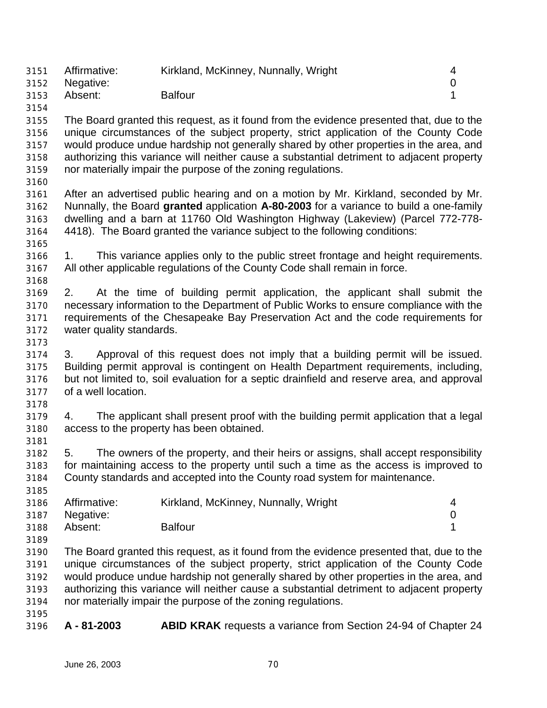| 3151 | Affirmative:   | Kirkland, McKinney, Nunnally, Wright |  |
|------|----------------|--------------------------------------|--|
|      | 3152 Negative: |                                      |  |
| 3153 | Absent:        | <b>Balfour</b>                       |  |
| 3154 |                |                                      |  |

 The Board granted this request, as it found from the evidence presented that, due to the unique circumstances of the subject property, strict application of the County Code would produce undue hardship not generally shared by other properties in the area, and authorizing this variance will neither cause a substantial detriment to adjacent property nor materially impair the purpose of the zoning regulations.

 After an advertised public hearing and on a motion by Mr. Kirkland, seconded by Mr. Nunnally, the Board **granted** application **A-80-2003** for a variance to build a one-family dwelling and a barn at 11760 Old Washington Highway (Lakeview) (Parcel 772-778- 4418). The Board granted the variance subject to the following conditions:

- 1. This variance applies only to the public street frontage and height requirements.
	- All other applicable regulations of the County Code shall remain in force.
	- 2. At the time of building permit application, the applicant shall submit the necessary information to the Department of Public Works to ensure compliance with the requirements of the Chesapeake Bay Preservation Act and the code requirements for water quality standards.
	-

 3. Approval of this request does not imply that a building permit will be issued. Building permit approval is contingent on Health Department requirements, including, but not limited to, soil evaluation for a septic drainfield and reserve area, and approval of a well location.

 4. The applicant shall present proof with the building permit application that a legal access to the property has been obtained.

 5. The owners of the property, and their heirs or assigns, shall accept responsibility for maintaining access to the property until such a time as the access is improved to County standards and accepted into the County road system for maintenance. 

| 3186 | Affirmative:   | Kirkland, McKinney, Nunnally, Wright | $\overline{4}$ |
|------|----------------|--------------------------------------|----------------|
|      | 3187 Negative: |                                      |                |
| 3188 | Absent:        | <b>Balfour</b>                       |                |

- The Board granted this request, as it found from the evidence presented that, due to the unique circumstances of the subject property, strict application of the County Code would produce undue hardship not generally shared by other properties in the area, and authorizing this variance will neither cause a substantial detriment to adjacent property nor materially impair the purpose of the zoning regulations.
- 

**A - 81-2003 ABID KRAK** requests a variance from Section 24-94 of Chapter 24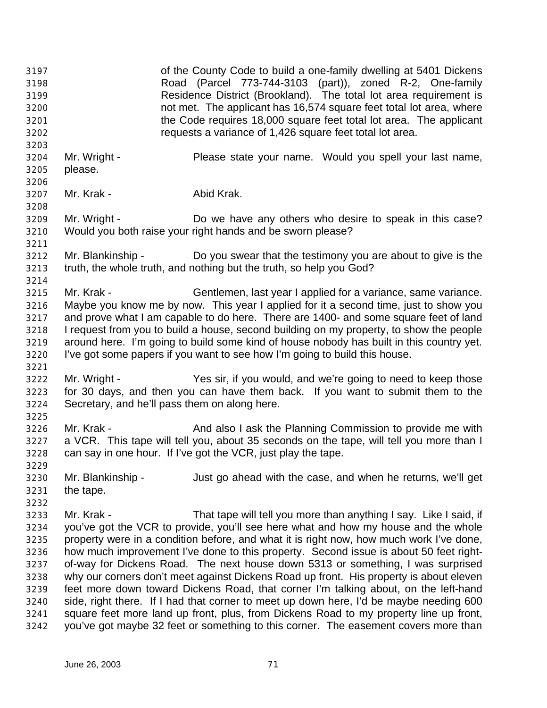of the County Code to build a one-family dwelling at 5401 Dickens Road (Parcel 773-744-3103 (part)), zoned R-2, One-family Residence District (Brookland). The total lot area requirement is not met. The applicant has 16,574 square feet total lot area, where the Code requires 18,000 square feet total lot area. The applicant requests a variance of 1,426 square feet total lot area. Mr. Wright - Please state your name. Would you spell your last name, please. Mr. Krak - Abid Krak. Mr. Wright - Do we have any others who desire to speak in this case? Would you both raise your right hands and be sworn please? Mr. Blankinship - Do you swear that the testimony you are about to give is the truth, the whole truth, and nothing but the truth, so help you God? Mr. Krak - Gentlemen, last year I applied for a variance, same variance. Maybe you know me by now. This year I applied for it a second time, just to show you and prove what I am capable to do here. There are 1400- and some square feet of land I request from you to build a house, second building on my property, to show the people around here. I'm going to build some kind of house nobody has built in this country yet. I've got some papers if you want to see how I'm going to build this house. Mr. Wright - Yes sir, if you would, and we're going to need to keep those for 30 days, and then you can have them back. If you want to submit them to the Secretary, and he'll pass them on along here. 3226 Mr. Krak - And also I ask the Planning Commission to provide me with a VCR. This tape will tell you, about 35 seconds on the tape, will tell you more than I can say in one hour. If I've got the VCR, just play the tape. Mr. Blankinship - Just go ahead with the case, and when he returns, we'll get the tape. Mr. Krak - That tape will tell you more than anything I say. Like I said, if you've got the VCR to provide, you'll see here what and how my house and the whole property were in a condition before, and what it is right now, how much work I've done, how much improvement I've done to this property. Second issue is about 50 feet right- of-way for Dickens Road. The next house down 5313 or something, I was surprised why our corners don't meet against Dickens Road up front. His property is about eleven feet more down toward Dickens Road, that corner I'm talking about, on the left-hand side, right there. If I had that corner to meet up down here, I'd be maybe needing 600 square feet more land up front, plus, from Dickens Road to my property line up front, you've got maybe 32 feet or something to this corner. The easement covers more than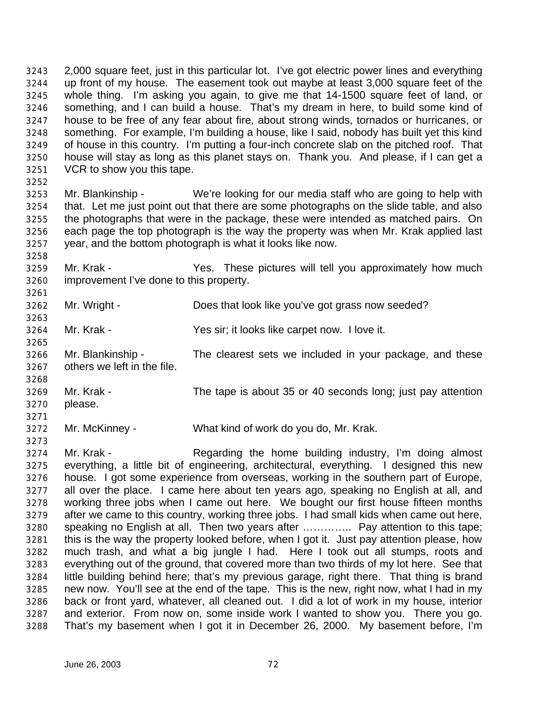2,000 square feet, just in this particular lot. I've got electric power lines and everything up front of my house. The easement took out maybe at least 3,000 square feet of the whole thing. I'm asking you again, to give me that 14-1500 square feet of land, or something, and I can build a house. That's my dream in here, to build some kind of house to be free of any fear about fire, about strong winds, tornados or hurricanes, or something. For example, I'm building a house, like I said, nobody has built yet this kind of house in this country. I'm putting a four-inch concrete slab on the pitched roof. That house will stay as long as this planet stays on. Thank you. And please, if I can get a VCR to show you this tape.

 Mr. Blankinship - We're looking for our media staff who are going to help with that. Let me just point out that there are some photographs on the slide table, and also the photographs that were in the package, these were intended as matched pairs. On each page the top photograph is the way the property was when Mr. Krak applied last year, and the bottom photograph is what it looks like now.

 Mr. Krak - Yes. These pictures will tell you approximately how much improvement I've done to this property.

Mr. Wright - Does that look like you've got grass now seeded?

Mr. Krak - Yes sir; it looks like carpet now. I love it.

- Mr. Blankinship The clearest sets we included in your package, and these others we left in the file.
- Mr. Krak The tape is about 35 or 40 seconds long; just pay attention please.
- Mr. McKinney What kind of work do you do, Mr. Krak.

 Mr. Krak - Regarding the home building industry, I'm doing almost everything, a little bit of engineering, architectural, everything. I designed this new house. I got some experience from overseas, working in the southern part of Europe, all over the place. I came here about ten years ago, speaking no English at all, and working three jobs when I came out here. We bought our first house fifteen months after we came to this country, working three jobs. I had small kids when came out here, speaking no English at all. Then two years after ………….. Pay attention to this tape; this is the way the property looked before, when I got it. Just pay attention please, how much trash, and what a big jungle I had. Here I took out all stumps, roots and everything out of the ground, that covered more than two thirds of my lot here. See that little building behind here; that's my previous garage, right there. That thing is brand new now. You'll see at the end of the tape. This is the new, right now, what I had in my back or front yard, whatever, all cleaned out. I did a lot of work in my house, interior and exterior. From now on, some inside work I wanted to show you. There you go. That's my basement when I got it in December 26, 2000. My basement before, I'm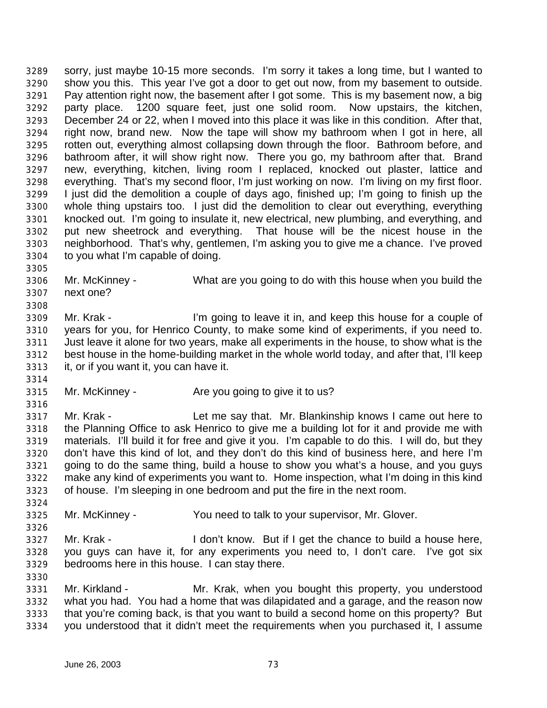sorry, just maybe 10-15 more seconds. I'm sorry it takes a long time, but I wanted to show you this. This year I've got a door to get out now, from my basement to outside. Pay attention right now, the basement after I got some. This is my basement now, a big party place. 1200 square feet, just one solid room. Now upstairs, the kitchen, December 24 or 22, when I moved into this place it was like in this condition. After that, right now, brand new. Now the tape will show my bathroom when I got in here, all rotten out, everything almost collapsing down through the floor. Bathroom before, and bathroom after, it will show right now. There you go, my bathroom after that. Brand new, everything, kitchen, living room I replaced, knocked out plaster, lattice and everything. That's my second floor, I'm just working on now. I'm living on my first floor. I just did the demolition a couple of days ago, finished up; I'm going to finish up the whole thing upstairs too. I just did the demolition to clear out everything, everything knocked out. I'm going to insulate it, new electrical, new plumbing, and everything, and put new sheetrock and everything. That house will be the nicest house in the neighborhood. That's why, gentlemen, I'm asking you to give me a chance. I've proved to you what I'm capable of doing.

 Mr. McKinney - What are you going to do with this house when you build the next one?

 Mr. Krak - I'm going to leave it in, and keep this house for a couple of years for you, for Henrico County, to make some kind of experiments, if you need to. Just leave it alone for two years, make all experiments in the house, to show what is the best house in the home-building market in the whole world today, and after that, I'll keep it, or if you want it, you can have it.

Mr. McKinney - Are you going to give it to us?

 Mr. Krak - Let me say that. Mr. Blankinship knows I came out here to the Planning Office to ask Henrico to give me a building lot for it and provide me with materials. I'll build it for free and give it you. I'm capable to do this. I will do, but they don't have this kind of lot, and they don't do this kind of business here, and here I'm going to do the same thing, build a house to show you what's a house, and you guys make any kind of experiments you want to. Home inspection, what I'm doing in this kind of house. I'm sleeping in one bedroom and put the fire in the next room.

- Mr. McKinney You need to talk to your supervisor, Mr. Glover.
- Mr. Krak I don't know. But if I get the chance to build a house here, you guys can have it, for any experiments you need to, I don't care. I've got six bedrooms here in this house. I can stay there.
- Mr. Kirkland Mr. Krak, when you bought this property, you understood what you had. You had a home that was dilapidated and a garage, and the reason now that you're coming back, is that you want to build a second home on this property? But you understood that it didn't meet the requirements when you purchased it, I assume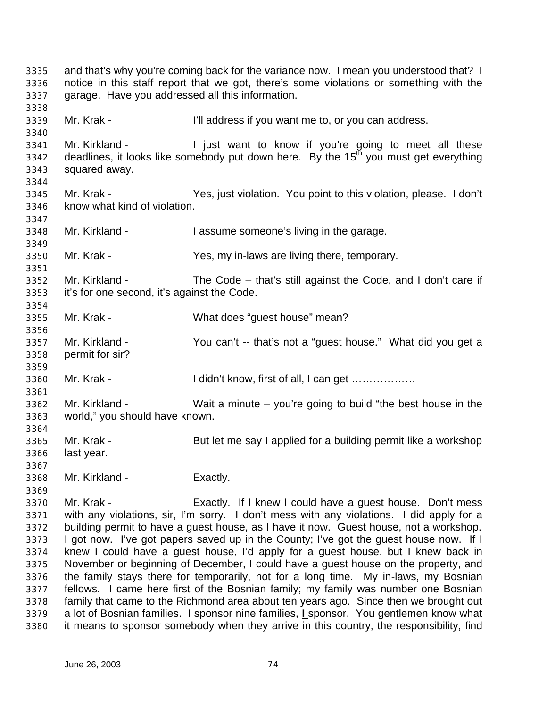and that's why you're coming back for the variance now. I mean you understood that? I notice in this staff report that we got, there's some violations or something with the garage. Have you addressed all this information. Mr. Krak - I'll address if you want me to, or you can address. 3341 Mr. Kirkland - I just want to know if you're going to meet all these  $\frac{3342}{3342}$  deadlines, it looks like somebody put down here. By the  $15<sup>th</sup>$  you must get everything squared away. Mr. Krak - Yes, just violation. You point to this violation, please. I don't know what kind of violation. Mr. Kirkland - I assume someone's living in the garage. Mr. Krak - Yes, my in-laws are living there, temporary. Mr. Kirkland - The Code – that's still against the Code, and I don't care if it's for one second, it's against the Code. Mr. Krak - What does "guest house" mean? Mr. Kirkland - You can't -- that's not a "guest house." What did you get a permit for sir? 3360 Mr. Krak - I didn't know, first of all, I can get ……………… Mr. Kirkland - Wait a minute – you're going to build "the best house in the world," you should have known. Mr. Krak - But let me say I applied for a building permit like a workshop last year. Mr. Kirkland - Exactly. Mr. Krak - Exactly. If I knew I could have a guest house. Don't mess with any violations, sir, I'm sorry. I don't mess with any violations. I did apply for a building permit to have a guest house, as I have it now. Guest house, not a workshop. I got now. I've got papers saved up in the County; I've got the guest house now. If I knew I could have a guest house, I'd apply for a guest house, but I knew back in November or beginning of December, I could have a guest house on the property, and the family stays there for temporarily, not for a long time. My in-laws, my Bosnian fellows. I came here first of the Bosnian family; my family was number one Bosnian family that came to the Richmond area about ten years ago. Since then we brought out a lot of Bosnian families. I sponsor nine families, **I** sponsor. You gentlemen know what it means to sponsor somebody when they arrive in this country, the responsibility, find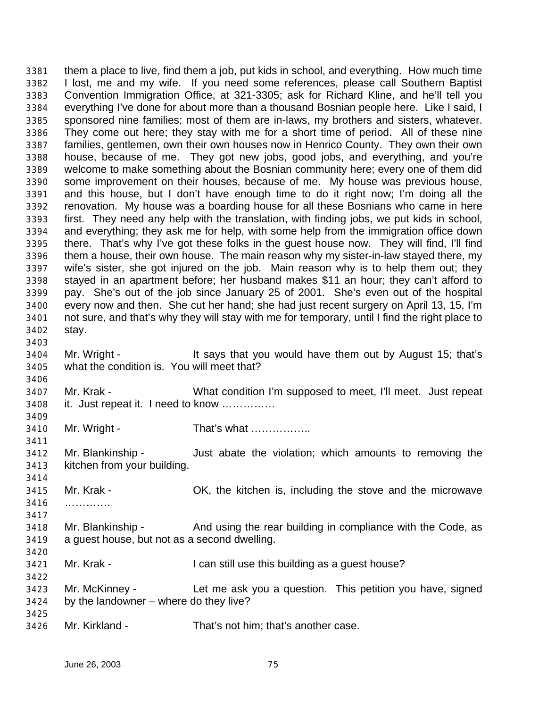them a place to live, find them a job, put kids in school, and everything. How much time I lost, me and my wife. If you need some references, please call Southern Baptist Convention Immigration Office, at 321-3305; ask for Richard Kline, and he'll tell you everything I've done for about more than a thousand Bosnian people here. Like I said, I sponsored nine families; most of them are in-laws, my brothers and sisters, whatever. They come out here; they stay with me for a short time of period. All of these nine families, gentlemen, own their own houses now in Henrico County. They own their own house, because of me. They got new jobs, good jobs, and everything, and you're welcome to make something about the Bosnian community here; every one of them did some improvement on their houses, because of me. My house was previous house, and this house, but I don't have enough time to do it right now; I'm doing all the renovation. My house was a boarding house for all these Bosnians who came in here first. They need any help with the translation, with finding jobs, we put kids in school, and everything; they ask me for help, with some help from the immigration office down there. That's why I've got these folks in the guest house now. They will find, I'll find them a house, their own house. The main reason why my sister-in-law stayed there, my wife's sister, she got injured on the job. Main reason why is to help them out; they stayed in an apartment before; her husband makes \$11 an hour; they can't afford to pay. She's out of the job since January 25 of 2001. She's even out of the hospital every now and then. She cut her hand; she had just recent surgery on April 13, 15, I'm not sure, and that's why they will stay with me for temporary, until I find the right place to stay. Mr. Wright - It says that you would have them out by August 15; that's what the condition is. You will meet that? Mr. Krak - What condition I'm supposed to meet, I'll meet. Just repeat it. Just repeat it. I need to know …………… Mr. Wright - That's what …………….. Mr. Blankinship - Just abate the violation; which amounts to removing the kitchen from your building. Mr. Krak - OK, the kitchen is, including the stove and the microwave …………. Mr. Blankinship - And using the rear building in compliance with the Code, as a guest house, but not as a second dwelling. Mr. Krak - I can still use this building as a guest house? Mr. McKinney - Let me ask you a question. This petition you have, signed by the landowner – where do they live? Mr. Kirkland - That's not him; that's another case.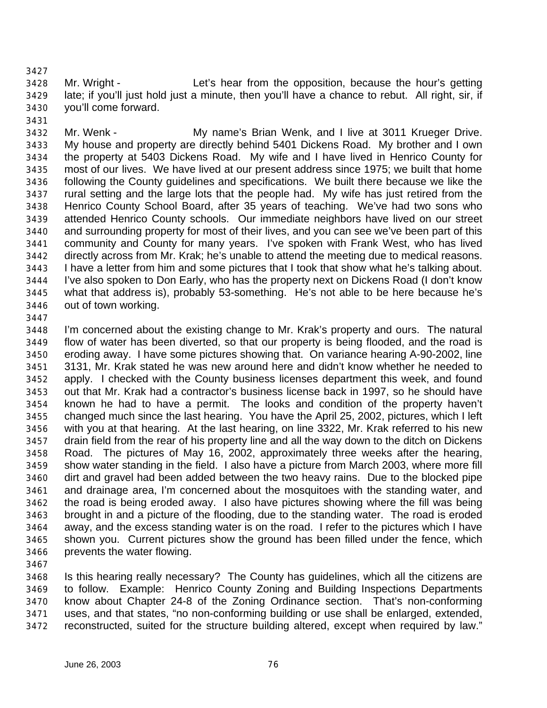Mr. Wright - Let's hear from the opposition, because the hour's getting late; if you'll just hold just a minute, then you'll have a chance to rebut. All right, sir, if you'll come forward.

 Mr. Wenk - My name's Brian Wenk, and I live at 3011 Krueger Drive. My house and property are directly behind 5401 Dickens Road. My brother and I own the property at 5403 Dickens Road. My wife and I have lived in Henrico County for most of our lives. We have lived at our present address since 1975; we built that home following the County guidelines and specifications. We built there because we like the rural setting and the large lots that the people had. My wife has just retired from the Henrico County School Board, after 35 years of teaching. We've had two sons who attended Henrico County schools. Our immediate neighbors have lived on our street and surrounding property for most of their lives, and you can see we've been part of this community and County for many years. I've spoken with Frank West, who has lived directly across from Mr. Krak; he's unable to attend the meeting due to medical reasons. I have a letter from him and some pictures that I took that show what he's talking about. I've also spoken to Don Early, who has the property next on Dickens Road (I don't know what that address is), probably 53-something. He's not able to be here because he's out of town working.

 I'm concerned about the existing change to Mr. Krak's property and ours. The natural flow of water has been diverted, so that our property is being flooded, and the road is eroding away. I have some pictures showing that. On variance hearing A-90-2002, line 3131, Mr. Krak stated he was new around here and didn't know whether he needed to apply. I checked with the County business licenses department this week, and found out that Mr. Krak had a contractor's business license back in 1997, so he should have known he had to have a permit. The looks and condition of the property haven't changed much since the last hearing. You have the April 25, 2002, pictures, which I left with you at that hearing. At the last hearing, on line 3322, Mr. Krak referred to his new drain field from the rear of his property line and all the way down to the ditch on Dickens Road. The pictures of May 16, 2002, approximately three weeks after the hearing, show water standing in the field. I also have a picture from March 2003, where more fill dirt and gravel had been added between the two heavy rains. Due to the blocked pipe and drainage area, I'm concerned about the mosquitoes with the standing water, and the road is being eroded away. I also have pictures showing where the fill was being brought in and a picture of the flooding, due to the standing water. The road is eroded away, and the excess standing water is on the road. I refer to the pictures which I have shown you. Current pictures show the ground has been filled under the fence, which prevents the water flowing.

 Is this hearing really necessary? The County has guidelines, which all the citizens are to follow. Example: Henrico County Zoning and Building Inspections Departments know about Chapter 24-8 of the Zoning Ordinance section. That's non-conforming uses, and that states, "no non-conforming building or use shall be enlarged, extended, reconstructed, suited for the structure building altered, except when required by law."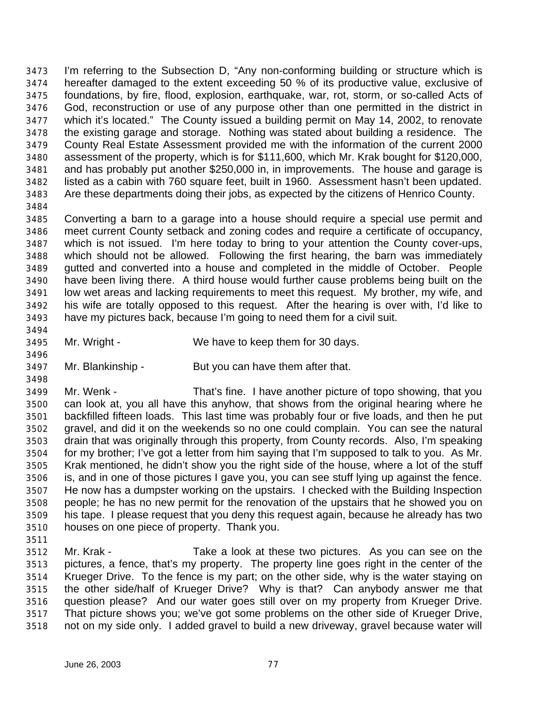I'm referring to the Subsection D, "Any non-conforming building or structure which is hereafter damaged to the extent exceeding 50 % of its productive value, exclusive of foundations, by fire, flood, explosion, earthquake, war, rot, storm, or so-called Acts of God, reconstruction or use of any purpose other than one permitted in the district in which it's located." The County issued a building permit on May 14, 2002, to renovate the existing garage and storage. Nothing was stated about building a residence. The County Real Estate Assessment provided me with the information of the current 2000 assessment of the property, which is for \$111,600, which Mr. Krak bought for \$120,000, and has probably put another \$250,000 in, in improvements. The house and garage is listed as a cabin with 760 square feet, built in 1960. Assessment hasn't been updated. Are these departments doing their jobs, as expected by the citizens of Henrico County. 

 Converting a barn to a garage into a house should require a special use permit and meet current County setback and zoning codes and require a certificate of occupancy, which is not issued. I'm here today to bring to your attention the County cover-ups, which should not be allowed. Following the first hearing, the barn was immediately gutted and converted into a house and completed in the middle of October. People have been living there. A third house would further cause problems being built on the low wet areas and lacking requirements to meet this request. My brother, my wife, and his wife are totally opposed to this request. After the hearing is over with, I'd like to have my pictures back, because I'm going to need them for a civil suit.

- Mr. Wright We have to keep them for 30 days.
- Mr. Blankinship But you can have them after that.

 Mr. Wenk - That's fine. I have another picture of topo showing, that you can look at, you all have this anyhow, that shows from the original hearing where he backfilled fifteen loads. This last time was probably four or five loads, and then he put gravel, and did it on the weekends so no one could complain. You can see the natural drain that was originally through this property, from County records. Also, I'm speaking for my brother; I've got a letter from him saying that I'm supposed to talk to you. As Mr. Krak mentioned, he didn't show you the right side of the house, where a lot of the stuff is, and in one of those pictures I gave you, you can see stuff lying up against the fence. He now has a dumpster working on the upstairs. I checked with the Building Inspection people; he has no new permit for the renovation of the upstairs that he showed you on his tape. I please request that you deny this request again, because he already has two houses on one piece of property. Thank you.

 Mr. Krak - Take a look at these two pictures. As you can see on the pictures, a fence, that's my property. The property line goes right in the center of the Krueger Drive. To the fence is my part; on the other side, why is the water staying on the other side/half of Krueger Drive? Why is that? Can anybody answer me that question please? And our water goes still over on my property from Krueger Drive. That picture shows you; we've got some problems on the other side of Krueger Drive, not on my side only. I added gravel to build a new driveway, gravel because water will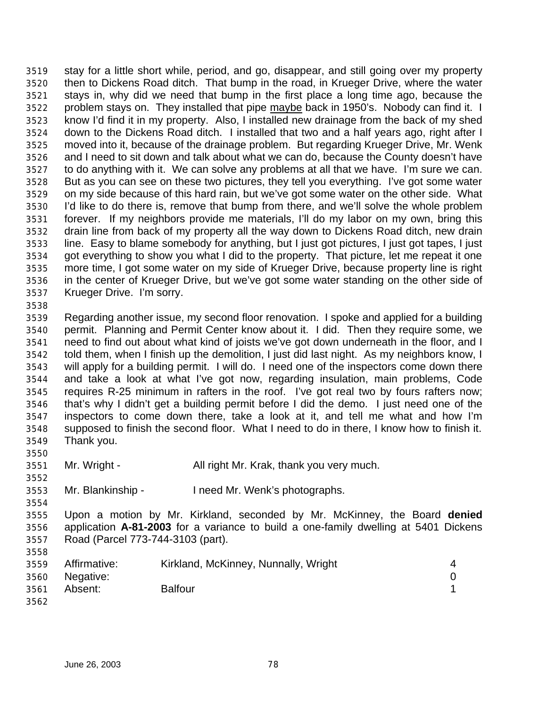stay for a little short while, period, and go, disappear, and still going over my property then to Dickens Road ditch. That bump in the road, in Krueger Drive, where the water stays in, why did we need that bump in the first place a long time ago, because the problem stays on. They installed that pipe maybe back in 1950's. Nobody can find it. I know I'd find it in my property. Also, I installed new drainage from the back of my shed down to the Dickens Road ditch. I installed that two and a half years ago, right after I moved into it, because of the drainage problem. But regarding Krueger Drive, Mr. Wenk and I need to sit down and talk about what we can do, because the County doesn't have to do anything with it. We can solve any problems at all that we have. I'm sure we can. But as you can see on these two pictures, they tell you everything. I've got some water on my side because of this hard rain, but we've got some water on the other side. What I'd like to do there is, remove that bump from there, and we'll solve the whole problem forever. If my neighbors provide me materials, I'll do my labor on my own, bring this drain line from back of my property all the way down to Dickens Road ditch, new drain line. Easy to blame somebody for anything, but I just got pictures, I just got tapes, I just got everything to show you what I did to the property. That picture, let me repeat it one more time, I got some water on my side of Krueger Drive, because property line is right in the center of Krueger Drive, but we've got some water standing on the other side of Krueger Drive. I'm sorry. 

 Regarding another issue, my second floor renovation. I spoke and applied for a building permit. Planning and Permit Center know about it. I did. Then they require some, we need to find out about what kind of joists we've got down underneath in the floor, and I told them, when I finish up the demolition, I just did last night. As my neighbors know, I will apply for a building permit. I will do. I need one of the inspectors come down there and take a look at what I've got now, regarding insulation, main problems, Code requires R-25 minimum in rafters in the roof. I've got real two by fours rafters now; that's why I didn't get a building permit before I did the demo. I just need one of the inspectors to come down there, take a look at it, and tell me what and how I'm supposed to finish the second floor. What I need to do in there, I know how to finish it. Thank you.

Mr. Wright - All right Mr. Krak, thank you very much.

Mr. Blankinship - I need Mr. Wenk's photographs.

 Upon a motion by Mr. Kirkland, seconded by Mr. McKinney, the Board **denied** application **A-81-2003** for a variance to build a one-family dwelling at 5401 Dickens Road (Parcel 773-744-3103 (part).

| 3559 | Affirmative:   | Kirkland, McKinney, Nunnally, Wright | $\overline{4}$ |
|------|----------------|--------------------------------------|----------------|
|      | 3560 Negative: |                                      |                |
| 3561 | Absent:        | <b>Balfour</b>                       |                |
| 3562 |                |                                      |                |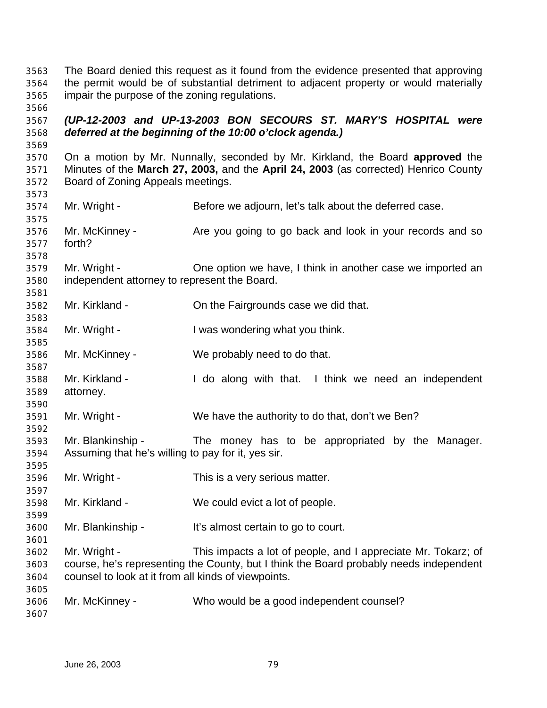The Board denied this request as it found from the evidence presented that approving the permit would be of substantial detriment to adjacent property or would materially impair the purpose of the zoning regulations.

 *(UP-12-2003 and UP-13-2003 BON SECOURS ST. MARY'S HOSPITAL were deferred at the beginning of the 10:00 o'clock agenda.)*

 On a motion by Mr. Nunnally, seconded by Mr. Kirkland, the Board **approved** the Minutes of the **March 27, 2003,** and the **April 24, 2003** (as corrected) Henrico County Board of Zoning Appeals meetings.

Mr. Wright - Before we adjourn, let's talk about the deferred case.

 Mr. McKinney - Are you going to go back and look in your records and so forth?

 Mr. Wright - One option we have, I think in another case we imported an independent attorney to represent the Board.

Mr. Kirkland - On the Fairgrounds case we did that.

Mr. Wright - I was wondering what you think.

Mr. McKinney - We probably need to do that.

 Mr. Kirkland - I do along with that. I think we need an independent attorney. 

Mr. Wright - We have the authority to do that, don't we Ben?

 Mr. Blankinship - The money has to be appropriated by the Manager. Assuming that he's willing to pay for it, yes sir.

Mr. Wright - This is a very serious matter.

Mr. Kirkland - We could evict a lot of people.

Mr. Blankinship - It's almost certain to go to court.

 Mr. Wright - This impacts a lot of people, and I appreciate Mr. Tokarz; of course, he's representing the County, but I think the Board probably needs independent counsel to look at it from all kinds of viewpoints.

 Mr. McKinney - Who would be a good independent counsel?